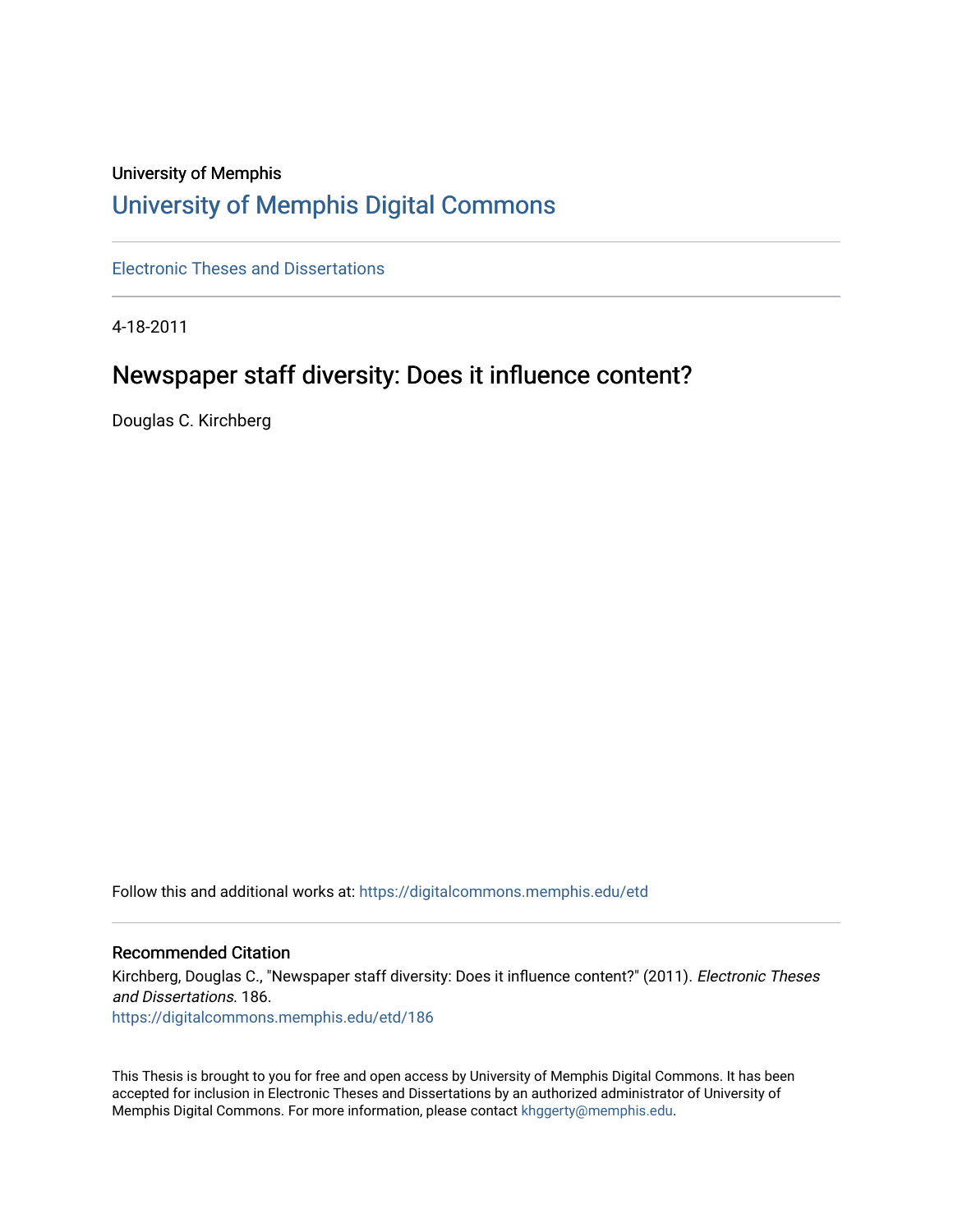# University of Memphis [University of Memphis Digital Commons](https://digitalcommons.memphis.edu/)

[Electronic Theses and Dissertations](https://digitalcommons.memphis.edu/etd)

4-18-2011

# Newspaper staff diversity: Does it influence content?

Douglas C. Kirchberg

Follow this and additional works at: [https://digitalcommons.memphis.edu/etd](https://digitalcommons.memphis.edu/etd?utm_source=digitalcommons.memphis.edu%2Fetd%2F186&utm_medium=PDF&utm_campaign=PDFCoverPages) 

### Recommended Citation

Kirchberg, Douglas C., "Newspaper staff diversity: Does it influence content?" (2011). Electronic Theses and Dissertations. 186. [https://digitalcommons.memphis.edu/etd/186](https://digitalcommons.memphis.edu/etd/186?utm_source=digitalcommons.memphis.edu%2Fetd%2F186&utm_medium=PDF&utm_campaign=PDFCoverPages) 

This Thesis is brought to you for free and open access by University of Memphis Digital Commons. It has been accepted for inclusion in Electronic Theses and Dissertations by an authorized administrator of University of Memphis Digital Commons. For more information, please contact [khggerty@memphis.edu.](mailto:khggerty@memphis.edu)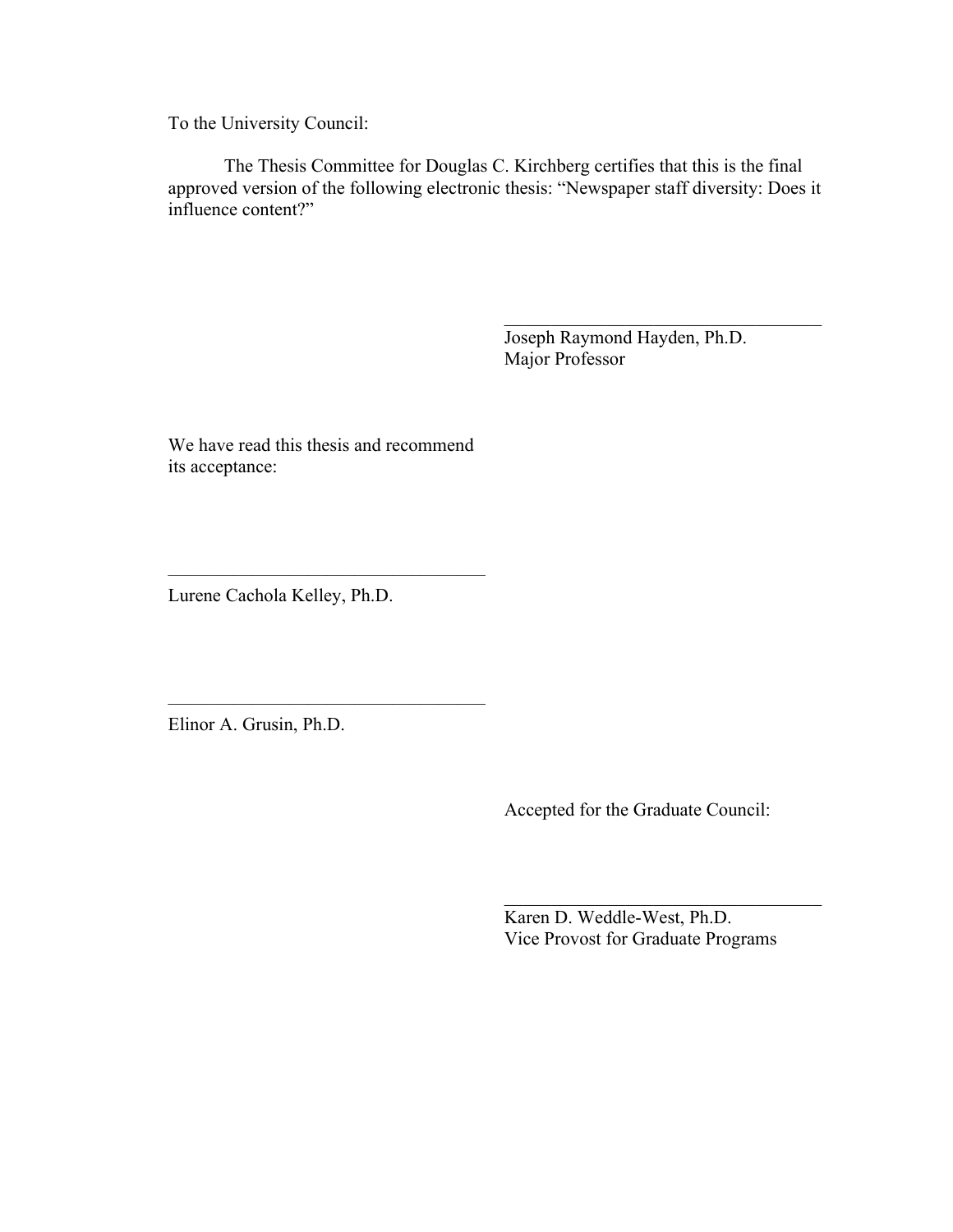To the University Council:

The Thesis Committee for Douglas C. Kirchberg certifies that this is the final approved version of the following electronic thesis: "Newspaper staff diversity: Does it influence content?"

> Joseph Raymond Hayden, Ph.D. Major Professor

 $\mathcal{L}_\text{max}$  , where  $\mathcal{L}_\text{max}$  and  $\mathcal{L}_\text{max}$  and  $\mathcal{L}_\text{max}$ 

We have read this thesis and recommend its acceptance:

––––––––––––––––––––––––––––––––––

––––––––––––––––––––––––––––––––––

Lurene Cachola Kelley, Ph.D.

Elinor A. Grusin, Ph.D.

Accepted for the Graduate Council:

Karen D. Weddle-West, Ph.D. Vice Provost for Graduate Programs

 $\mathcal{L}_\text{max}$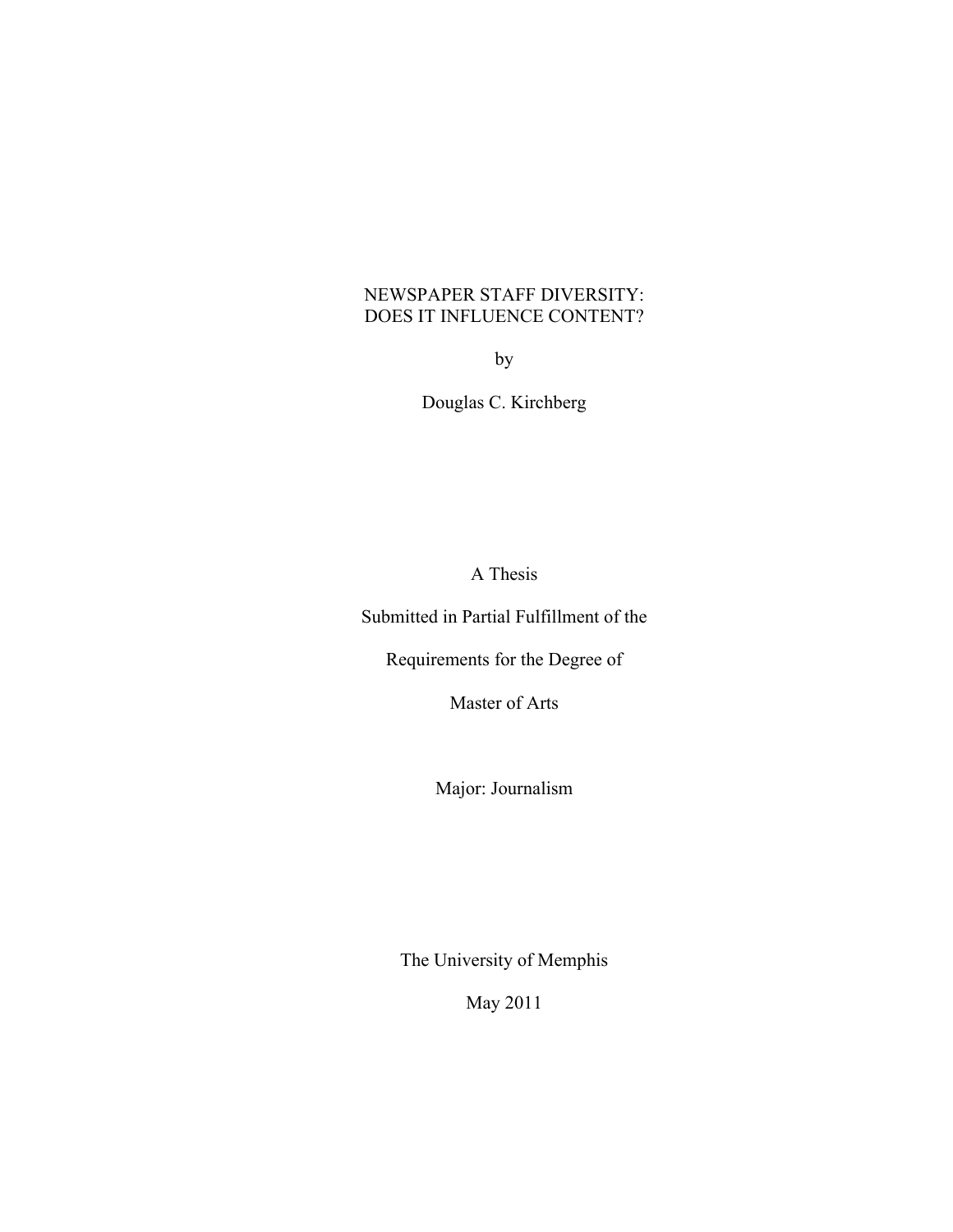## NEWSPAPER STAFF DIVERSITY: DOES IT INFLUENCE CONTENT?

by

Douglas C. Kirchberg

A Thesis

Submitted in Partial Fulfillment of the

Requirements for the Degree of

Master of Arts

Major: Journalism

The University of Memphis

May 2011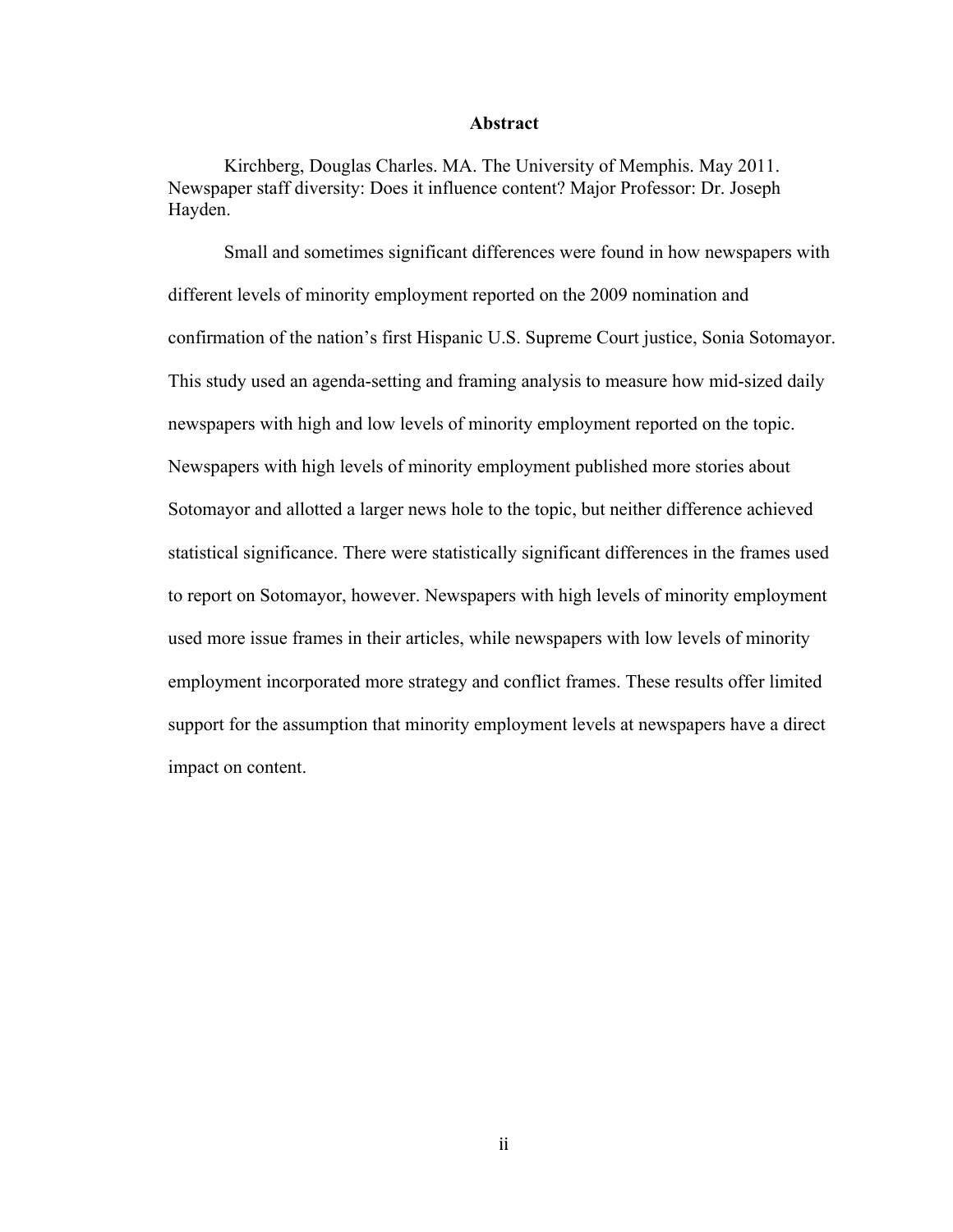### **Abstract**

Kirchberg, Douglas Charles. MA. The University of Memphis. May 2011. Newspaper staff diversity: Does it influence content? Major Professor: Dr. Joseph Hayden.

Small and sometimes significant differences were found in how newspapers with different levels of minority employment reported on the 2009 nomination and confirmation of the nation's first Hispanic U.S. Supreme Court justice, Sonia Sotomayor. This study used an agenda-setting and framing analysis to measure how mid-sized daily newspapers with high and low levels of minority employment reported on the topic. Newspapers with high levels of minority employment published more stories about Sotomayor and allotted a larger news hole to the topic, but neither difference achieved statistical significance. There were statistically significant differences in the frames used to report on Sotomayor, however. Newspapers with high levels of minority employment used more issue frames in their articles, while newspapers with low levels of minority employment incorporated more strategy and conflict frames. These results offer limited support for the assumption that minority employment levels at newspapers have a direct impact on content.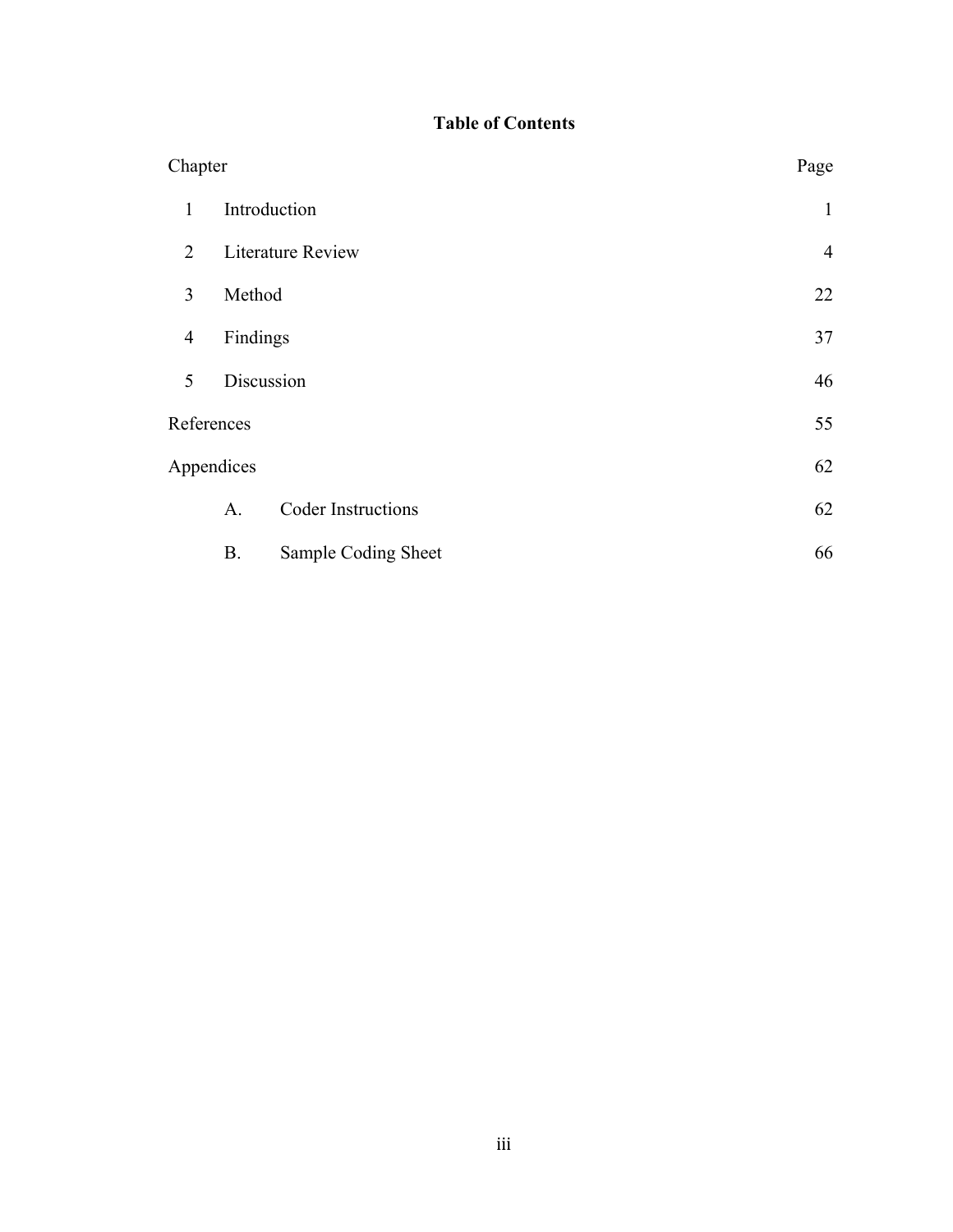# **Table of Contents**

| Chapter        |                          |                           | Page |
|----------------|--------------------------|---------------------------|------|
| 1              | Introduction             | $\mathbf{1}$              |      |
| 2              | <b>Literature Review</b> | $\overline{4}$            |      |
| 3              | Method                   | 22                        |      |
| $\overline{4}$ | Findings                 | 37                        |      |
| 5              | Discussion               | 46                        |      |
| References     |                          |                           | 55   |
| Appendices     | 62                       |                           |      |
|                | A <sub>1</sub>           | <b>Coder Instructions</b> | 62   |
|                | <b>B.</b>                | Sample Coding Sheet       | 66   |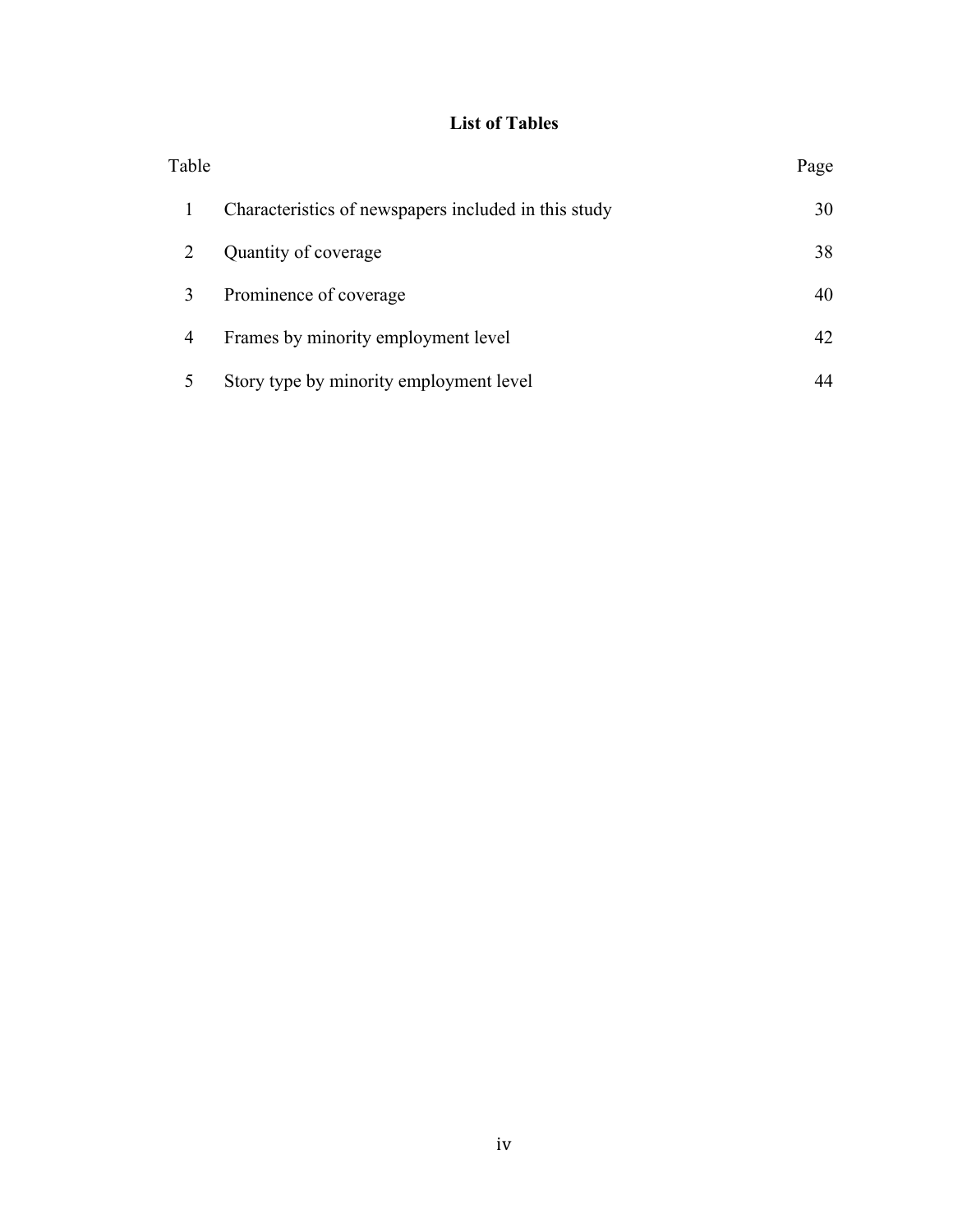# **List of Tables**

| Table |                                                      | Page |
|-------|------------------------------------------------------|------|
|       | Characteristics of newspapers included in this study | 30   |
|       | Quantity of coverage                                 | 38   |
|       | Prominence of coverage                               | 40   |
| 4     | Frames by minority employment level                  | 42   |
|       | Story type by minority employment level              |      |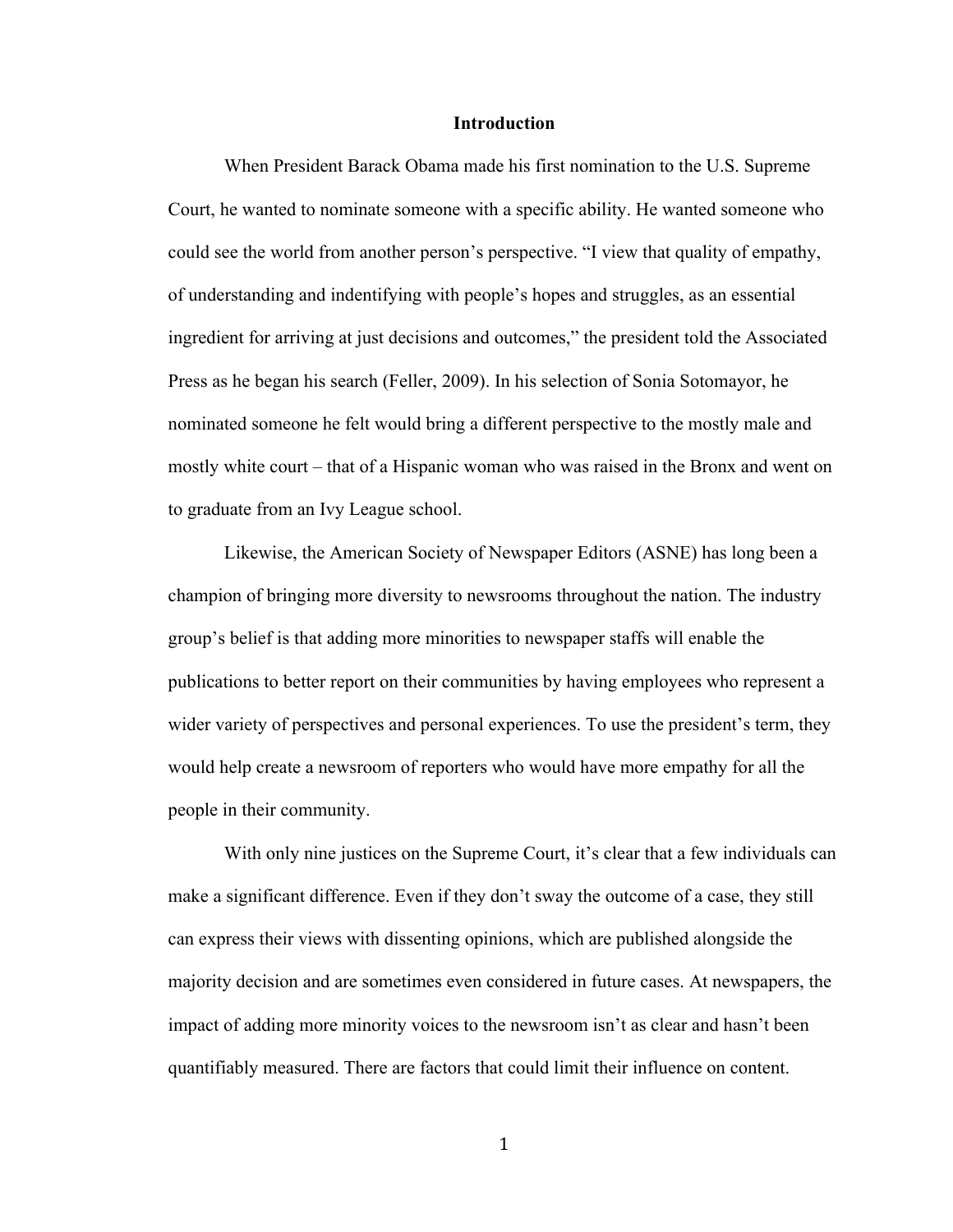#### **Introduction**

When President Barack Obama made his first nomination to the U.S. Supreme Court, he wanted to nominate someone with a specific ability. He wanted someone who could see the world from another person's perspective. "I view that quality of empathy, of understanding and indentifying with people's hopes and struggles, as an essential ingredient for arriving at just decisions and outcomes," the president told the Associated Press as he began his search (Feller, 2009). In his selection of Sonia Sotomayor, he nominated someone he felt would bring a different perspective to the mostly male and mostly white court – that of a Hispanic woman who was raised in the Bronx and went on to graduate from an Ivy League school.

Likewise, the American Society of Newspaper Editors (ASNE) has long been a champion of bringing more diversity to newsrooms throughout the nation. The industry group's belief is that adding more minorities to newspaper staffs will enable the publications to better report on their communities by having employees who represent a wider variety of perspectives and personal experiences. To use the president's term, they would help create a newsroom of reporters who would have more empathy for all the people in their community.

With only nine justices on the Supreme Court, it's clear that a few individuals can make a significant difference. Even if they don't sway the outcome of a case, they still can express their views with dissenting opinions, which are published alongside the majority decision and are sometimes even considered in future cases. At newspapers, the impact of adding more minority voices to the newsroom isn't as clear and hasn't been quantifiably measured. There are factors that could limit their influence on content.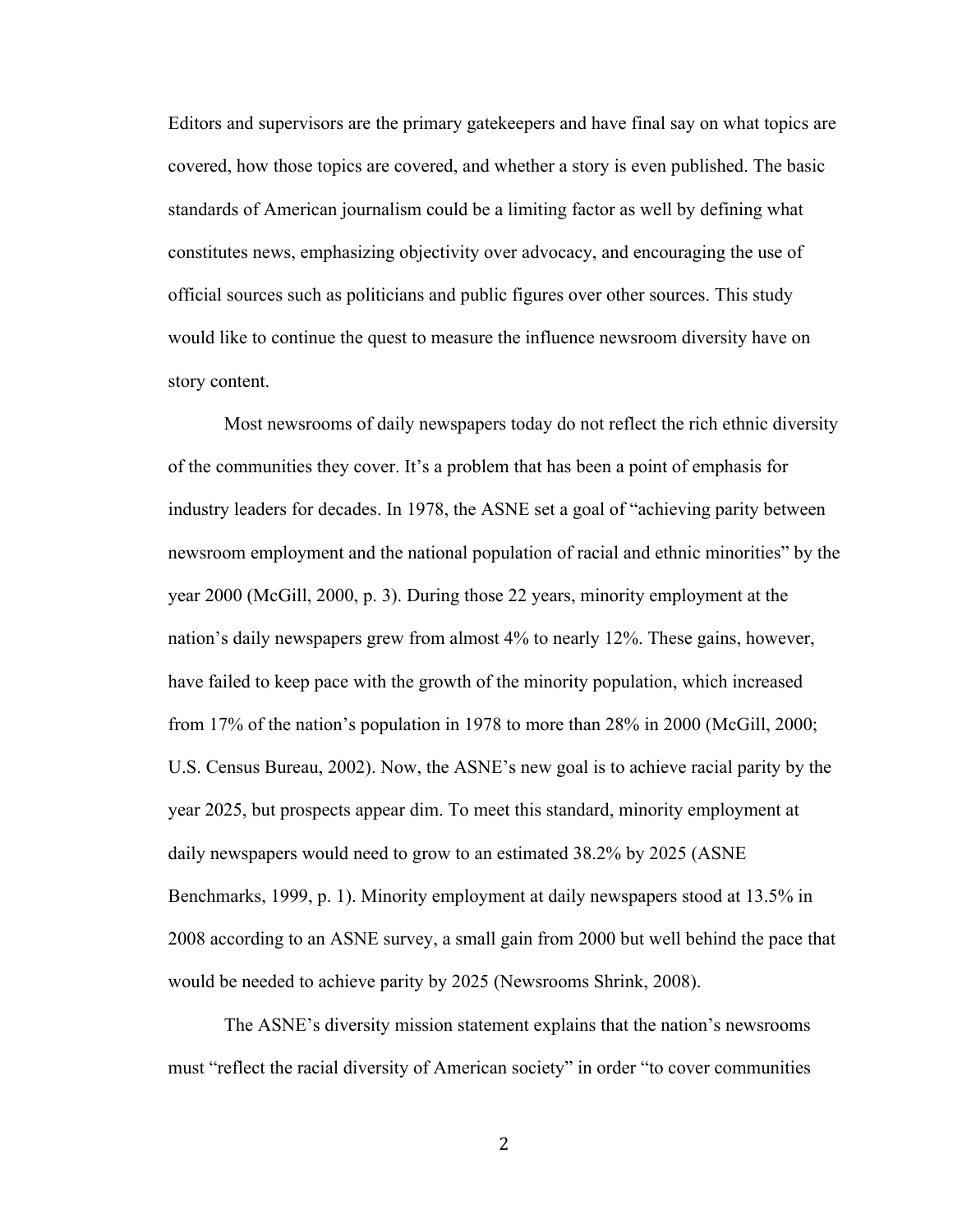Editors and supervisors are the primary gatekeepers and have final say on what topics are covered, how those topics are covered, and whether a story is even published. The basic standards of American journalism could be a limiting factor as well by defining what constitutes news, emphasizing objectivity over advocacy, and encouraging the use of official sources such as politicians and public figures over other sources. This study would like to continue the quest to measure the influence newsroom diversity have on story content.

Most newsrooms of daily newspapers today do not reflect the rich ethnic diversity of the communities they cover. It's a problem that has been a point of emphasis for industry leaders for decades. In 1978, the ASNE set a goal of "achieving parity between newsroom employment and the national population of racial and ethnic minorities" by the year 2000 (McGill, 2000, p. 3). During those 22 years, minority employment at the nation's daily newspapers grew from almost 4% to nearly 12%. These gains, however, have failed to keep pace with the growth of the minority population, which increased from 17% of the nation's population in 1978 to more than 28% in 2000 (McGill, 2000; U.S. Census Bureau, 2002). Now, the ASNE's new goal is to achieve racial parity by the year 2025, but prospects appear dim. To meet this standard, minority employment at daily newspapers would need to grow to an estimated 38.2% by 2025 (ASNE Benchmarks, 1999, p. 1). Minority employment at daily newspapers stood at 13.5% in 2008 according to an ASNE survey, a small gain from 2000 but well behind the pace that would be needed to achieve parity by 2025 (Newsrooms Shrink, 2008).

The ASNE's diversity mission statement explains that the nation's newsrooms must "reflect the racial diversity of American society" in order "to cover communities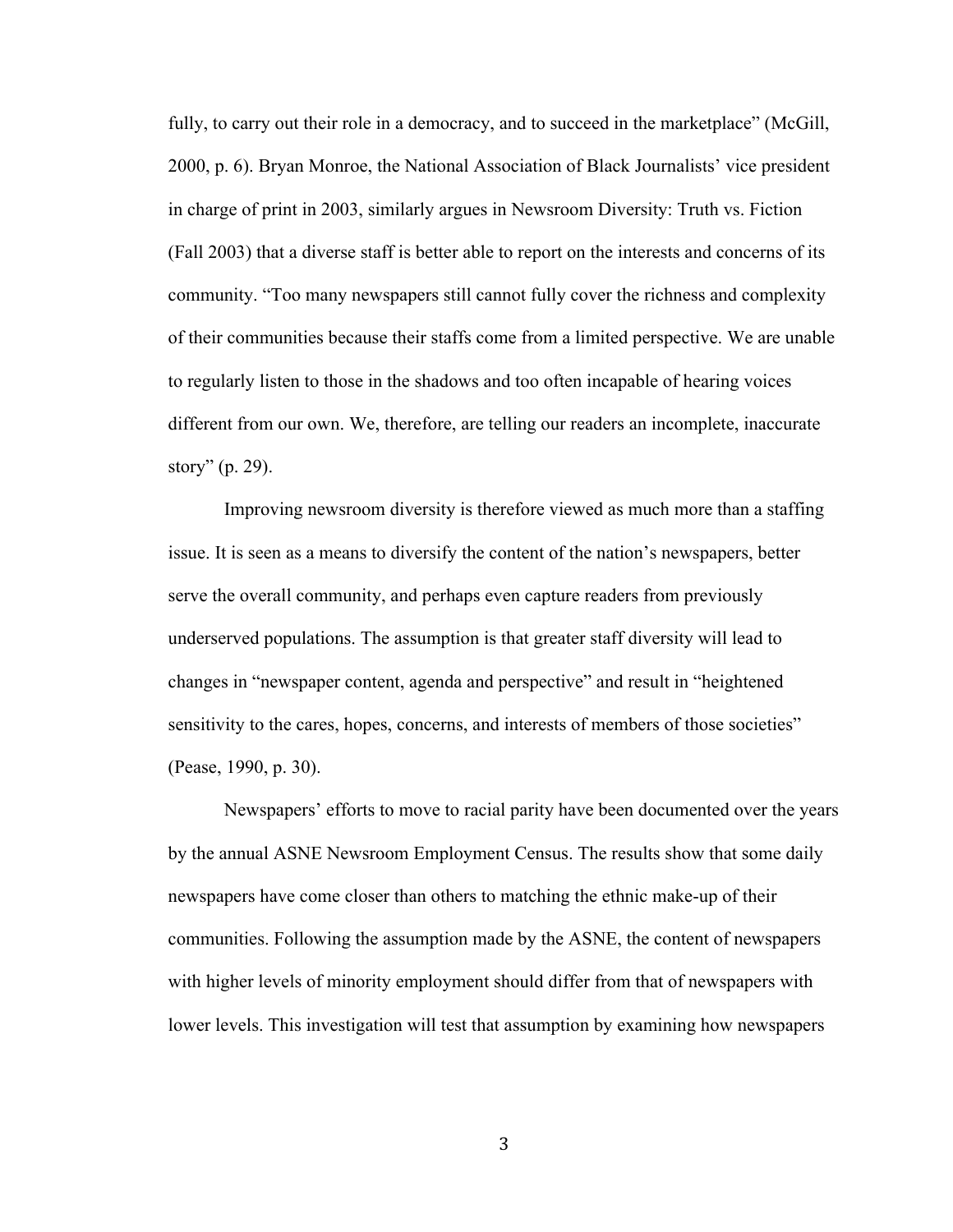fully, to carry out their role in a democracy, and to succeed in the marketplace" (McGill, 2000, p. 6). Bryan Monroe, the National Association of Black Journalists' vice president in charge of print in 2003, similarly argues in Newsroom Diversity: Truth vs. Fiction (Fall 2003) that a diverse staff is better able to report on the interests and concerns of its community. "Too many newspapers still cannot fully cover the richness and complexity of their communities because their staffs come from a limited perspective. We are unable to regularly listen to those in the shadows and too often incapable of hearing voices different from our own. We, therefore, are telling our readers an incomplete, inaccurate story" (p. 29).

Improving newsroom diversity is therefore viewed as much more than a staffing issue. It is seen as a means to diversify the content of the nation's newspapers, better serve the overall community, and perhaps even capture readers from previously underserved populations. The assumption is that greater staff diversity will lead to changes in "newspaper content, agenda and perspective" and result in "heightened sensitivity to the cares, hopes, concerns, and interests of members of those societies" (Pease, 1990, p. 30).

Newspapers' efforts to move to racial parity have been documented over the years by the annual ASNE Newsroom Employment Census. The results show that some daily newspapers have come closer than others to matching the ethnic make-up of their communities. Following the assumption made by the ASNE, the content of newspapers with higher levels of minority employment should differ from that of newspapers with lower levels. This investigation will test that assumption by examining how newspapers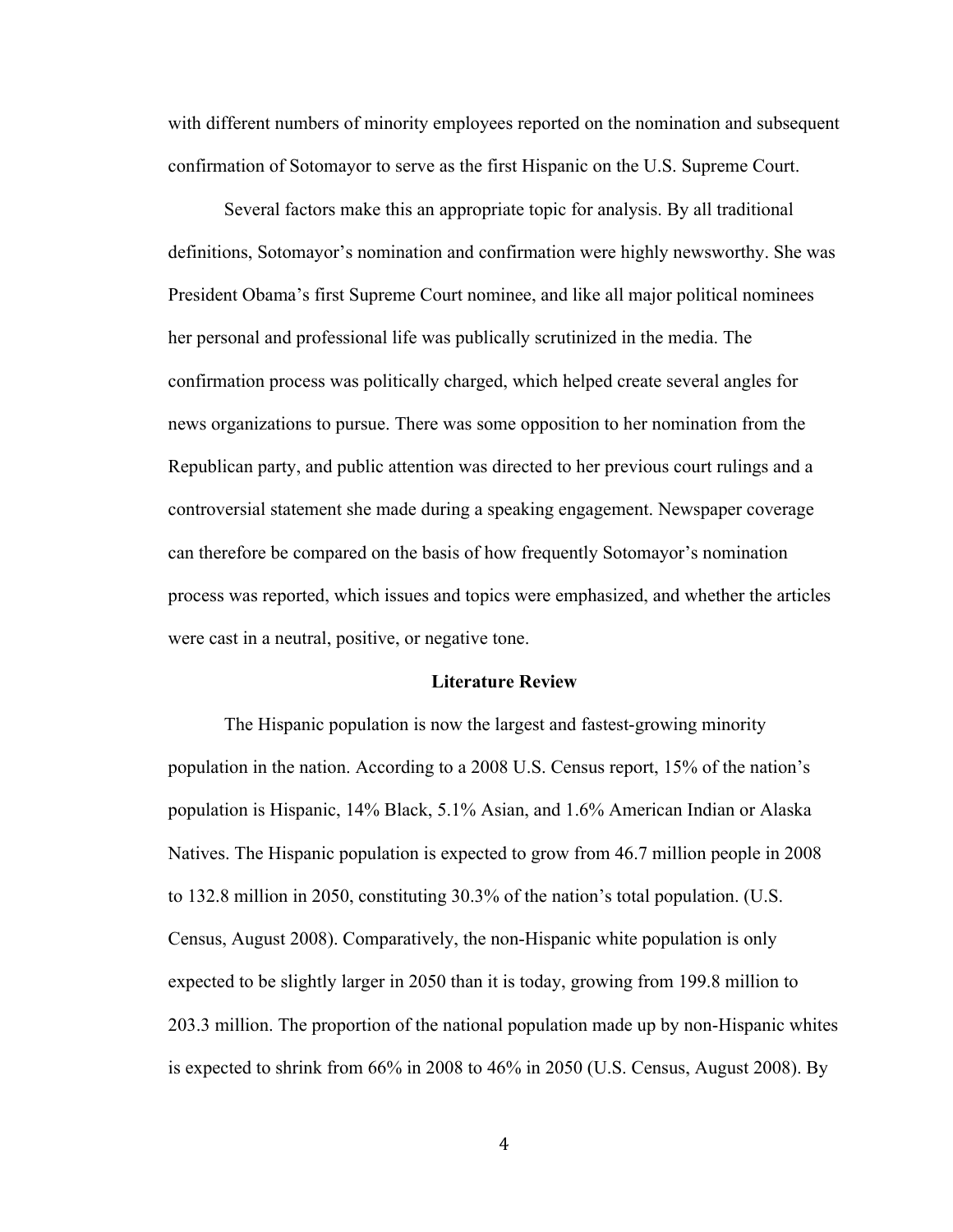with different numbers of minority employees reported on the nomination and subsequent confirmation of Sotomayor to serve as the first Hispanic on the U.S. Supreme Court.

Several factors make this an appropriate topic for analysis. By all traditional definitions, Sotomayor's nomination and confirmation were highly newsworthy. She was President Obama's first Supreme Court nominee, and like all major political nominees her personal and professional life was publically scrutinized in the media. The confirmation process was politically charged, which helped create several angles for news organizations to pursue. There was some opposition to her nomination from the Republican party, and public attention was directed to her previous court rulings and a controversial statement she made during a speaking engagement. Newspaper coverage can therefore be compared on the basis of how frequently Sotomayor's nomination process was reported, which issues and topics were emphasized, and whether the articles were cast in a neutral, positive, or negative tone.

#### **Literature Review**

The Hispanic population is now the largest and fastest-growing minority population in the nation. According to a 2008 U.S. Census report, 15% of the nation's population is Hispanic, 14% Black, 5.1% Asian, and 1.6% American Indian or Alaska Natives. The Hispanic population is expected to grow from 46.7 million people in 2008 to 132.8 million in 2050, constituting 30.3% of the nation's total population. (U.S. Census, August 2008). Comparatively, the non-Hispanic white population is only expected to be slightly larger in 2050 than it is today, growing from 199.8 million to 203.3 million. The proportion of the national population made up by non-Hispanic whites is expected to shrink from 66% in 2008 to 46% in 2050 (U.S. Census, August 2008). By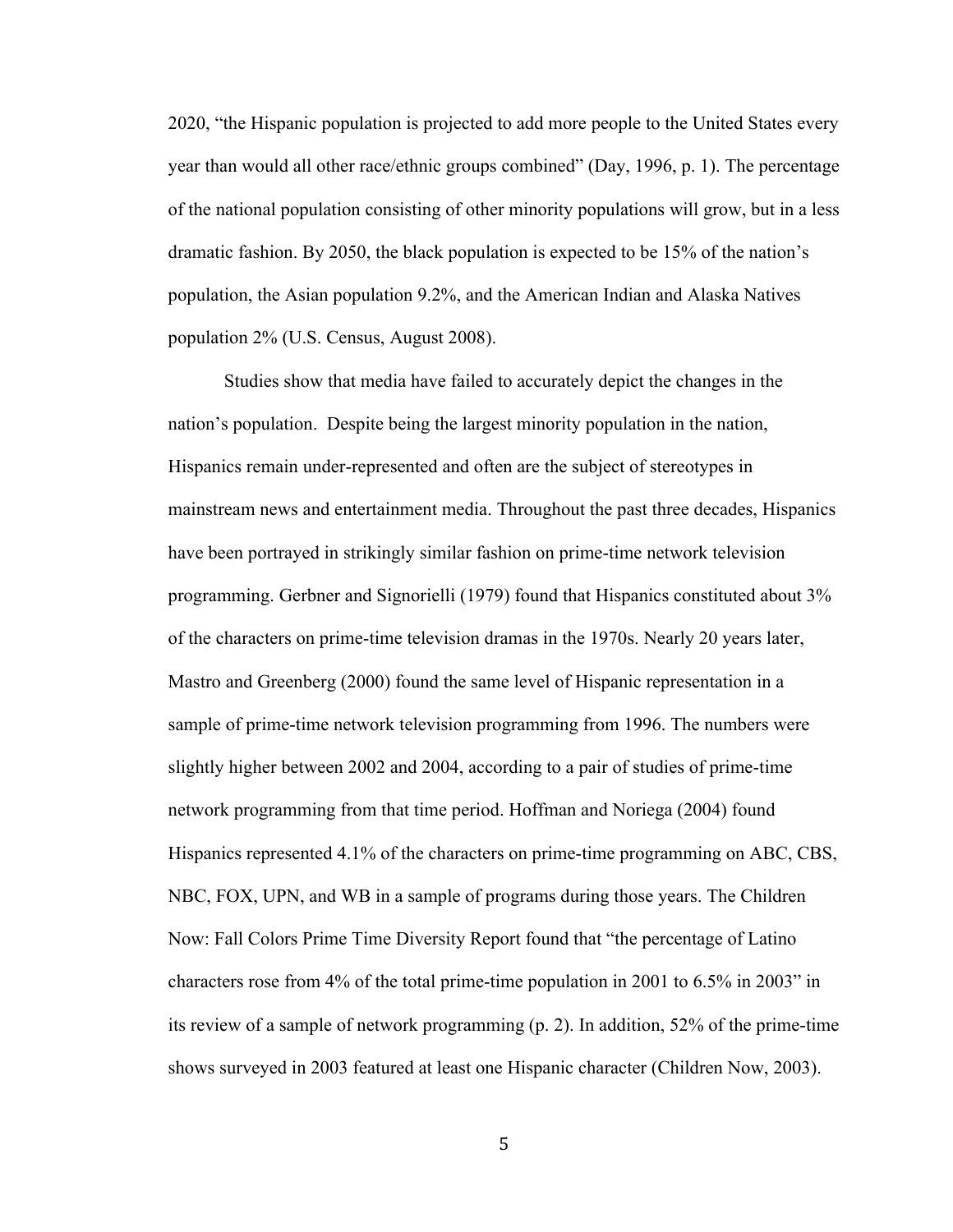2020, "the Hispanic population is projected to add more people to the United States every year than would all other race/ethnic groups combined" (Day, 1996, p. 1). The percentage of the national population consisting of other minority populations will grow, but in a less dramatic fashion. By 2050, the black population is expected to be 15% of the nation's population, the Asian population 9.2%, and the American Indian and Alaska Natives population 2% (U.S. Census, August 2008).

Studies show that media have failed to accurately depict the changes in the nation's population. Despite being the largest minority population in the nation, Hispanics remain under-represented and often are the subject of stereotypes in mainstream news and entertainment media. Throughout the past three decades, Hispanics have been portrayed in strikingly similar fashion on prime-time network television programming. Gerbner and Signorielli (1979) found that Hispanics constituted about 3% of the characters on prime-time television dramas in the 1970s. Nearly 20 years later, Mastro and Greenberg (2000) found the same level of Hispanic representation in a sample of prime-time network television programming from 1996. The numbers were slightly higher between 2002 and 2004, according to a pair of studies of prime-time network programming from that time period. Hoffman and Noriega (2004) found Hispanics represented 4.1% of the characters on prime-time programming on ABC, CBS, NBC, FOX, UPN, and WB in a sample of programs during those years. The Children Now: Fall Colors Prime Time Diversity Report found that "the percentage of Latino characters rose from 4% of the total prime-time population in 2001 to 6.5% in 2003" in its review of a sample of network programming (p. 2). In addition, 52% of the prime-time shows surveyed in 2003 featured at least one Hispanic character (Children Now, 2003).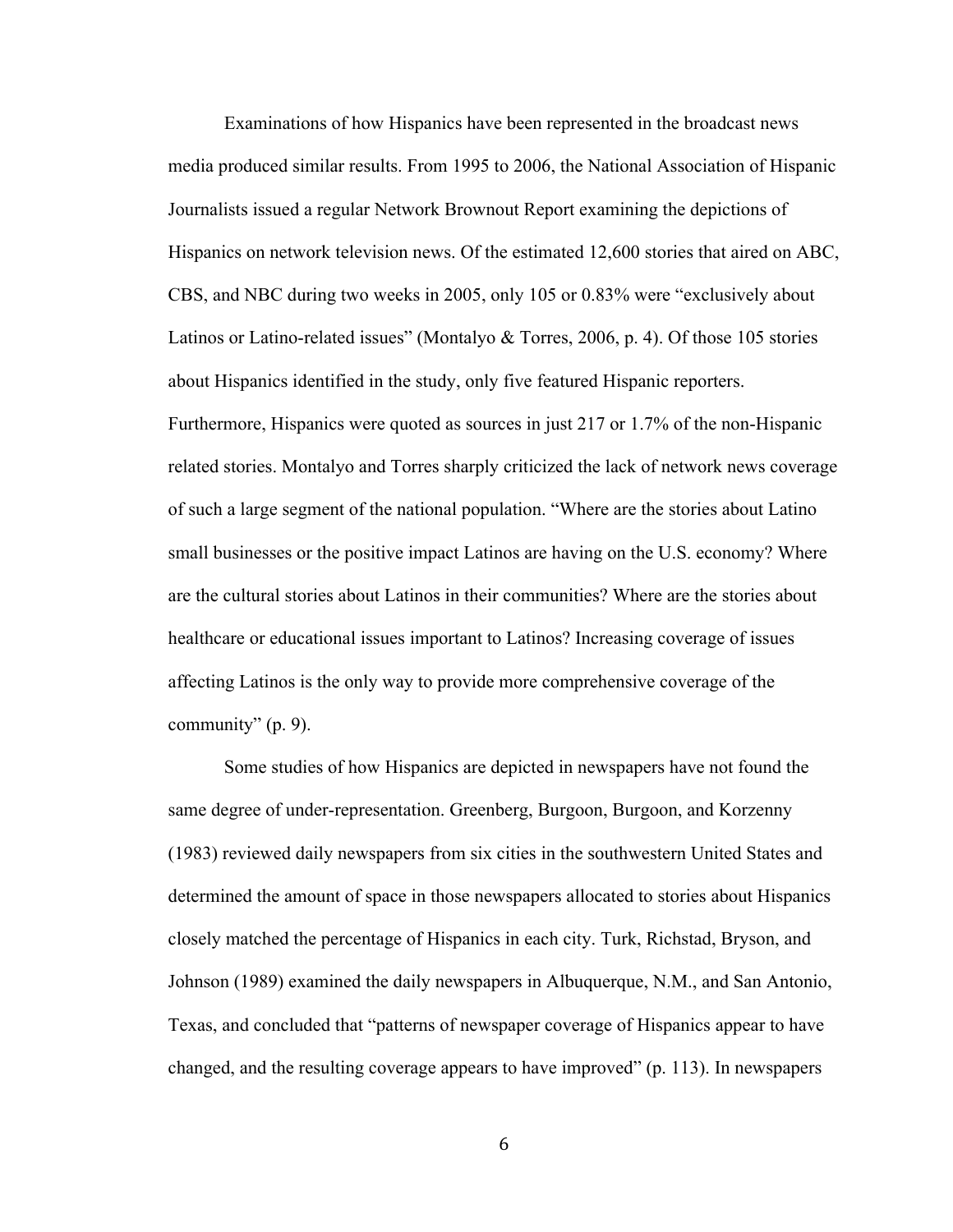Examinations of how Hispanics have been represented in the broadcast news media produced similar results. From 1995 to 2006, the National Association of Hispanic Journalists issued a regular Network Brownout Report examining the depictions of Hispanics on network television news. Of the estimated 12,600 stories that aired on ABC, CBS, and NBC during two weeks in 2005, only 105 or 0.83% were "exclusively about Latinos or Latino-related issues" (Montalyo & Torres, 2006, p. 4). Of those 105 stories about Hispanics identified in the study, only five featured Hispanic reporters. Furthermore, Hispanics were quoted as sources in just 217 or 1.7% of the non-Hispanic related stories. Montalyo and Torres sharply criticized the lack of network news coverage of such a large segment of the national population. "Where are the stories about Latino small businesses or the positive impact Latinos are having on the U.S. economy? Where are the cultural stories about Latinos in their communities? Where are the stories about healthcare or educational issues important to Latinos? Increasing coverage of issues affecting Latinos is the only way to provide more comprehensive coverage of the community" (p. 9).

Some studies of how Hispanics are depicted in newspapers have not found the same degree of under-representation. Greenberg, Burgoon, Burgoon, and Korzenny (1983) reviewed daily newspapers from six cities in the southwestern United States and determined the amount of space in those newspapers allocated to stories about Hispanics closely matched the percentage of Hispanics in each city. Turk, Richstad, Bryson, and Johnson (1989) examined the daily newspapers in Albuquerque, N.M., and San Antonio, Texas, and concluded that "patterns of newspaper coverage of Hispanics appear to have changed, and the resulting coverage appears to have improved" (p. 113). In newspapers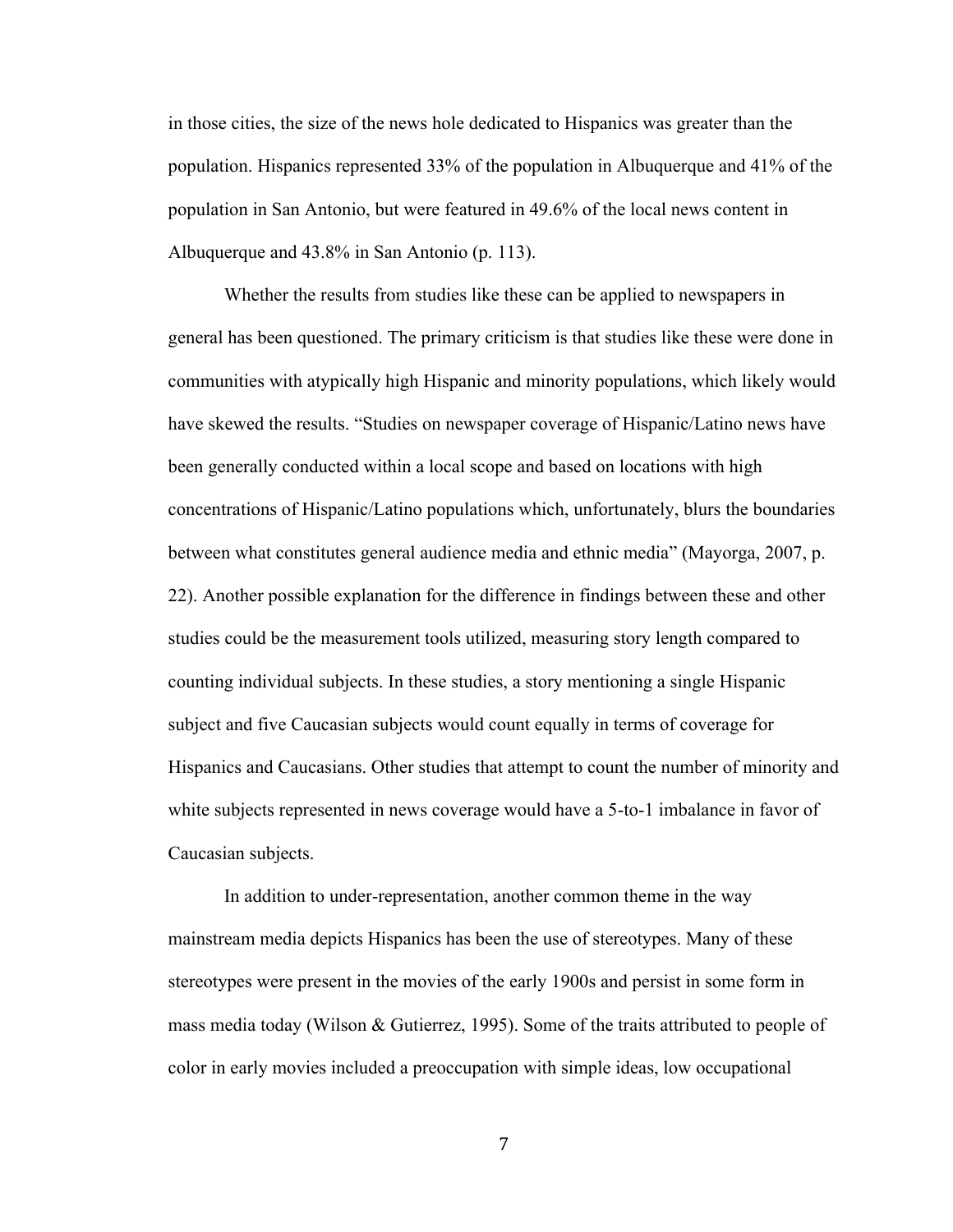in those cities, the size of the news hole dedicated to Hispanics was greater than the population. Hispanics represented 33% of the population in Albuquerque and 41% of the population in San Antonio, but were featured in 49.6% of the local news content in Albuquerque and 43.8% in San Antonio (p. 113).

Whether the results from studies like these can be applied to newspapers in general has been questioned. The primary criticism is that studies like these were done in communities with atypically high Hispanic and minority populations, which likely would have skewed the results. "Studies on newspaper coverage of Hispanic/Latino news have been generally conducted within a local scope and based on locations with high concentrations of Hispanic/Latino populations which, unfortunately, blurs the boundaries between what constitutes general audience media and ethnic media" (Mayorga, 2007, p. 22). Another possible explanation for the difference in findings between these and other studies could be the measurement tools utilized, measuring story length compared to counting individual subjects. In these studies, a story mentioning a single Hispanic subject and five Caucasian subjects would count equally in terms of coverage for Hispanics and Caucasians. Other studies that attempt to count the number of minority and white subjects represented in news coverage would have a 5-to-1 imbalance in favor of Caucasian subjects.

In addition to under-representation, another common theme in the way mainstream media depicts Hispanics has been the use of stereotypes. Many of these stereotypes were present in the movies of the early 1900s and persist in some form in mass media today (Wilson & Gutierrez, 1995). Some of the traits attributed to people of color in early movies included a preoccupation with simple ideas, low occupational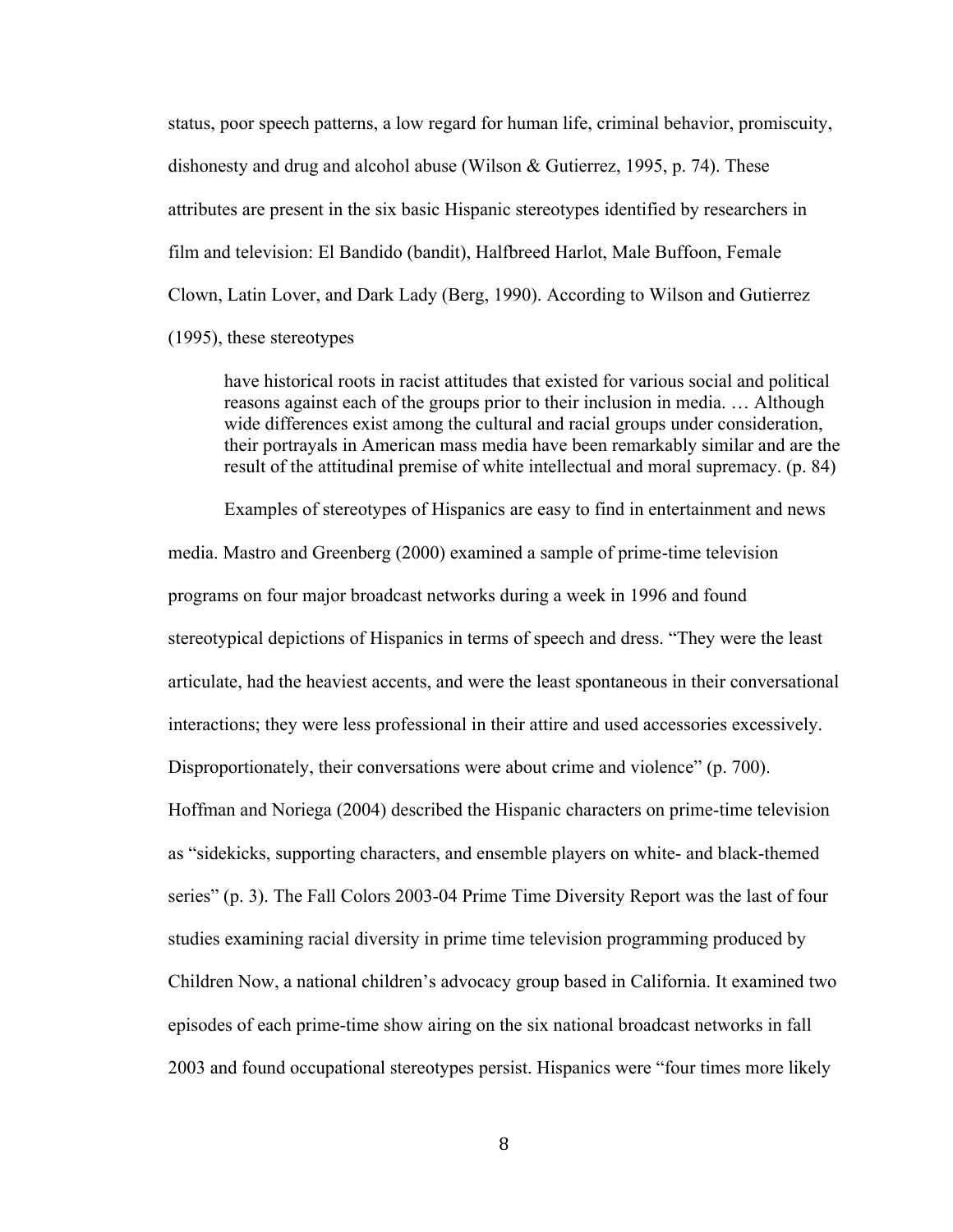status, poor speech patterns, a low regard for human life, criminal behavior, promiscuity, dishonesty and drug and alcohol abuse (Wilson & Gutierrez, 1995, p. 74). These attributes are present in the six basic Hispanic stereotypes identified by researchers in film and television: El Bandido (bandit), Halfbreed Harlot, Male Buffoon, Female Clown, Latin Lover, and Dark Lady (Berg, 1990). According to Wilson and Gutierrez

(1995), these stereotypes

have historical roots in racist attitudes that existed for various social and political reasons against each of the groups prior to their inclusion in media. … Although wide differences exist among the cultural and racial groups under consideration, their portrayals in American mass media have been remarkably similar and are the result of the attitudinal premise of white intellectual and moral supremacy. (p. 84)

Examples of stereotypes of Hispanics are easy to find in entertainment and news media. Mastro and Greenberg (2000) examined a sample of prime-time television programs on four major broadcast networks during a week in 1996 and found stereotypical depictions of Hispanics in terms of speech and dress. "They were the least articulate, had the heaviest accents, and were the least spontaneous in their conversational interactions; they were less professional in their attire and used accessories excessively. Disproportionately, their conversations were about crime and violence" (p. 700). Hoffman and Noriega (2004) described the Hispanic characters on prime-time television as "sidekicks, supporting characters, and ensemble players on white- and black-themed series" (p. 3). The Fall Colors 2003-04 Prime Time Diversity Report was the last of four studies examining racial diversity in prime time television programming produced by Children Now, a national children's advocacy group based in California. It examined two episodes of each prime-time show airing on the six national broadcast networks in fall 2003 and found occupational stereotypes persist. Hispanics were "four times more likely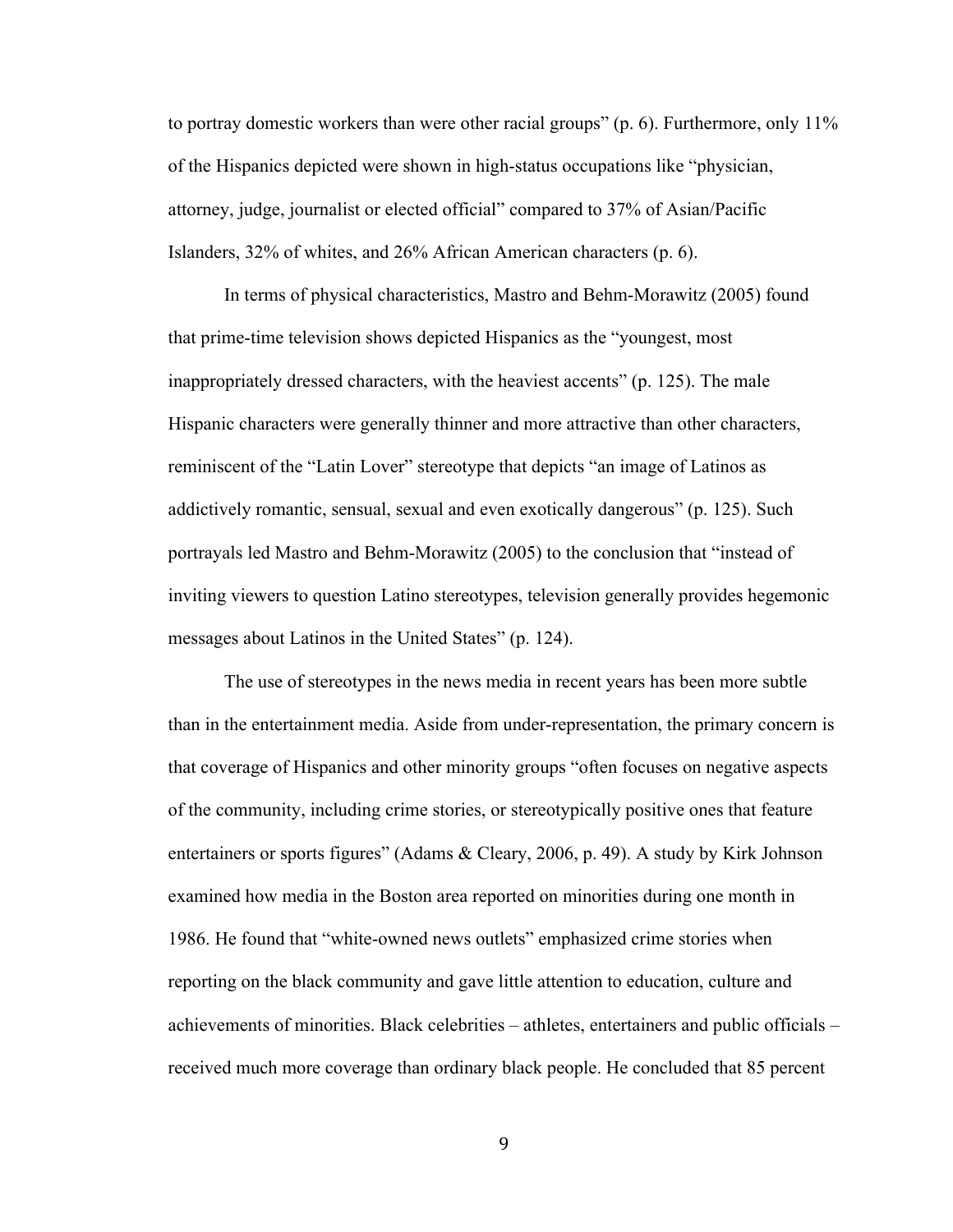to portray domestic workers than were other racial groups" (p. 6). Furthermore, only 11% of the Hispanics depicted were shown in high-status occupations like "physician, attorney, judge, journalist or elected official" compared to 37% of Asian/Pacific Islanders, 32% of whites, and 26% African American characters (p. 6).

In terms of physical characteristics, Mastro and Behm-Morawitz (2005) found that prime-time television shows depicted Hispanics as the "youngest, most inappropriately dressed characters, with the heaviest accents" (p. 125). The male Hispanic characters were generally thinner and more attractive than other characters, reminiscent of the "Latin Lover" stereotype that depicts "an image of Latinos as addictively romantic, sensual, sexual and even exotically dangerous" (p. 125). Such portrayals led Mastro and Behm-Morawitz (2005) to the conclusion that "instead of inviting viewers to question Latino stereotypes, television generally provides hegemonic messages about Latinos in the United States" (p. 124).

The use of stereotypes in the news media in recent years has been more subtle than in the entertainment media. Aside from under-representation, the primary concern is that coverage of Hispanics and other minority groups "often focuses on negative aspects of the community, including crime stories, or stereotypically positive ones that feature entertainers or sports figures" (Adams & Cleary, 2006, p. 49). A study by Kirk Johnson examined how media in the Boston area reported on minorities during one month in 1986. He found that "white-owned news outlets" emphasized crime stories when reporting on the black community and gave little attention to education, culture and achievements of minorities. Black celebrities – athletes, entertainers and public officials – received much more coverage than ordinary black people. He concluded that 85 percent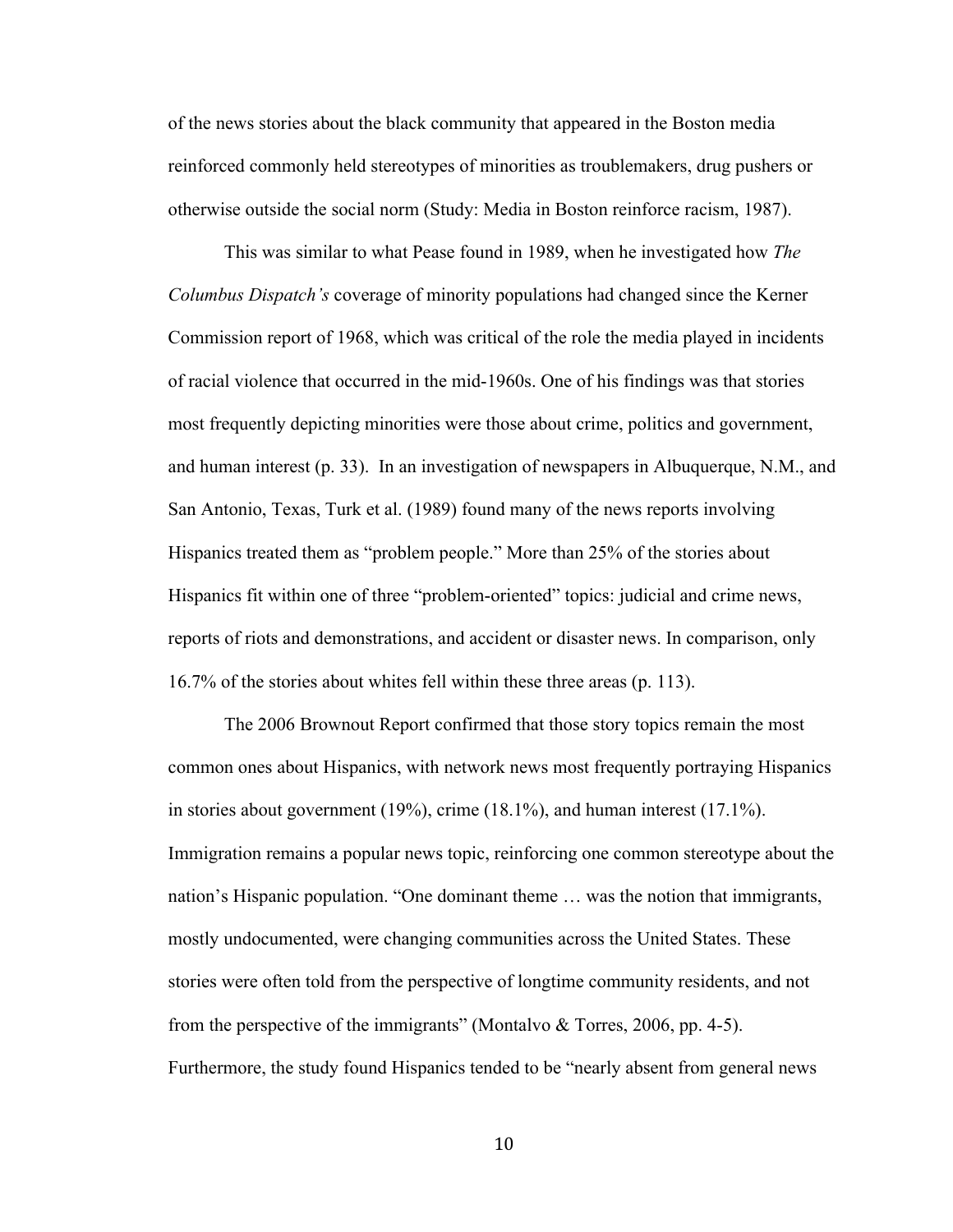of the news stories about the black community that appeared in the Boston media reinforced commonly held stereotypes of minorities as troublemakers, drug pushers or otherwise outside the social norm (Study: Media in Boston reinforce racism, 1987).

This was similar to what Pease found in 1989, when he investigated how *The Columbus Dispatch's* coverage of minority populations had changed since the Kerner Commission report of 1968, which was critical of the role the media played in incidents of racial violence that occurred in the mid-1960s. One of his findings was that stories most frequently depicting minorities were those about crime, politics and government, and human interest (p. 33). In an investigation of newspapers in Albuquerque, N.M., and San Antonio, Texas, Turk et al. (1989) found many of the news reports involving Hispanics treated them as "problem people." More than 25% of the stories about Hispanics fit within one of three "problem-oriented" topics: judicial and crime news, reports of riots and demonstrations, and accident or disaster news. In comparison, only 16.7% of the stories about whites fell within these three areas (p. 113).

The 2006 Brownout Report confirmed that those story topics remain the most common ones about Hispanics, with network news most frequently portraying Hispanics in stories about government (19%), crime (18.1%), and human interest (17.1%). Immigration remains a popular news topic, reinforcing one common stereotype about the nation's Hispanic population. "One dominant theme … was the notion that immigrants, mostly undocumented, were changing communities across the United States. These stories were often told from the perspective of longtime community residents, and not from the perspective of the immigrants" (Montalvo  $\&$  Torres, 2006, pp. 4-5). Furthermore, the study found Hispanics tended to be "nearly absent from general news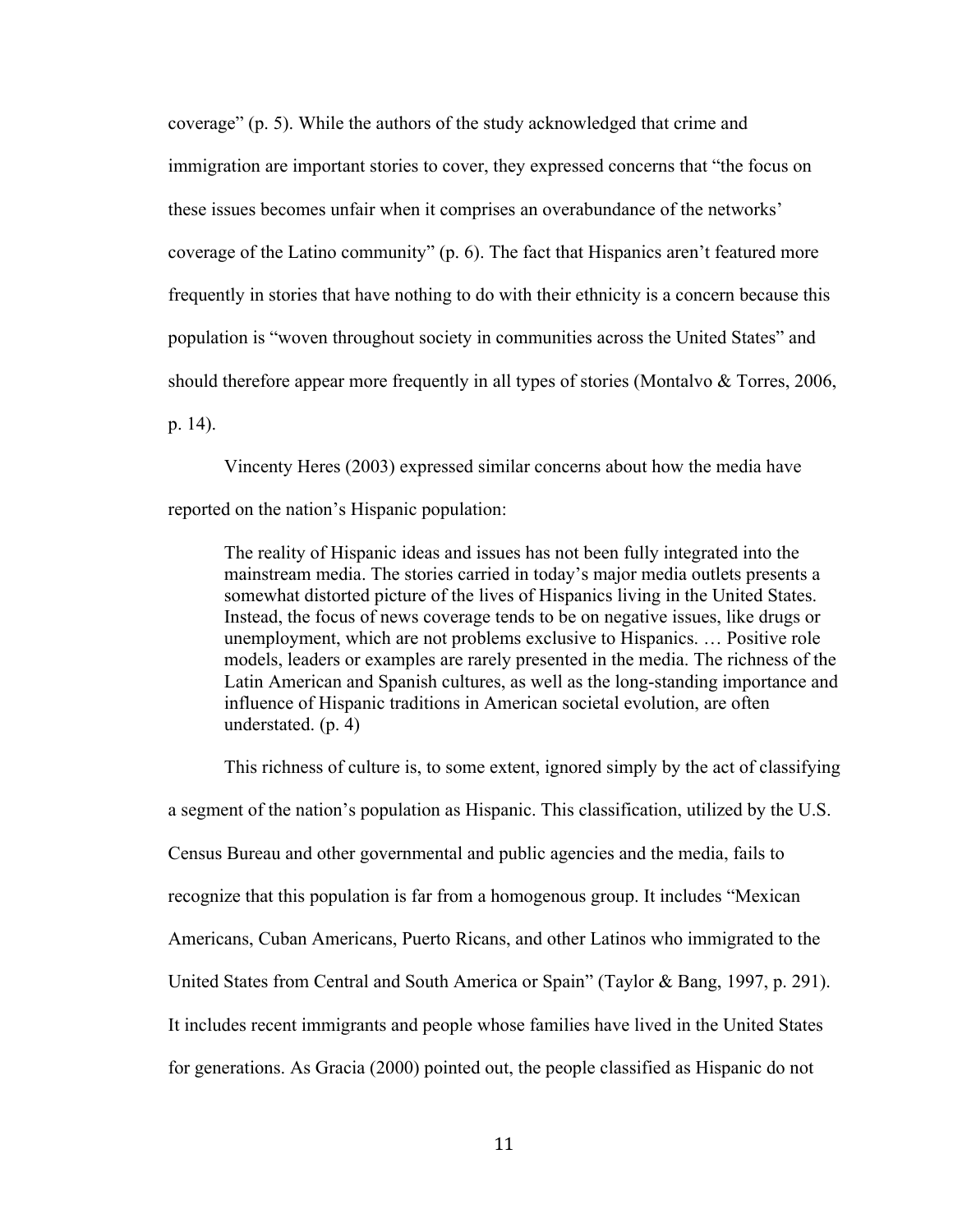coverage" (p. 5). While the authors of the study acknowledged that crime and immigration are important stories to cover, they expressed concerns that "the focus on these issues becomes unfair when it comprises an overabundance of the networks' coverage of the Latino community" (p. 6). The fact that Hispanics aren't featured more frequently in stories that have nothing to do with their ethnicity is a concern because this population is "woven throughout society in communities across the United States" and should therefore appear more frequently in all types of stories (Montalvo  $\&$  Torres, 2006, p. 14).

Vincenty Heres (2003) expressed similar concerns about how the media have reported on the nation's Hispanic population:

The reality of Hispanic ideas and issues has not been fully integrated into the mainstream media. The stories carried in today's major media outlets presents a somewhat distorted picture of the lives of Hispanics living in the United States. Instead, the focus of news coverage tends to be on negative issues, like drugs or unemployment, which are not problems exclusive to Hispanics. … Positive role models, leaders or examples are rarely presented in the media. The richness of the Latin American and Spanish cultures, as well as the long-standing importance and influence of Hispanic traditions in American societal evolution, are often understated. (p. 4)

This richness of culture is, to some extent, ignored simply by the act of classifying a segment of the nation's population as Hispanic. This classification, utilized by the U.S. Census Bureau and other governmental and public agencies and the media, fails to recognize that this population is far from a homogenous group. It includes "Mexican Americans, Cuban Americans, Puerto Ricans, and other Latinos who immigrated to the United States from Central and South America or Spain" (Taylor & Bang, 1997, p. 291). It includes recent immigrants and people whose families have lived in the United States for generations. As Gracia (2000) pointed out, the people classified as Hispanic do not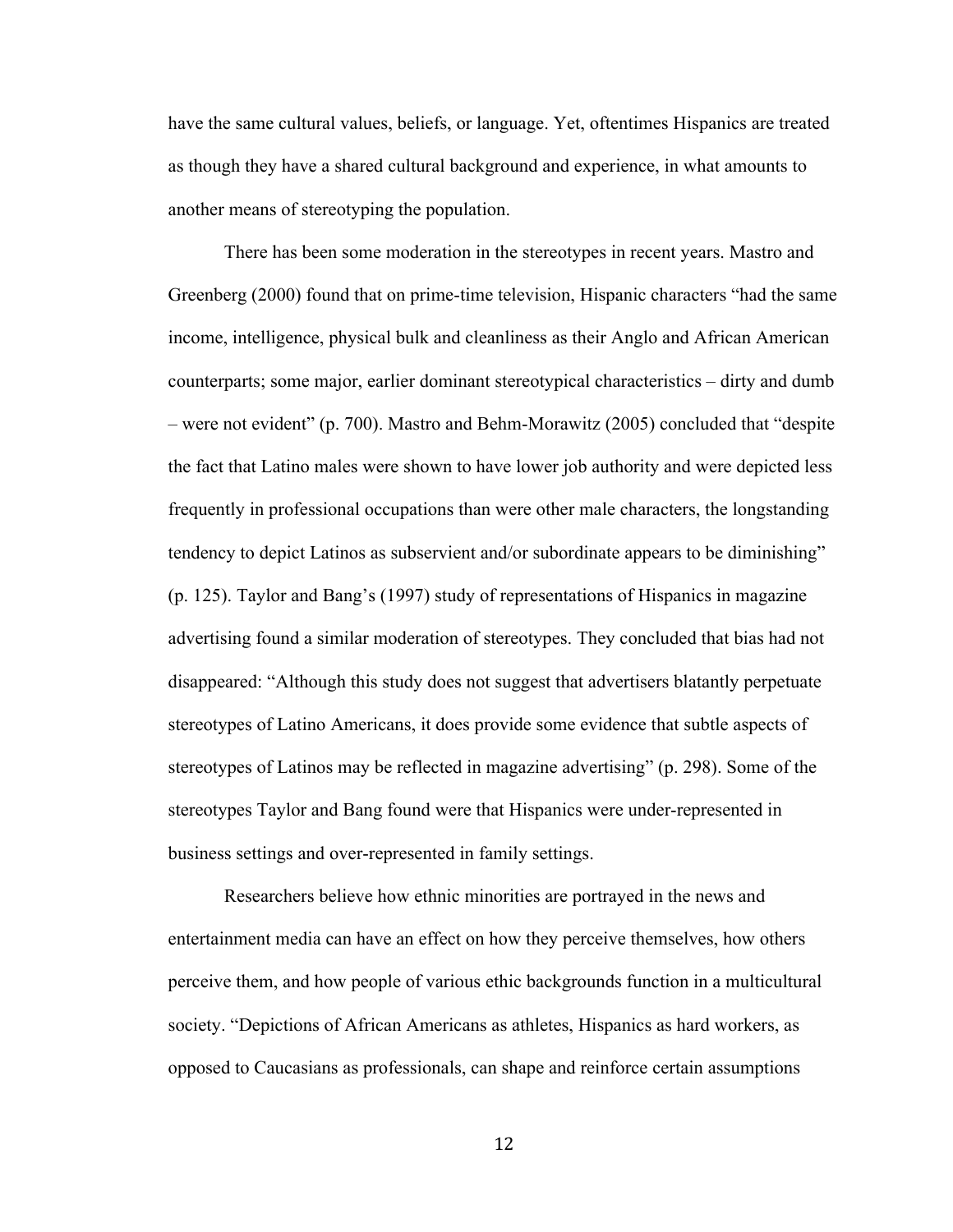have the same cultural values, beliefs, or language. Yet, oftentimes Hispanics are treated as though they have a shared cultural background and experience, in what amounts to another means of stereotyping the population.

There has been some moderation in the stereotypes in recent years. Mastro and Greenberg (2000) found that on prime-time television, Hispanic characters "had the same income, intelligence, physical bulk and cleanliness as their Anglo and African American counterparts; some major, earlier dominant stereotypical characteristics – dirty and dumb – were not evident" (p. 700). Mastro and Behm-Morawitz (2005) concluded that "despite the fact that Latino males were shown to have lower job authority and were depicted less frequently in professional occupations than were other male characters, the longstanding tendency to depict Latinos as subservient and/or subordinate appears to be diminishing" (p. 125). Taylor and Bang's (1997) study of representations of Hispanics in magazine advertising found a similar moderation of stereotypes. They concluded that bias had not disappeared: "Although this study does not suggest that advertisers blatantly perpetuate stereotypes of Latino Americans, it does provide some evidence that subtle aspects of stereotypes of Latinos may be reflected in magazine advertising" (p. 298). Some of the stereotypes Taylor and Bang found were that Hispanics were under-represented in business settings and over-represented in family settings.

Researchers believe how ethnic minorities are portrayed in the news and entertainment media can have an effect on how they perceive themselves, how others perceive them, and how people of various ethic backgrounds function in a multicultural society. "Depictions of African Americans as athletes, Hispanics as hard workers, as opposed to Caucasians as professionals, can shape and reinforce certain assumptions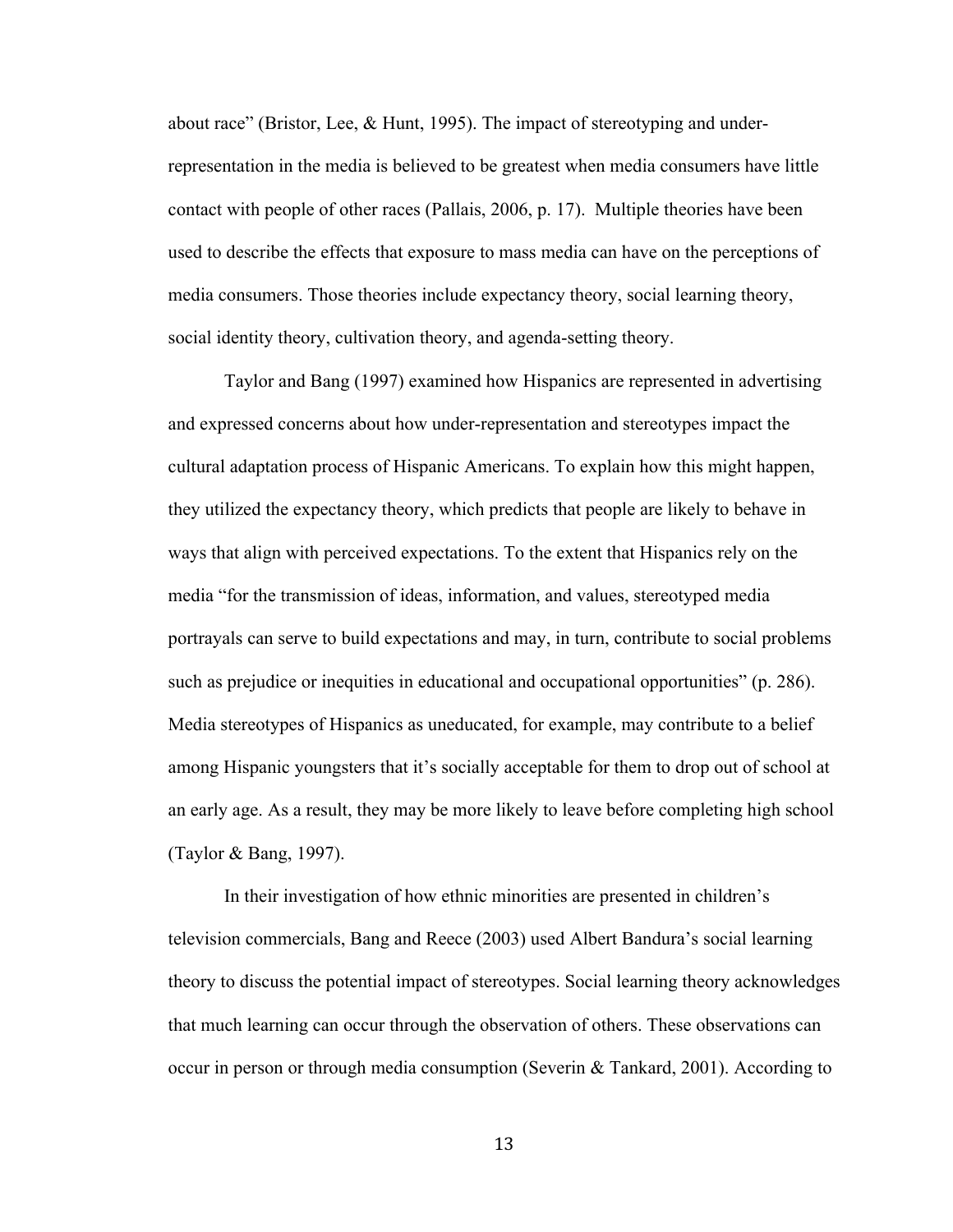about race" (Bristor, Lee, & Hunt, 1995). The impact of stereotyping and underrepresentation in the media is believed to be greatest when media consumers have little contact with people of other races (Pallais, 2006, p. 17). Multiple theories have been used to describe the effects that exposure to mass media can have on the perceptions of media consumers. Those theories include expectancy theory, social learning theory, social identity theory, cultivation theory, and agenda-setting theory.

Taylor and Bang (1997) examined how Hispanics are represented in advertising and expressed concerns about how under-representation and stereotypes impact the cultural adaptation process of Hispanic Americans. To explain how this might happen, they utilized the expectancy theory, which predicts that people are likely to behave in ways that align with perceived expectations. To the extent that Hispanics rely on the media "for the transmission of ideas, information, and values, stereotyped media portrayals can serve to build expectations and may, in turn, contribute to social problems such as prejudice or inequities in educational and occupational opportunities" (p. 286). Media stereotypes of Hispanics as uneducated, for example, may contribute to a belief among Hispanic youngsters that it's socially acceptable for them to drop out of school at an early age. As a result, they may be more likely to leave before completing high school (Taylor & Bang, 1997).

In their investigation of how ethnic minorities are presented in children's television commercials, Bang and Reece (2003) used Albert Bandura's social learning theory to discuss the potential impact of stereotypes. Social learning theory acknowledges that much learning can occur through the observation of others. These observations can occur in person or through media consumption (Severin & Tankard, 2001). According to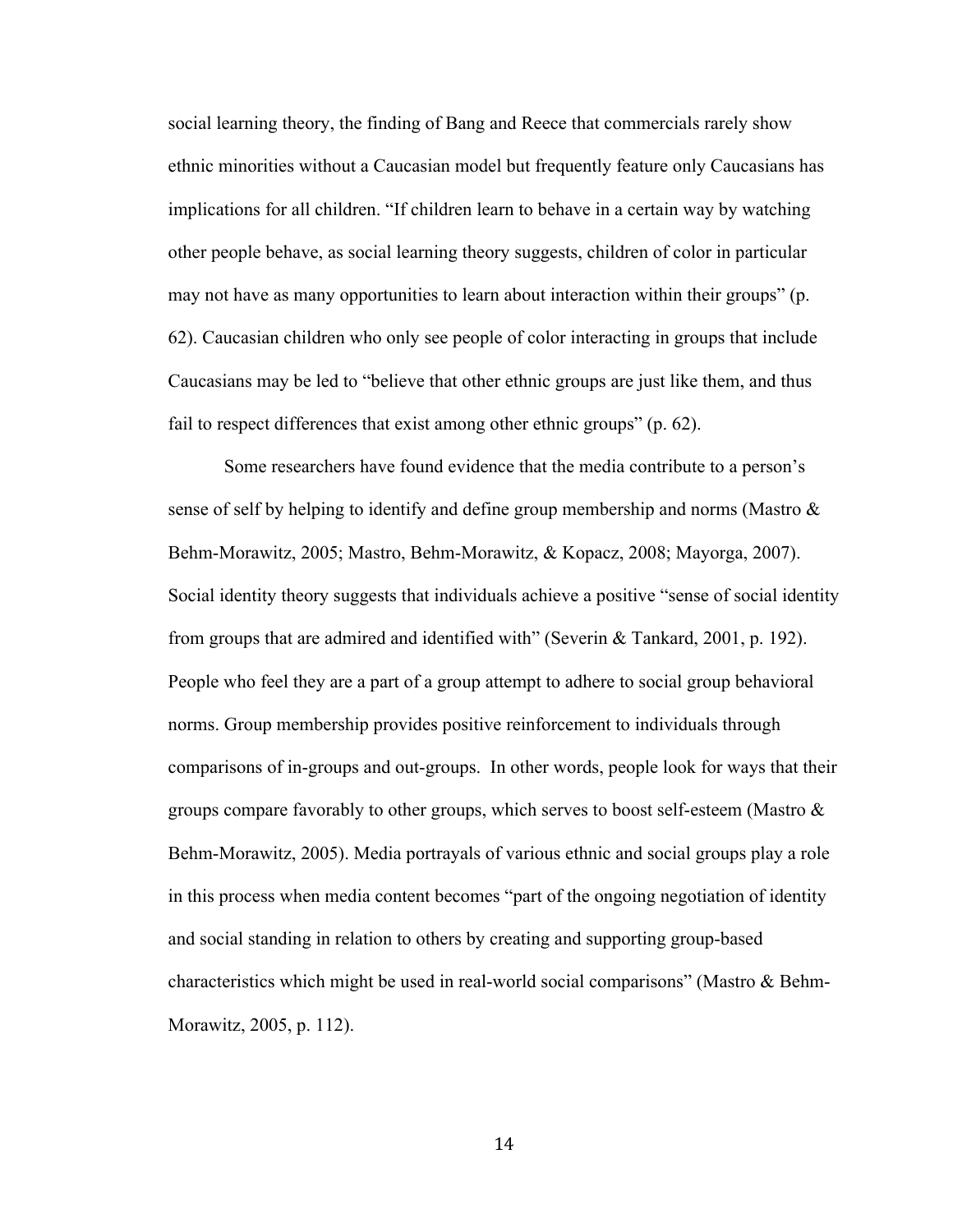social learning theory, the finding of Bang and Reece that commercials rarely show ethnic minorities without a Caucasian model but frequently feature only Caucasians has implications for all children. "If children learn to behave in a certain way by watching other people behave, as social learning theory suggests, children of color in particular may not have as many opportunities to learn about interaction within their groups" (p. 62). Caucasian children who only see people of color interacting in groups that include Caucasians may be led to "believe that other ethnic groups are just like them, and thus fail to respect differences that exist among other ethnic groups" (p. 62).

Some researchers have found evidence that the media contribute to a person's sense of self by helping to identify and define group membership and norms (Mastro & Behm-Morawitz, 2005; Mastro, Behm-Morawitz, & Kopacz, 2008; Mayorga, 2007). Social identity theory suggests that individuals achieve a positive "sense of social identity from groups that are admired and identified with" (Severin & Tankard, 2001, p. 192). People who feel they are a part of a group attempt to adhere to social group behavioral norms. Group membership provides positive reinforcement to individuals through comparisons of in-groups and out-groups. In other words, people look for ways that their groups compare favorably to other groups, which serves to boost self-esteem (Mastro  $\&$ Behm-Morawitz, 2005). Media portrayals of various ethnic and social groups play a role in this process when media content becomes "part of the ongoing negotiation of identity and social standing in relation to others by creating and supporting group-based characteristics which might be used in real-world social comparisons" (Mastro & Behm-Morawitz, 2005, p. 112).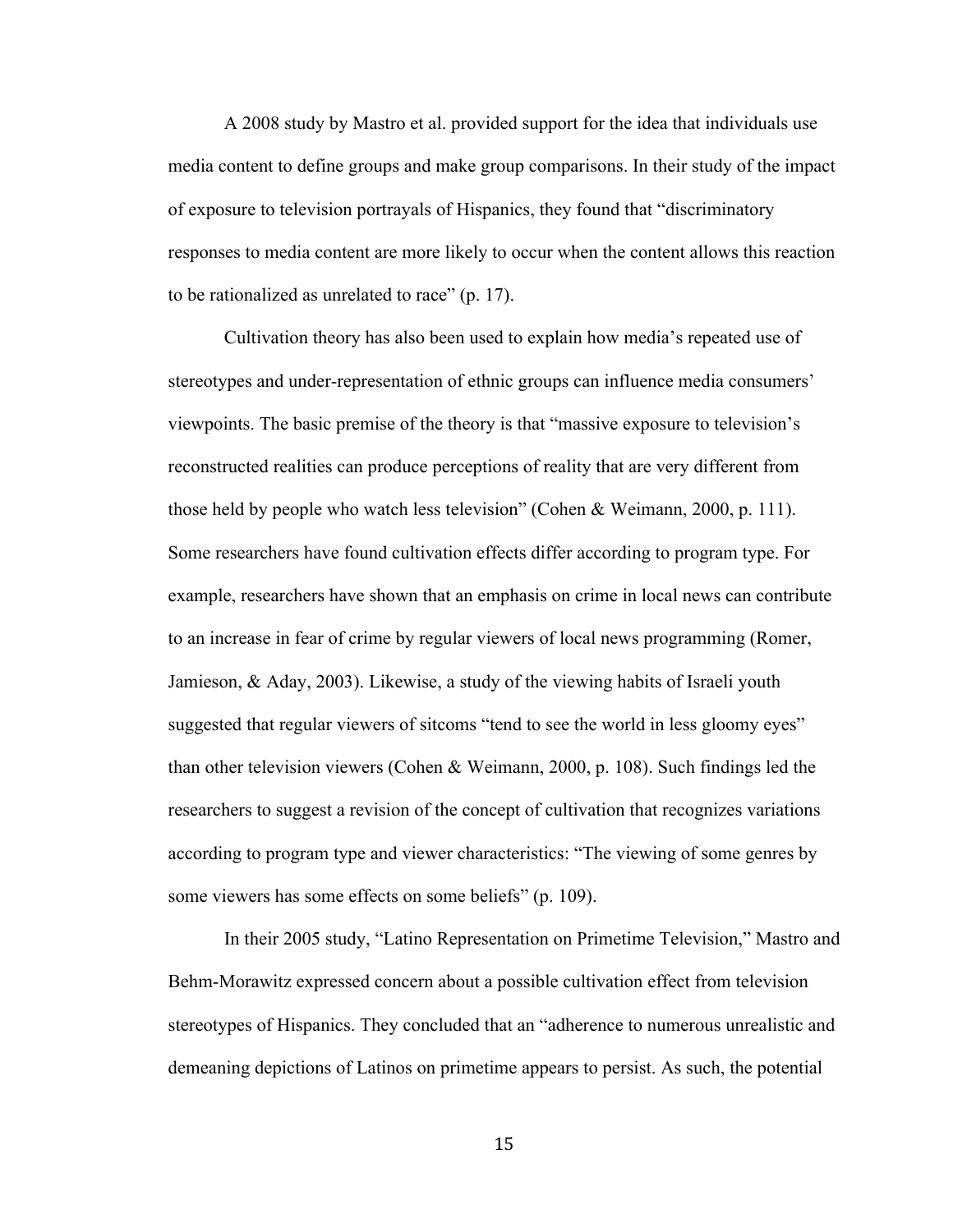A 2008 study by Mastro et al. provided support for the idea that individuals use media content to define groups and make group comparisons. In their study of the impact of exposure to television portrayals of Hispanics, they found that "discriminatory responses to media content are more likely to occur when the content allows this reaction to be rationalized as unrelated to race" (p. 17).

Cultivation theory has also been used to explain how media's repeated use of stereotypes and under-representation of ethnic groups can influence media consumers' viewpoints. The basic premise of the theory is that "massive exposure to television's reconstructed realities can produce perceptions of reality that are very different from those held by people who watch less television" (Cohen & Weimann, 2000, p. 111). Some researchers have found cultivation effects differ according to program type. For example, researchers have shown that an emphasis on crime in local news can contribute to an increase in fear of crime by regular viewers of local news programming (Romer, Jamieson, & Aday, 2003). Likewise, a study of the viewing habits of Israeli youth suggested that regular viewers of sitcoms "tend to see the world in less gloomy eyes" than other television viewers (Cohen & Weimann, 2000, p. 108). Such findings led the researchers to suggest a revision of the concept of cultivation that recognizes variations according to program type and viewer characteristics: "The viewing of some genres by some viewers has some effects on some beliefs" (p. 109).

In their 2005 study, "Latino Representation on Primetime Television," Mastro and Behm-Morawitz expressed concern about a possible cultivation effect from television stereotypes of Hispanics. They concluded that an "adherence to numerous unrealistic and demeaning depictions of Latinos on primetime appears to persist. As such, the potential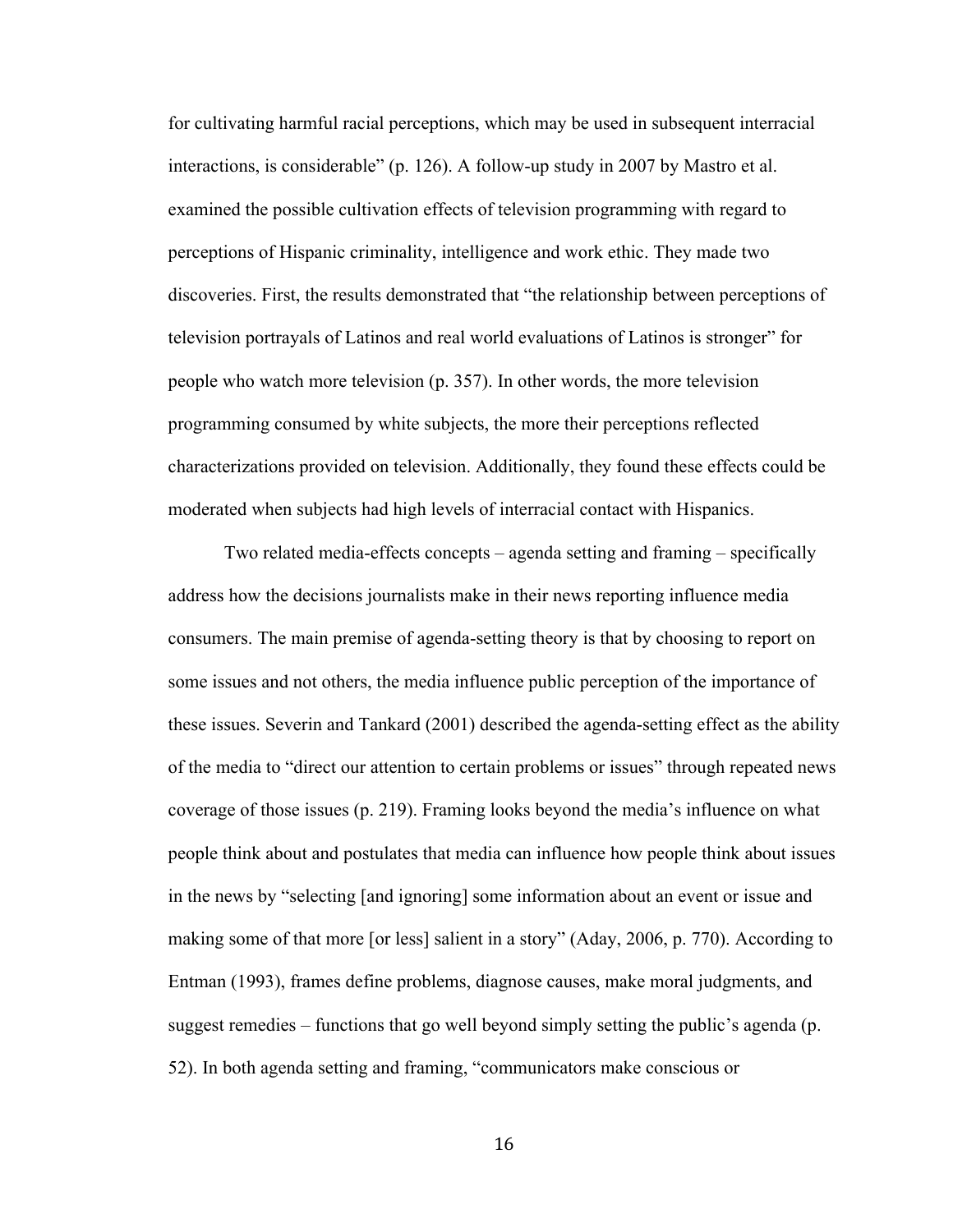for cultivating harmful racial perceptions, which may be used in subsequent interracial interactions, is considerable" (p. 126). A follow-up study in 2007 by Mastro et al. examined the possible cultivation effects of television programming with regard to perceptions of Hispanic criminality, intelligence and work ethic. They made two discoveries. First, the results demonstrated that "the relationship between perceptions of television portrayals of Latinos and real world evaluations of Latinos is stronger" for people who watch more television (p. 357). In other words, the more television programming consumed by white subjects, the more their perceptions reflected characterizations provided on television. Additionally, they found these effects could be moderated when subjects had high levels of interracial contact with Hispanics.

Two related media-effects concepts – agenda setting and framing – specifically address how the decisions journalists make in their news reporting influence media consumers. The main premise of agenda-setting theory is that by choosing to report on some issues and not others, the media influence public perception of the importance of these issues. Severin and Tankard (2001) described the agenda-setting effect as the ability of the media to "direct our attention to certain problems or issues" through repeated news coverage of those issues (p. 219). Framing looks beyond the media's influence on what people think about and postulates that media can influence how people think about issues in the news by "selecting [and ignoring] some information about an event or issue and making some of that more [or less] salient in a story" (Aday, 2006, p. 770). According to Entman (1993), frames define problems, diagnose causes, make moral judgments, and suggest remedies – functions that go well beyond simply setting the public's agenda (p. 52). In both agenda setting and framing, "communicators make conscious or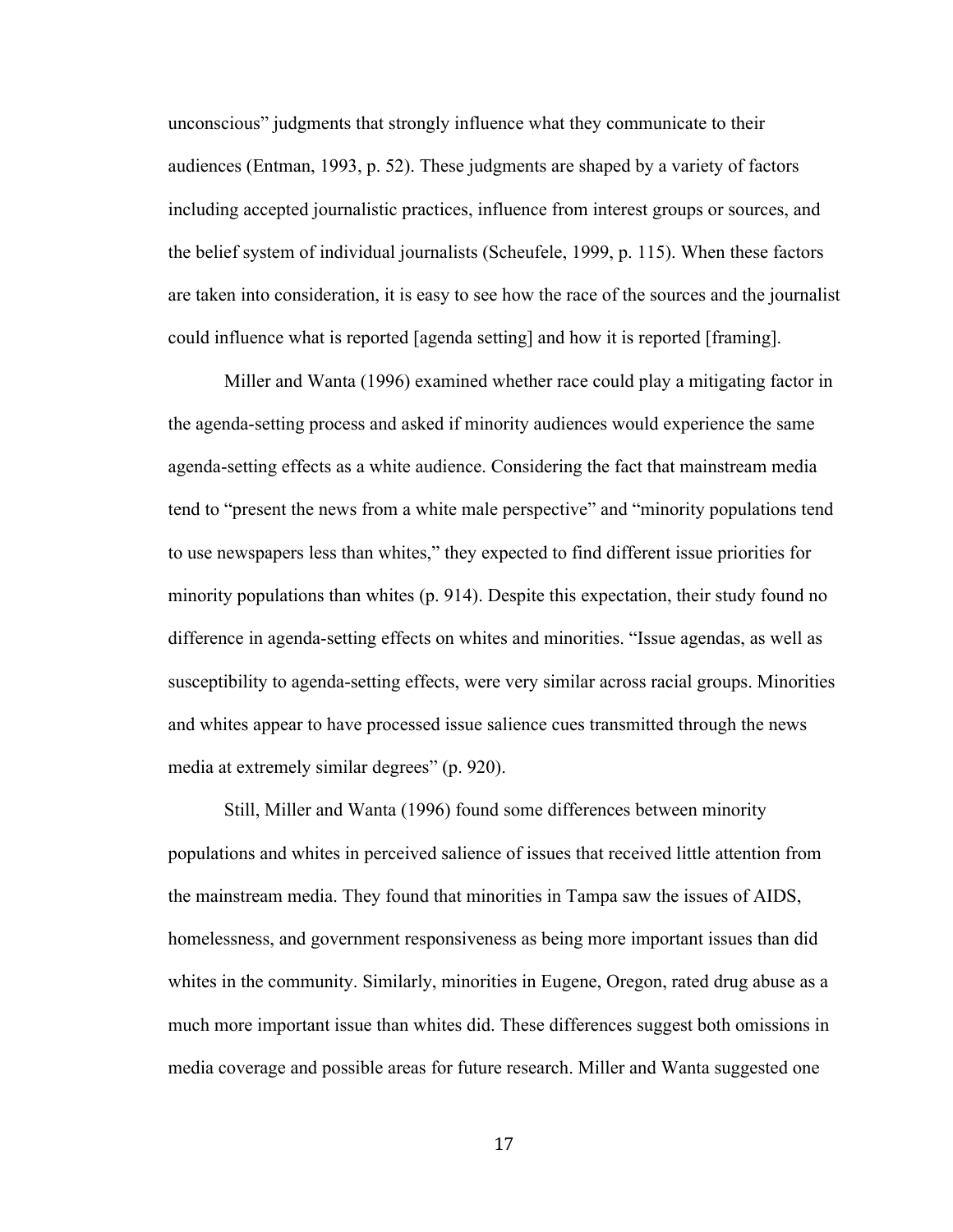unconscious" judgments that strongly influence what they communicate to their audiences (Entman, 1993, p. 52). These judgments are shaped by a variety of factors including accepted journalistic practices, influence from interest groups or sources, and the belief system of individual journalists (Scheufele, 1999, p. 115). When these factors are taken into consideration, it is easy to see how the race of the sources and the journalist could influence what is reported [agenda setting] and how it is reported [framing].

Miller and Wanta (1996) examined whether race could play a mitigating factor in the agenda-setting process and asked if minority audiences would experience the same agenda-setting effects as a white audience. Considering the fact that mainstream media tend to "present the news from a white male perspective" and "minority populations tend to use newspapers less than whites," they expected to find different issue priorities for minority populations than whites (p. 914). Despite this expectation, their study found no difference in agenda-setting effects on whites and minorities. "Issue agendas, as well as susceptibility to agenda-setting effects, were very similar across racial groups. Minorities and whites appear to have processed issue salience cues transmitted through the news media at extremely similar degrees" (p. 920).

Still, Miller and Wanta (1996) found some differences between minority populations and whites in perceived salience of issues that received little attention from the mainstream media. They found that minorities in Tampa saw the issues of AIDS, homelessness, and government responsiveness as being more important issues than did whites in the community. Similarly, minorities in Eugene, Oregon, rated drug abuse as a much more important issue than whites did. These differences suggest both omissions in media coverage and possible areas for future research. Miller and Wanta suggested one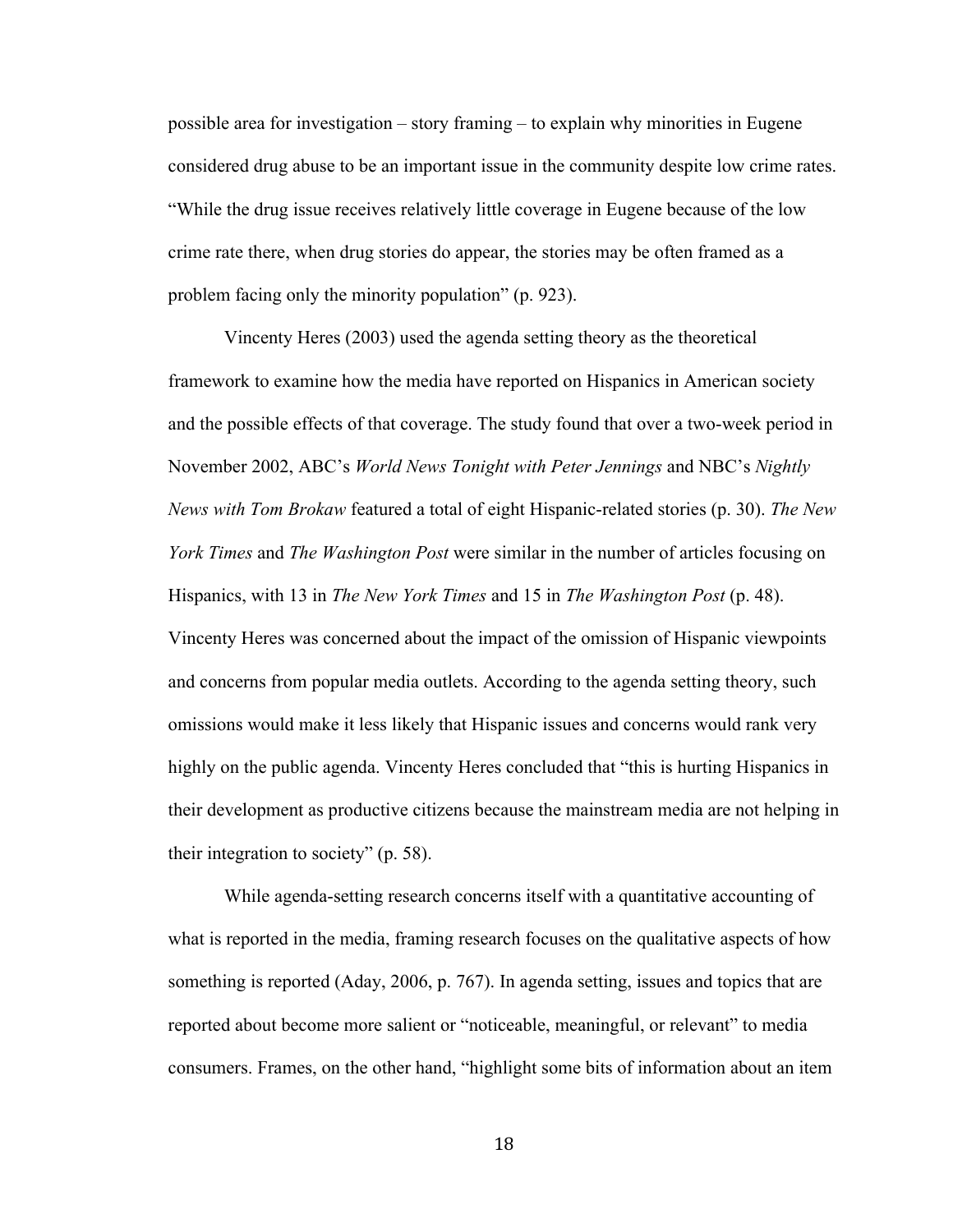possible area for investigation – story framing – to explain why minorities in Eugene considered drug abuse to be an important issue in the community despite low crime rates. "While the drug issue receives relatively little coverage in Eugene because of the low crime rate there, when drug stories do appear, the stories may be often framed as a problem facing only the minority population" (p. 923).

Vincenty Heres (2003) used the agenda setting theory as the theoretical framework to examine how the media have reported on Hispanics in American society and the possible effects of that coverage. The study found that over a two-week period in November 2002, ABC's *World News Tonight with Peter Jennings* and NBC's *Nightly News with Tom Brokaw* featured a total of eight Hispanic-related stories (p. 30). *The New York Times* and *The Washington Post* were similar in the number of articles focusing on Hispanics, with 13 in *The New York Times* and 15 in *The Washington Post* (p. 48). Vincenty Heres was concerned about the impact of the omission of Hispanic viewpoints and concerns from popular media outlets. According to the agenda setting theory, such omissions would make it less likely that Hispanic issues and concerns would rank very highly on the public agenda. Vincenty Heres concluded that "this is hurting Hispanics in their development as productive citizens because the mainstream media are not helping in their integration to society" (p. 58).

While agenda-setting research concerns itself with a quantitative accounting of what is reported in the media, framing research focuses on the qualitative aspects of how something is reported (Aday, 2006, p. 767). In agenda setting, issues and topics that are reported about become more salient or "noticeable, meaningful, or relevant" to media consumers. Frames, on the other hand, "highlight some bits of information about an item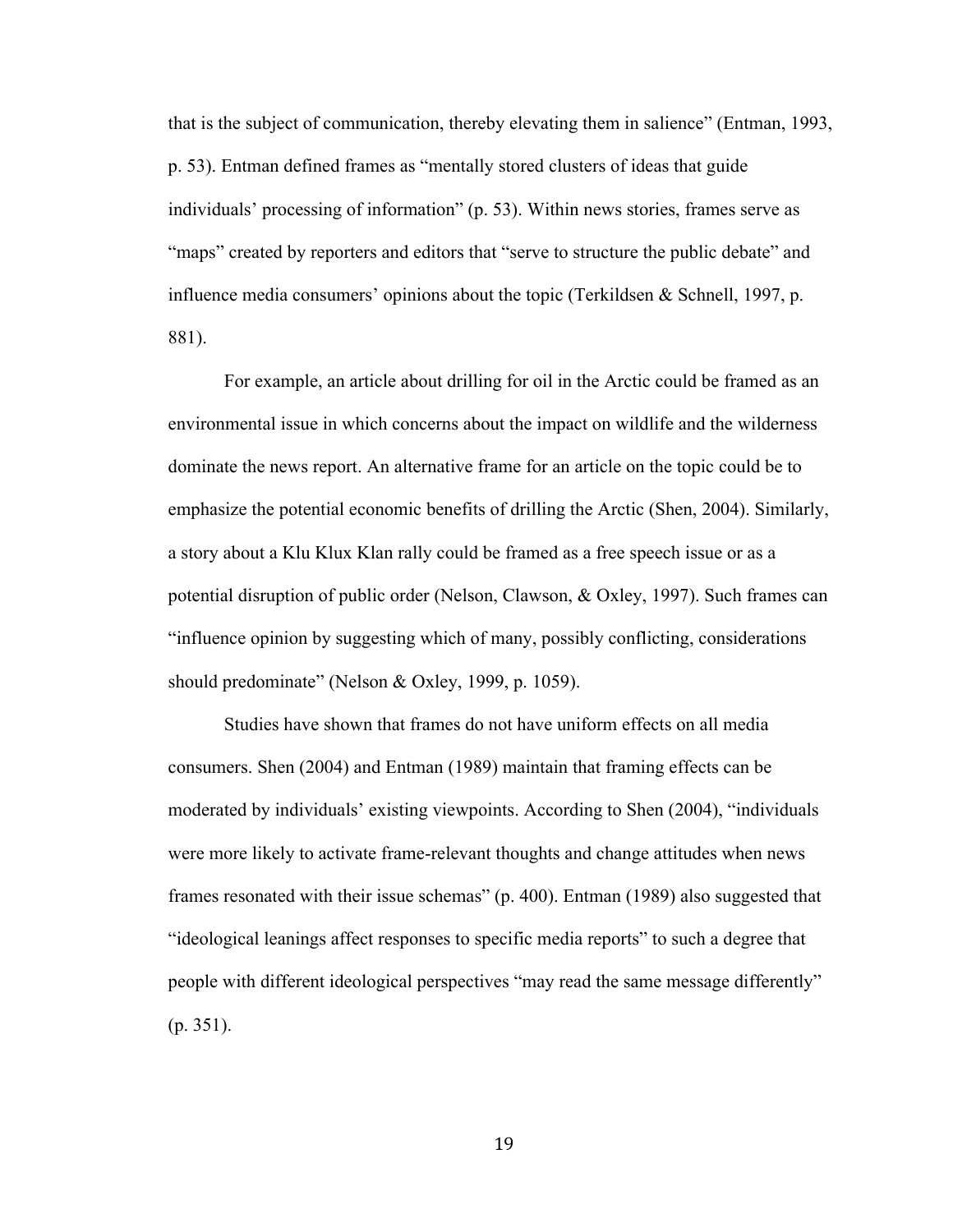that is the subject of communication, thereby elevating them in salience" (Entman, 1993, p. 53). Entman defined frames as "mentally stored clusters of ideas that guide individuals' processing of information" (p. 53). Within news stories, frames serve as "maps" created by reporters and editors that "serve to structure the public debate" and influence media consumers' opinions about the topic (Terkildsen & Schnell, 1997, p. 881).

For example, an article about drilling for oil in the Arctic could be framed as an environmental issue in which concerns about the impact on wildlife and the wilderness dominate the news report. An alternative frame for an article on the topic could be to emphasize the potential economic benefits of drilling the Arctic (Shen, 2004). Similarly, a story about a Klu Klux Klan rally could be framed as a free speech issue or as a potential disruption of public order (Nelson, Clawson, & Oxley, 1997). Such frames can "influence opinion by suggesting which of many, possibly conflicting, considerations should predominate" (Nelson & Oxley, 1999, p. 1059).

Studies have shown that frames do not have uniform effects on all media consumers. Shen (2004) and Entman (1989) maintain that framing effects can be moderated by individuals' existing viewpoints. According to Shen (2004), "individuals were more likely to activate frame-relevant thoughts and change attitudes when news frames resonated with their issue schemas" (p. 400). Entman (1989) also suggested that "ideological leanings affect responses to specific media reports" to such a degree that people with different ideological perspectives "may read the same message differently" (p. 351).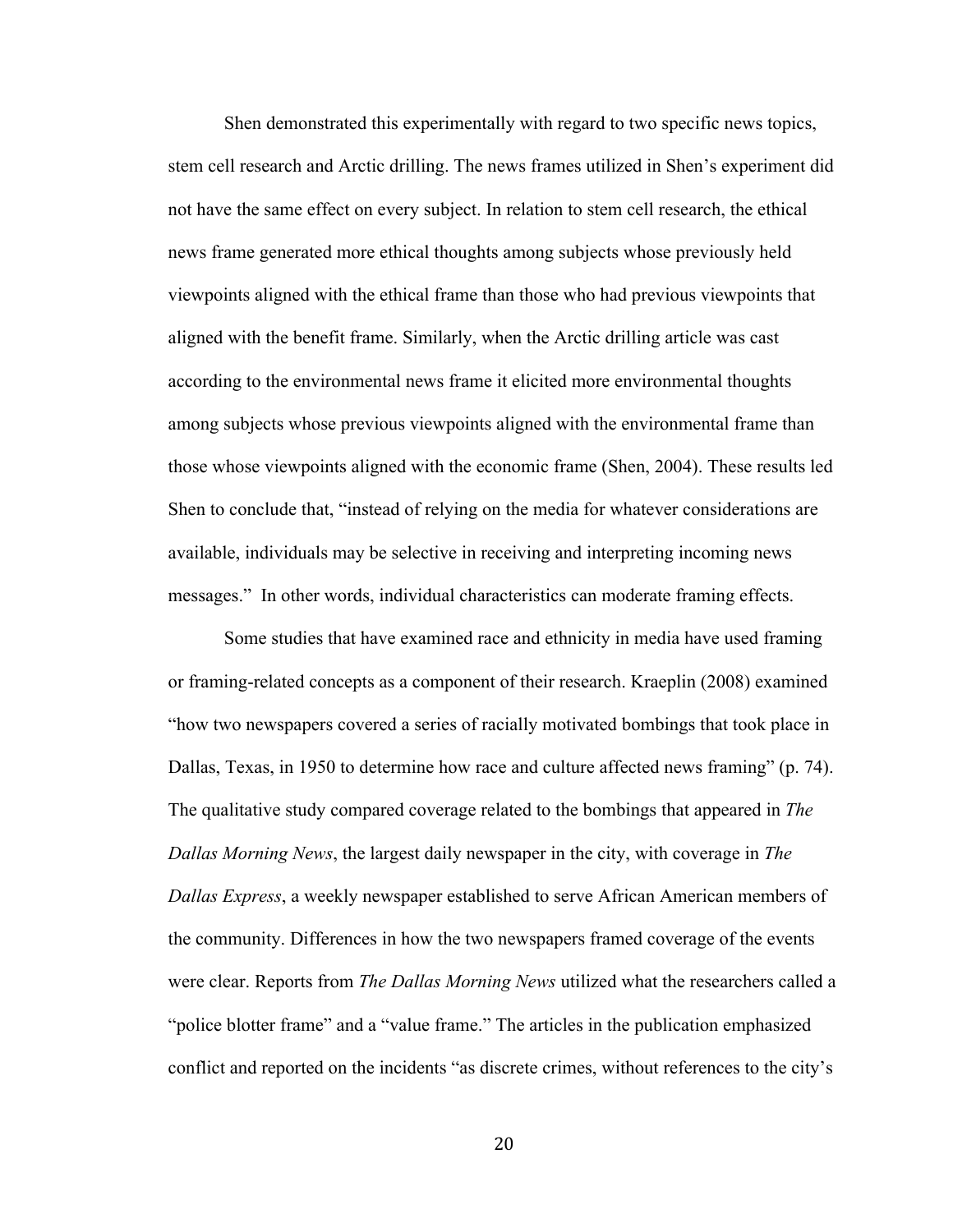Shen demonstrated this experimentally with regard to two specific news topics, stem cell research and Arctic drilling. The news frames utilized in Shen's experiment did not have the same effect on every subject. In relation to stem cell research, the ethical news frame generated more ethical thoughts among subjects whose previously held viewpoints aligned with the ethical frame than those who had previous viewpoints that aligned with the benefit frame. Similarly, when the Arctic drilling article was cast according to the environmental news frame it elicited more environmental thoughts among subjects whose previous viewpoints aligned with the environmental frame than those whose viewpoints aligned with the economic frame (Shen, 2004). These results led Shen to conclude that, "instead of relying on the media for whatever considerations are available, individuals may be selective in receiving and interpreting incoming news messages." In other words, individual characteristics can moderate framing effects.

Some studies that have examined race and ethnicity in media have used framing or framing-related concepts as a component of their research. Kraeplin (2008) examined "how two newspapers covered a series of racially motivated bombings that took place in Dallas, Texas, in 1950 to determine how race and culture affected news framing" (p. 74). The qualitative study compared coverage related to the bombings that appeared in *The Dallas Morning News*, the largest daily newspaper in the city, with coverage in *The Dallas Express*, a weekly newspaper established to serve African American members of the community. Differences in how the two newspapers framed coverage of the events were clear. Reports from *The Dallas Morning News* utilized what the researchers called a "police blotter frame" and a "value frame." The articles in the publication emphasized conflict and reported on the incidents "as discrete crimes, without references to the city's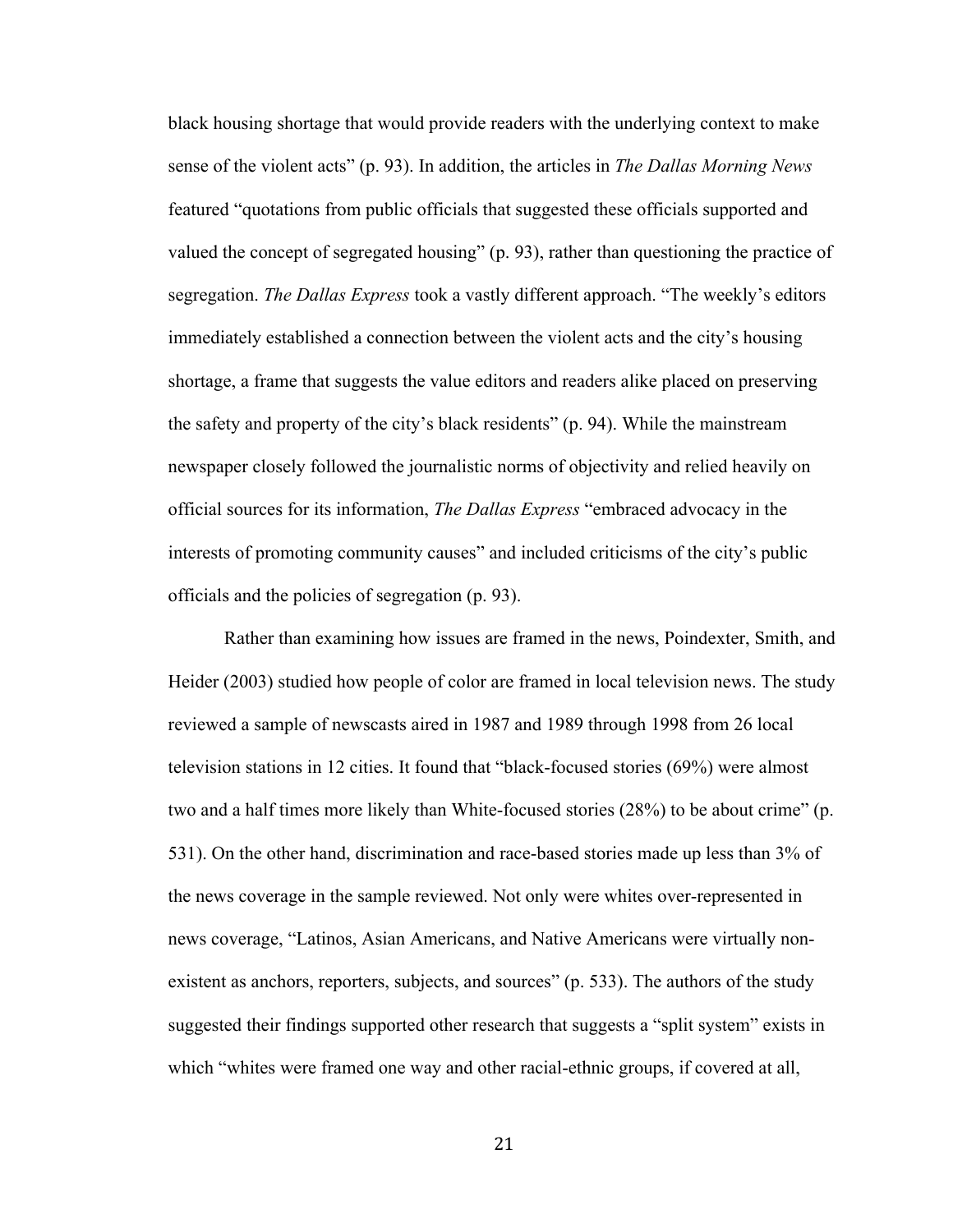black housing shortage that would provide readers with the underlying context to make sense of the violent acts" (p. 93). In addition, the articles in *The Dallas Morning News*  featured "quotations from public officials that suggested these officials supported and valued the concept of segregated housing" (p. 93), rather than questioning the practice of segregation. *The Dallas Express* took a vastly different approach. "The weekly's editors immediately established a connection between the violent acts and the city's housing shortage, a frame that suggests the value editors and readers alike placed on preserving the safety and property of the city's black residents" (p. 94). While the mainstream newspaper closely followed the journalistic norms of objectivity and relied heavily on official sources for its information, *The Dallas Express* "embraced advocacy in the interests of promoting community causes" and included criticisms of the city's public officials and the policies of segregation (p. 93).

Rather than examining how issues are framed in the news, Poindexter, Smith, and Heider (2003) studied how people of color are framed in local television news. The study reviewed a sample of newscasts aired in 1987 and 1989 through 1998 from 26 local television stations in 12 cities. It found that "black-focused stories (69%) were almost two and a half times more likely than White-focused stories (28%) to be about crime" (p. 531). On the other hand, discrimination and race-based stories made up less than 3% of the news coverage in the sample reviewed. Not only were whites over-represented in news coverage, "Latinos, Asian Americans, and Native Americans were virtually nonexistent as anchors, reporters, subjects, and sources" (p. 533). The authors of the study suggested their findings supported other research that suggests a "split system" exists in which "whites were framed one way and other racial-ethnic groups, if covered at all,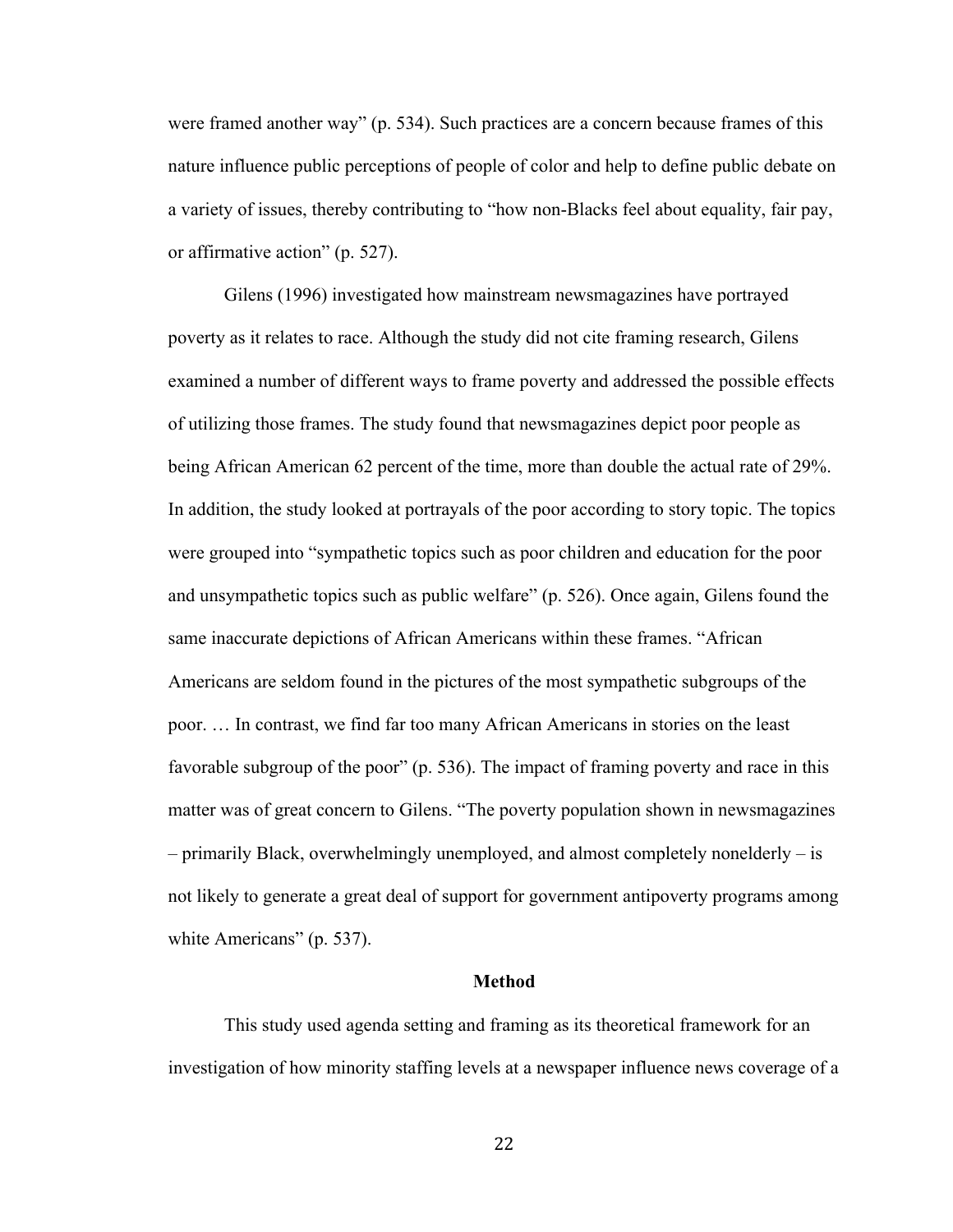were framed another way" (p. 534). Such practices are a concern because frames of this nature influence public perceptions of people of color and help to define public debate on a variety of issues, thereby contributing to "how non-Blacks feel about equality, fair pay, or affirmative action" (p. 527).

Gilens (1996) investigated how mainstream newsmagazines have portrayed poverty as it relates to race. Although the study did not cite framing research, Gilens examined a number of different ways to frame poverty and addressed the possible effects of utilizing those frames. The study found that newsmagazines depict poor people as being African American 62 percent of the time, more than double the actual rate of 29%. In addition, the study looked at portrayals of the poor according to story topic. The topics were grouped into "sympathetic topics such as poor children and education for the poor and unsympathetic topics such as public welfare" (p. 526). Once again, Gilens found the same inaccurate depictions of African Americans within these frames. "African Americans are seldom found in the pictures of the most sympathetic subgroups of the poor. … In contrast, we find far too many African Americans in stories on the least favorable subgroup of the poor" (p. 536). The impact of framing poverty and race in this matter was of great concern to Gilens. "The poverty population shown in newsmagazines – primarily Black, overwhelmingly unemployed, and almost completely nonelderly – is not likely to generate a great deal of support for government antipoverty programs among white Americans" (p. 537).

#### **Method**

This study used agenda setting and framing as its theoretical framework for an investigation of how minority staffing levels at a newspaper influence news coverage of a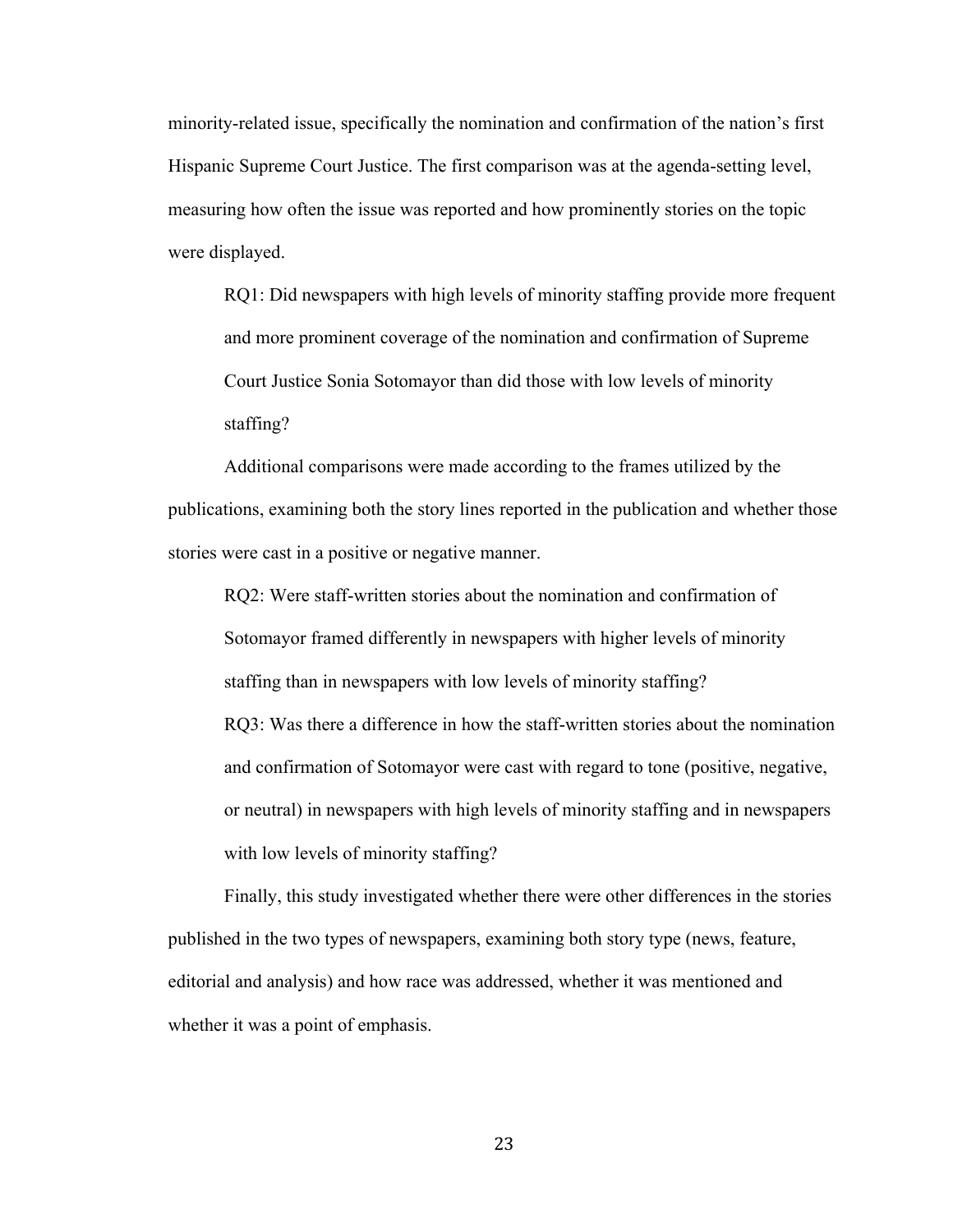minority-related issue, specifically the nomination and confirmation of the nation's first Hispanic Supreme Court Justice. The first comparison was at the agenda-setting level, measuring how often the issue was reported and how prominently stories on the topic were displayed.

RQ1: Did newspapers with high levels of minority staffing provide more frequent and more prominent coverage of the nomination and confirmation of Supreme Court Justice Sonia Sotomayor than did those with low levels of minority staffing?

Additional comparisons were made according to the frames utilized by the publications, examining both the story lines reported in the publication and whether those stories were cast in a positive or negative manner.

RQ2: Were staff-written stories about the nomination and confirmation of Sotomayor framed differently in newspapers with higher levels of minority staffing than in newspapers with low levels of minority staffing? RQ3: Was there a difference in how the staff-written stories about the nomination and confirmation of Sotomayor were cast with regard to tone (positive, negative, or neutral) in newspapers with high levels of minority staffing and in newspapers with low levels of minority staffing?

Finally, this study investigated whether there were other differences in the stories published in the two types of newspapers, examining both story type (news, feature, editorial and analysis) and how race was addressed, whether it was mentioned and whether it was a point of emphasis.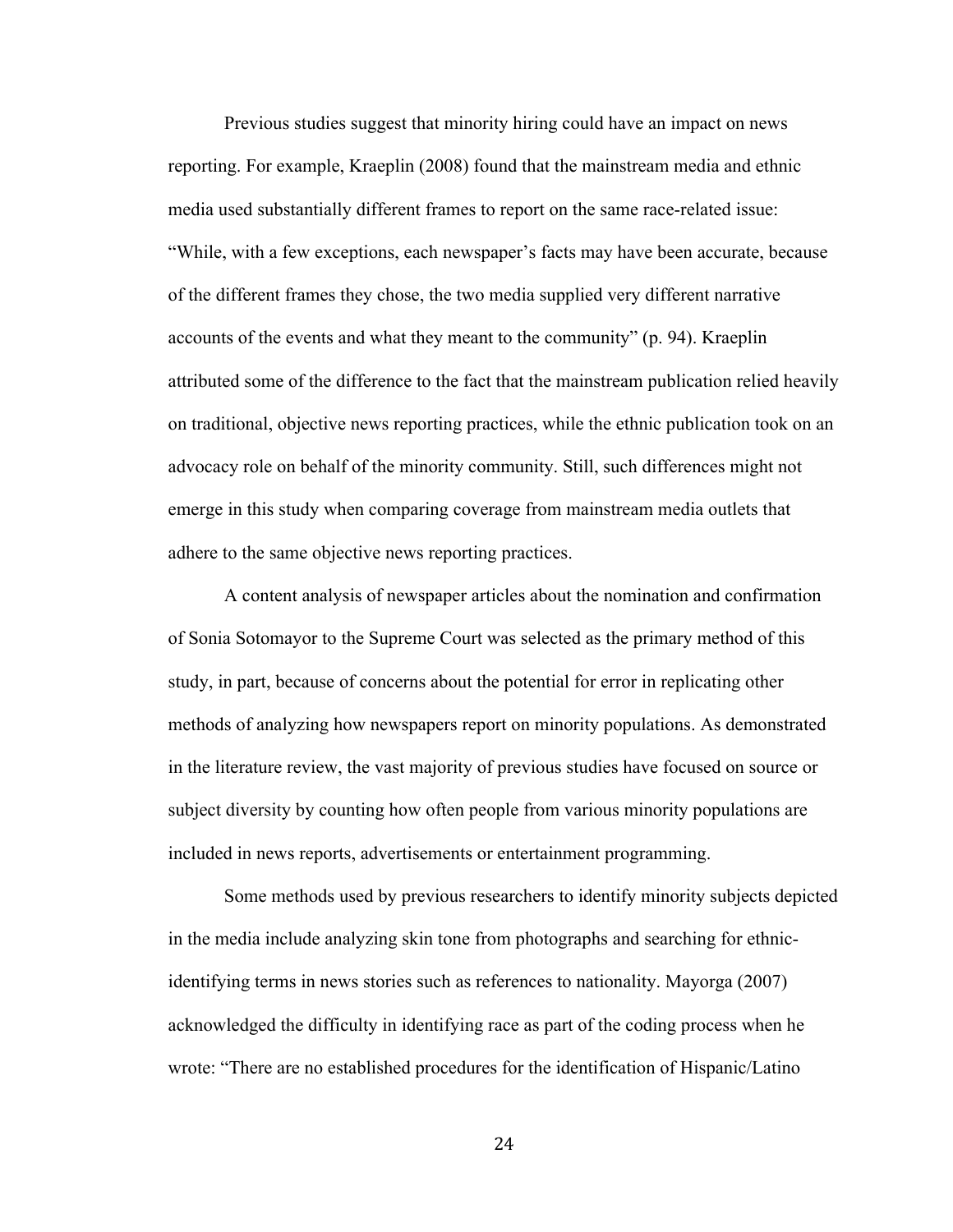Previous studies suggest that minority hiring could have an impact on news reporting. For example, Kraeplin (2008) found that the mainstream media and ethnic media used substantially different frames to report on the same race-related issue: "While, with a few exceptions, each newspaper's facts may have been accurate, because of the different frames they chose, the two media supplied very different narrative accounts of the events and what they meant to the community" (p. 94). Kraeplin attributed some of the difference to the fact that the mainstream publication relied heavily on traditional, objective news reporting practices, while the ethnic publication took on an advocacy role on behalf of the minority community. Still, such differences might not emerge in this study when comparing coverage from mainstream media outlets that adhere to the same objective news reporting practices.

A content analysis of newspaper articles about the nomination and confirmation of Sonia Sotomayor to the Supreme Court was selected as the primary method of this study, in part, because of concerns about the potential for error in replicating other methods of analyzing how newspapers report on minority populations. As demonstrated in the literature review, the vast majority of previous studies have focused on source or subject diversity by counting how often people from various minority populations are included in news reports, advertisements or entertainment programming.

Some methods used by previous researchers to identify minority subjects depicted in the media include analyzing skin tone from photographs and searching for ethnicidentifying terms in news stories such as references to nationality. Mayorga (2007) acknowledged the difficulty in identifying race as part of the coding process when he wrote: "There are no established procedures for the identification of Hispanic/Latino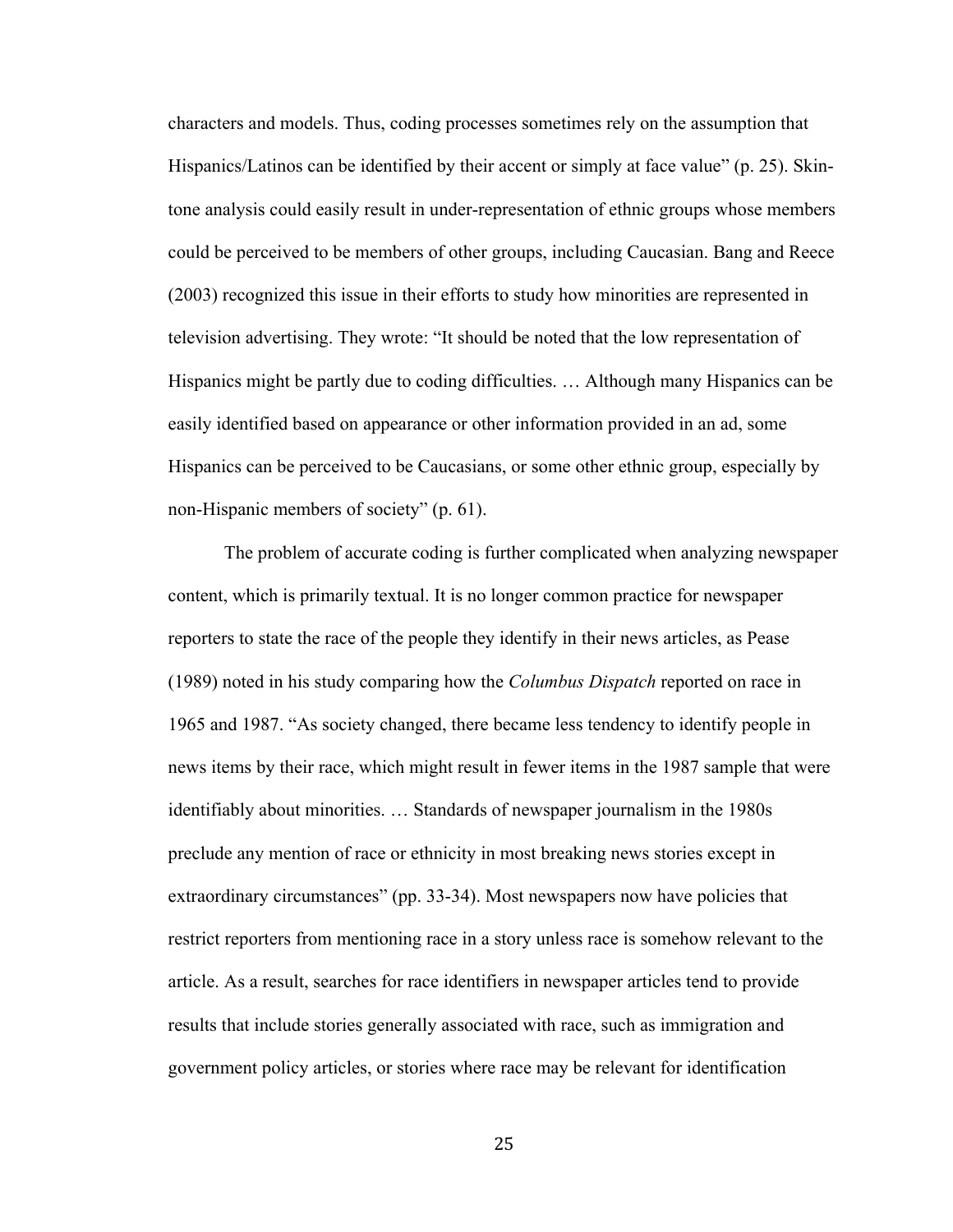characters and models. Thus, coding processes sometimes rely on the assumption that Hispanics/Latinos can be identified by their accent or simply at face value" (p. 25). Skintone analysis could easily result in under-representation of ethnic groups whose members could be perceived to be members of other groups, including Caucasian. Bang and Reece (2003) recognized this issue in their efforts to study how minorities are represented in television advertising. They wrote: "It should be noted that the low representation of Hispanics might be partly due to coding difficulties. … Although many Hispanics can be easily identified based on appearance or other information provided in an ad, some Hispanics can be perceived to be Caucasians, or some other ethnic group, especially by non-Hispanic members of society" (p. 61).

The problem of accurate coding is further complicated when analyzing newspaper content, which is primarily textual. It is no longer common practice for newspaper reporters to state the race of the people they identify in their news articles, as Pease (1989) noted in his study comparing how the *Columbus Dispatch* reported on race in 1965 and 1987. "As society changed, there became less tendency to identify people in news items by their race, which might result in fewer items in the 1987 sample that were identifiably about minorities. … Standards of newspaper journalism in the 1980s preclude any mention of race or ethnicity in most breaking news stories except in extraordinary circumstances" (pp. 33-34). Most newspapers now have policies that restrict reporters from mentioning race in a story unless race is somehow relevant to the article. As a result, searches for race identifiers in newspaper articles tend to provide results that include stories generally associated with race, such as immigration and government policy articles, or stories where race may be relevant for identification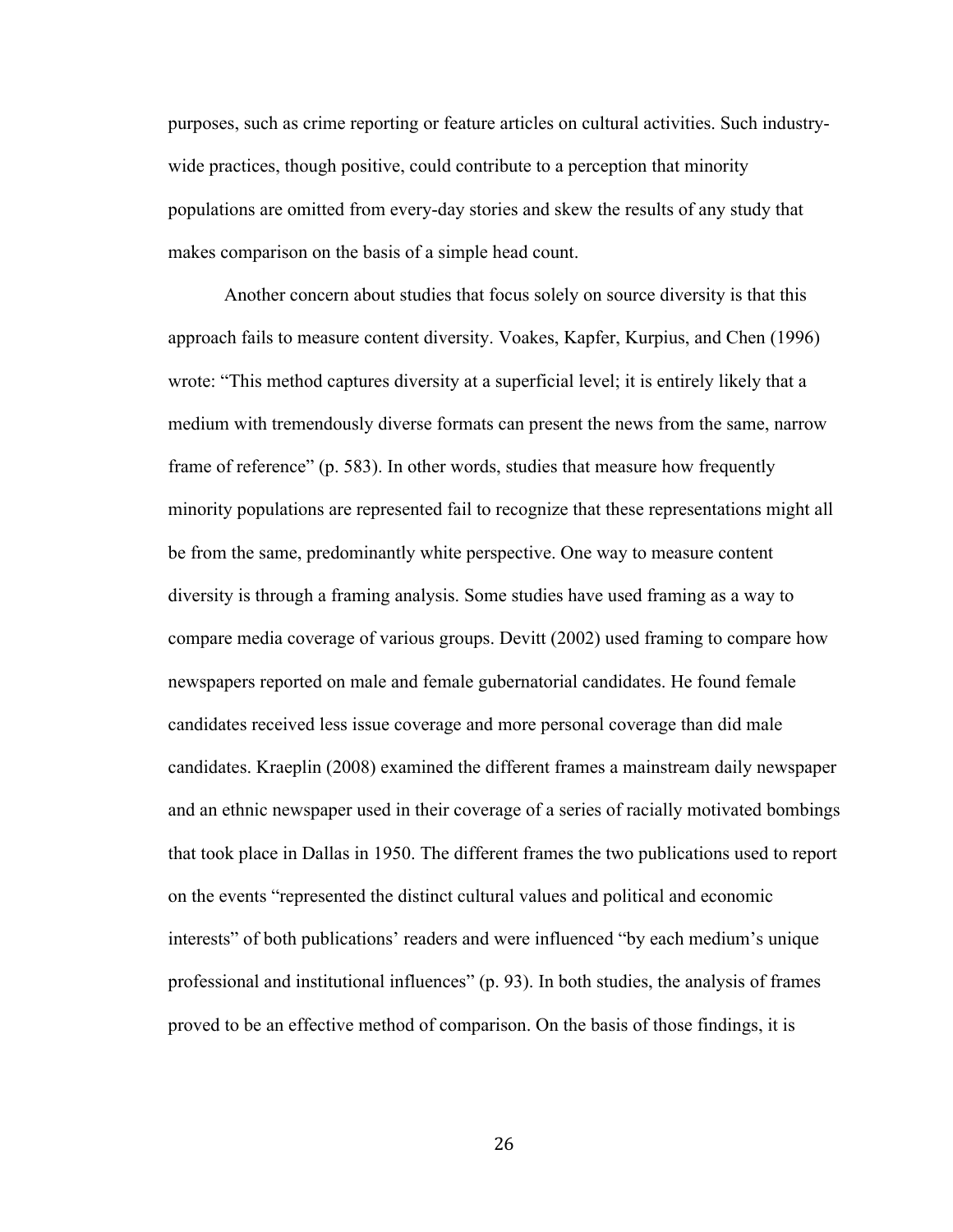purposes, such as crime reporting or feature articles on cultural activities. Such industrywide practices, though positive, could contribute to a perception that minority populations are omitted from every-day stories and skew the results of any study that makes comparison on the basis of a simple head count.

Another concern about studies that focus solely on source diversity is that this approach fails to measure content diversity. Voakes, Kapfer, Kurpius, and Chen (1996) wrote: "This method captures diversity at a superficial level; it is entirely likely that a medium with tremendously diverse formats can present the news from the same, narrow frame of reference" (p. 583). In other words, studies that measure how frequently minority populations are represented fail to recognize that these representations might all be from the same, predominantly white perspective. One way to measure content diversity is through a framing analysis. Some studies have used framing as a way to compare media coverage of various groups. Devitt (2002) used framing to compare how newspapers reported on male and female gubernatorial candidates. He found female candidates received less issue coverage and more personal coverage than did male candidates. Kraeplin (2008) examined the different frames a mainstream daily newspaper and an ethnic newspaper used in their coverage of a series of racially motivated bombings that took place in Dallas in 1950. The different frames the two publications used to report on the events "represented the distinct cultural values and political and economic interests" of both publications' readers and were influenced "by each medium's unique professional and institutional influences" (p. 93). In both studies, the analysis of frames proved to be an effective method of comparison. On the basis of those findings, it is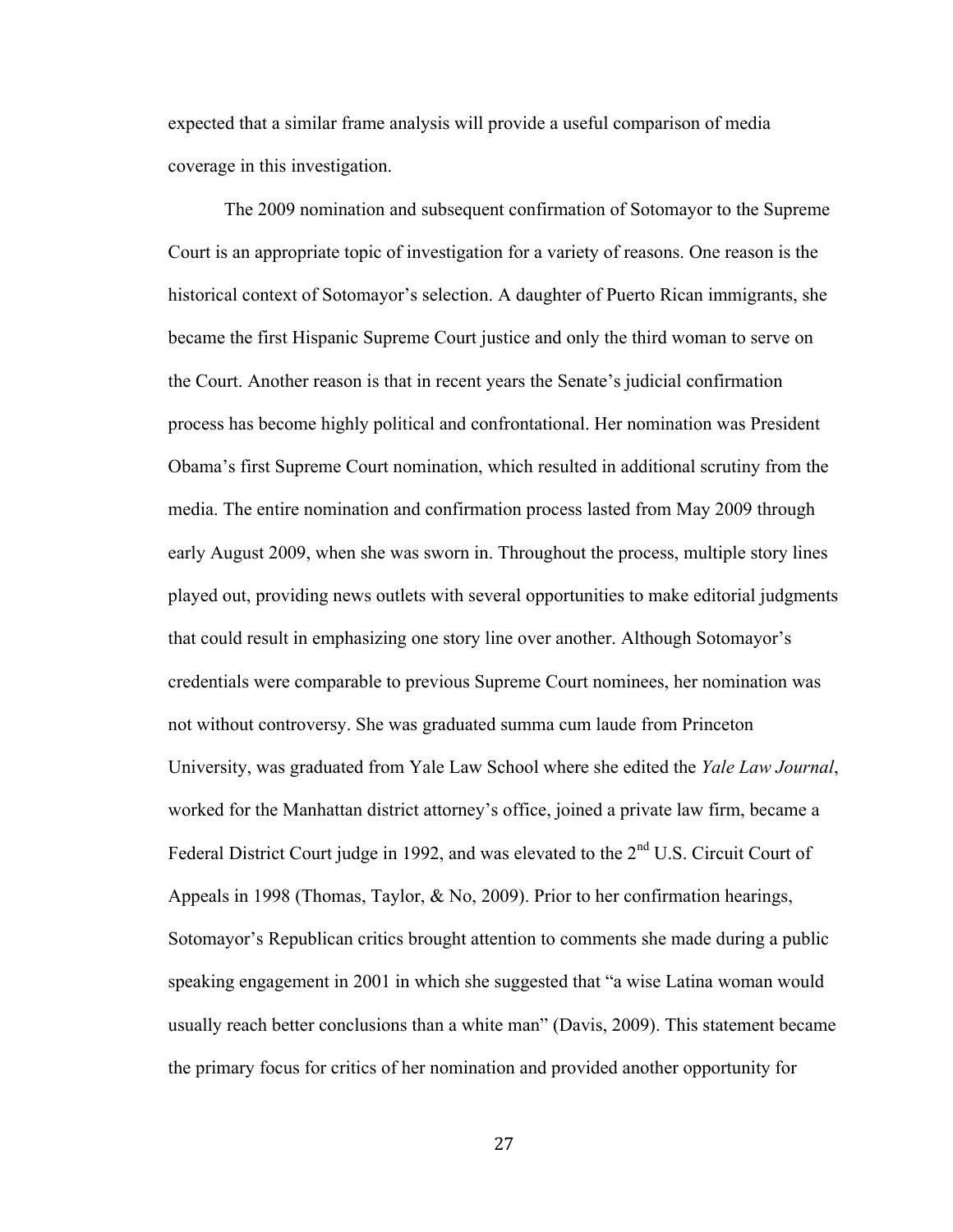expected that a similar frame analysis will provide a useful comparison of media coverage in this investigation.

The 2009 nomination and subsequent confirmation of Sotomayor to the Supreme Court is an appropriate topic of investigation for a variety of reasons. One reason is the historical context of Sotomayor's selection. A daughter of Puerto Rican immigrants, she became the first Hispanic Supreme Court justice and only the third woman to serve on the Court. Another reason is that in recent years the Senate's judicial confirmation process has become highly political and confrontational. Her nomination was President Obama's first Supreme Court nomination, which resulted in additional scrutiny from the media. The entire nomination and confirmation process lasted from May 2009 through early August 2009, when she was sworn in. Throughout the process, multiple story lines played out, providing news outlets with several opportunities to make editorial judgments that could result in emphasizing one story line over another. Although Sotomayor's credentials were comparable to previous Supreme Court nominees, her nomination was not without controversy. She was graduated summa cum laude from Princeton University, was graduated from Yale Law School where she edited the *Yale Law Journal*, worked for the Manhattan district attorney's office, joined a private law firm, became a Federal District Court judge in 1992, and was elevated to the  $2<sup>nd</sup> U.S.$  Circuit Court of Appeals in 1998 (Thomas, Taylor, & No, 2009). Prior to her confirmation hearings, Sotomayor's Republican critics brought attention to comments she made during a public speaking engagement in 2001 in which she suggested that "a wise Latina woman would usually reach better conclusions than a white man" (Davis, 2009). This statement became the primary focus for critics of her nomination and provided another opportunity for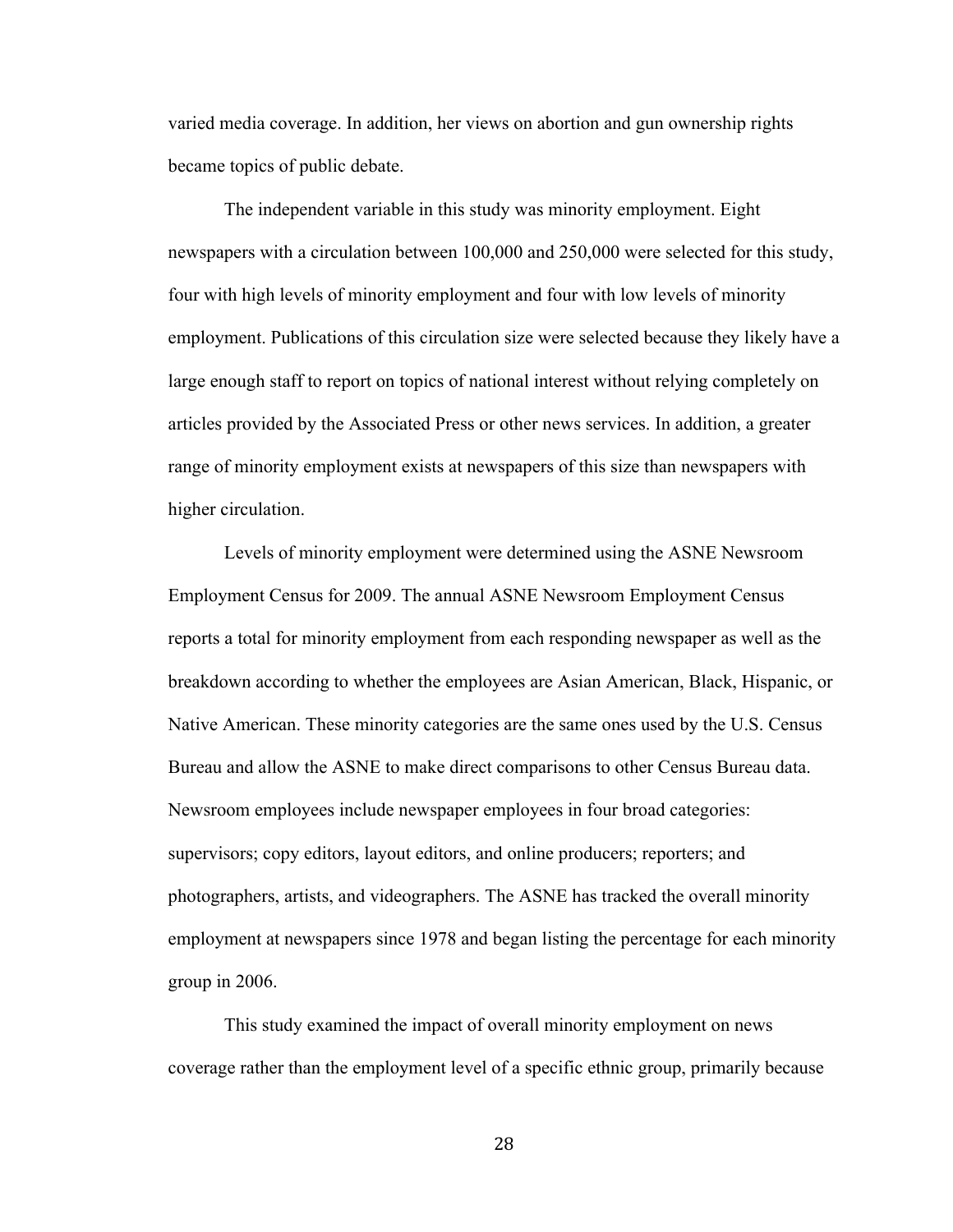varied media coverage. In addition, her views on abortion and gun ownership rights became topics of public debate.

The independent variable in this study was minority employment. Eight newspapers with a circulation between 100,000 and 250,000 were selected for this study, four with high levels of minority employment and four with low levels of minority employment. Publications of this circulation size were selected because they likely have a large enough staff to report on topics of national interest without relying completely on articles provided by the Associated Press or other news services. In addition, a greater range of minority employment exists at newspapers of this size than newspapers with higher circulation.

Levels of minority employment were determined using the ASNE Newsroom Employment Census for 2009. The annual ASNE Newsroom Employment Census reports a total for minority employment from each responding newspaper as well as the breakdown according to whether the employees are Asian American, Black, Hispanic, or Native American. These minority categories are the same ones used by the U.S. Census Bureau and allow the ASNE to make direct comparisons to other Census Bureau data. Newsroom employees include newspaper employees in four broad categories: supervisors; copy editors, layout editors, and online producers; reporters; and photographers, artists, and videographers. The ASNE has tracked the overall minority employment at newspapers since 1978 and began listing the percentage for each minority group in 2006.

This study examined the impact of overall minority employment on news coverage rather than the employment level of a specific ethnic group, primarily because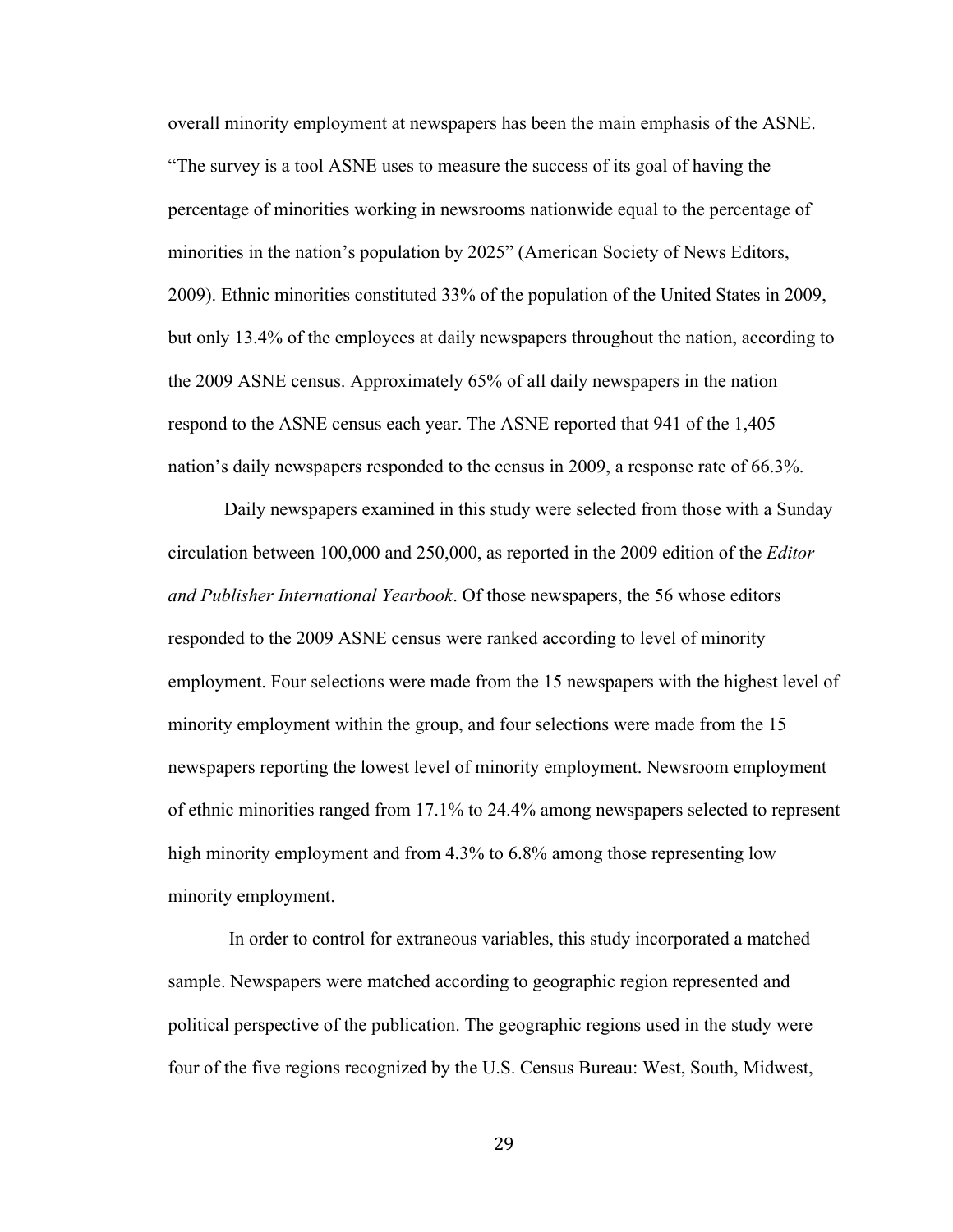overall minority employment at newspapers has been the main emphasis of the ASNE. "The survey is a tool ASNE uses to measure the success of its goal of having the percentage of minorities working in newsrooms nationwide equal to the percentage of minorities in the nation's population by 2025" (American Society of News Editors, 2009). Ethnic minorities constituted 33% of the population of the United States in 2009, but only 13.4% of the employees at daily newspapers throughout the nation, according to the 2009 ASNE census. Approximately 65% of all daily newspapers in the nation respond to the ASNE census each year. The ASNE reported that 941 of the 1,405 nation's daily newspapers responded to the census in 2009, a response rate of 66.3%.

Daily newspapers examined in this study were selected from those with a Sunday circulation between 100,000 and 250,000, as reported in the 2009 edition of the *Editor and Publisher International Yearbook*. Of those newspapers, the 56 whose editors responded to the 2009 ASNE census were ranked according to level of minority employment. Four selections were made from the 15 newspapers with the highest level of minority employment within the group, and four selections were made from the 15 newspapers reporting the lowest level of minority employment. Newsroom employment of ethnic minorities ranged from 17.1% to 24.4% among newspapers selected to represent high minority employment and from 4.3% to 6.8% among those representing low minority employment.

 In order to control for extraneous variables, this study incorporated a matched sample. Newspapers were matched according to geographic region represented and political perspective of the publication. The geographic regions used in the study were four of the five regions recognized by the U.S. Census Bureau: West, South, Midwest,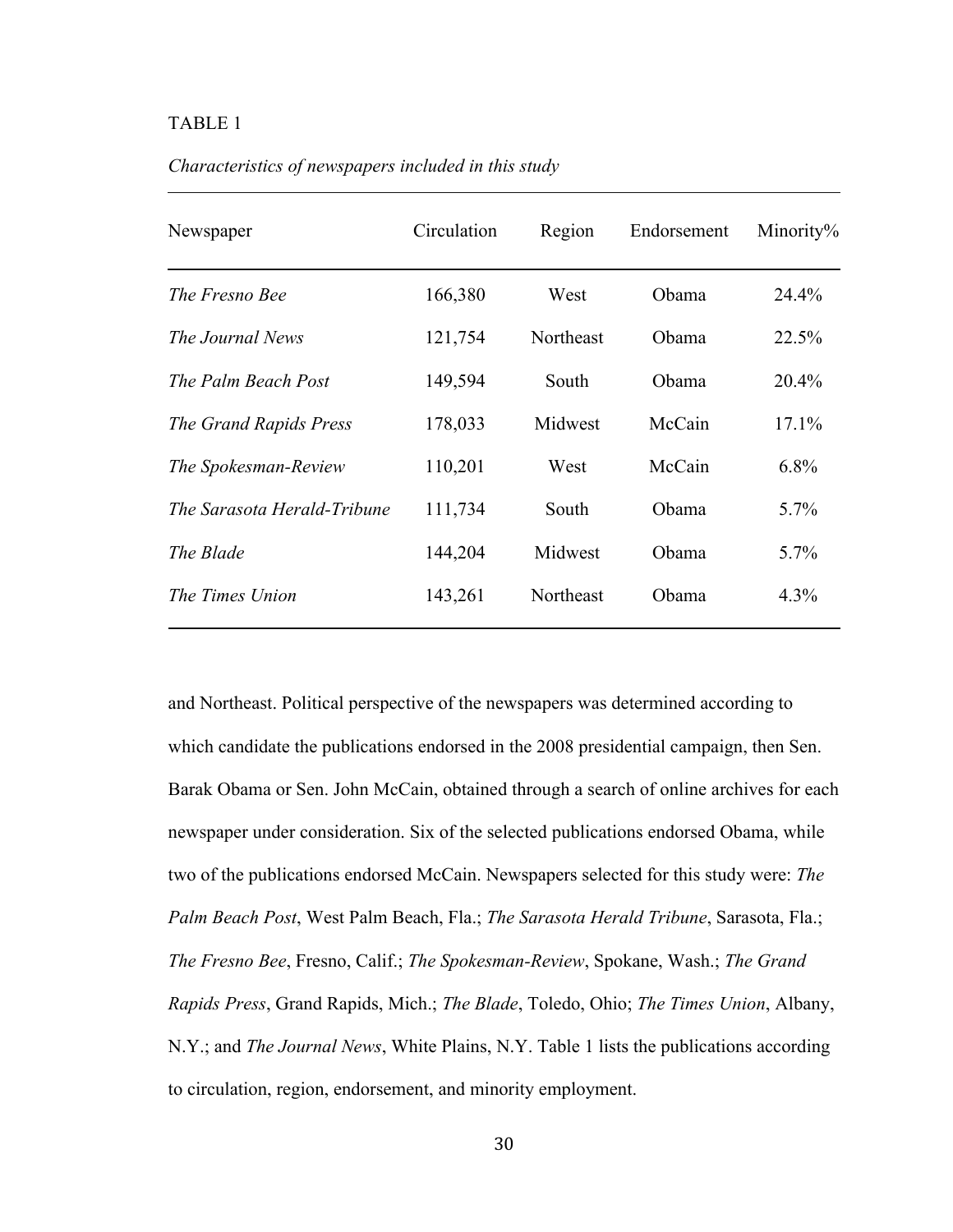## TABLE 1

| Newspaper                   | Circulation | Region    | Endorsement | Minority% |  |
|-----------------------------|-------------|-----------|-------------|-----------|--|
| The Fresno Bee              | 166,380     | West      | Obama       | 24.4%     |  |
| The Journal News            | 121,754     | Northeast | Obama       | 22.5%     |  |
| The Palm Beach Post         | 149,594     | South     | Obama       | 20.4%     |  |
| The Grand Rapids Press      | 178,033     | Midwest   | McCain      | 17.1%     |  |
| The Spokesman-Review        | 110,201     | West      | McCain      | 6.8%      |  |
| The Sarasota Herald-Tribune | 111,734     | South     | Obama       | $5.7\%$   |  |
| The Blade                   | 144,204     | Midwest   | Obama       | $5.7\%$   |  |
| The Times Union             | 143,261     | Northeast | Obama       | $4.3\%$   |  |
|                             |             |           |             |           |  |

*Characteristics of newspapers included in this study*

and Northeast. Political perspective of the newspapers was determined according to which candidate the publications endorsed in the 2008 presidential campaign, then Sen. Barak Obama or Sen. John McCain, obtained through a search of online archives for each newspaper under consideration. Six of the selected publications endorsed Obama, while two of the publications endorsed McCain. Newspapers selected for this study were: *The Palm Beach Post*, West Palm Beach, Fla.; *The Sarasota Herald Tribune*, Sarasota, Fla.; *The Fresno Bee*, Fresno, Calif.; *The Spokesman-Review*, Spokane, Wash.; *The Grand Rapids Press*, Grand Rapids, Mich.; *The Blade*, Toledo, Ohio; *The Times Union*, Albany, N.Y.; and *The Journal News*, White Plains, N.Y. Table 1 lists the publications according to circulation, region, endorsement, and minority employment.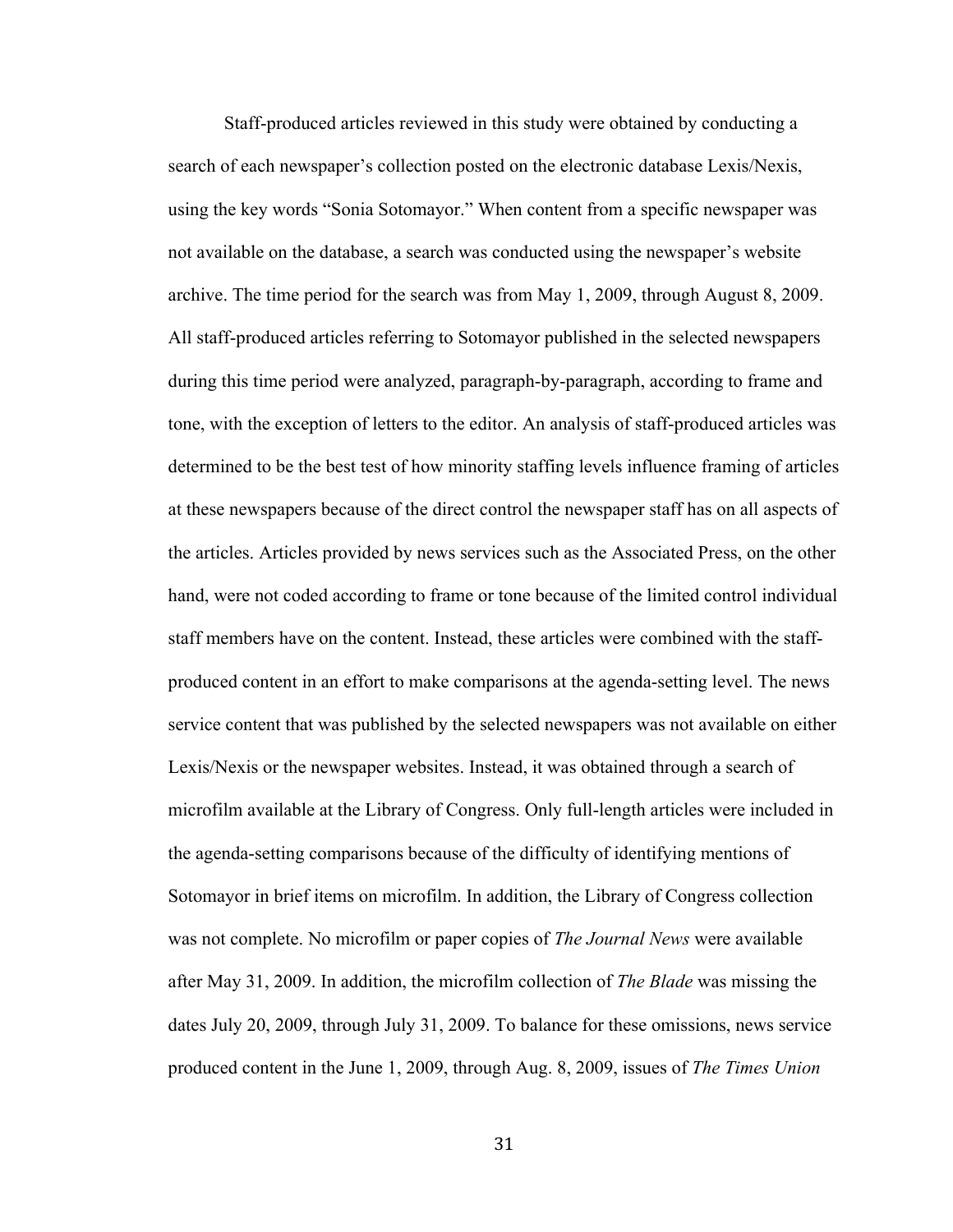Staff-produced articles reviewed in this study were obtained by conducting a search of each newspaper's collection posted on the electronic database Lexis/Nexis, using the key words "Sonia Sotomayor." When content from a specific newspaper was not available on the database, a search was conducted using the newspaper's website archive. The time period for the search was from May 1, 2009, through August 8, 2009. All staff-produced articles referring to Sotomayor published in the selected newspapers during this time period were analyzed, paragraph-by-paragraph, according to frame and tone, with the exception of letters to the editor. An analysis of staff-produced articles was determined to be the best test of how minority staffing levels influence framing of articles at these newspapers because of the direct control the newspaper staff has on all aspects of the articles. Articles provided by news services such as the Associated Press, on the other hand, were not coded according to frame or tone because of the limited control individual staff members have on the content. Instead, these articles were combined with the staffproduced content in an effort to make comparisons at the agenda-setting level. The news service content that was published by the selected newspapers was not available on either Lexis/Nexis or the newspaper websites. Instead, it was obtained through a search of microfilm available at the Library of Congress. Only full-length articles were included in the agenda-setting comparisons because of the difficulty of identifying mentions of Sotomayor in brief items on microfilm. In addition, the Library of Congress collection was not complete. No microfilm or paper copies of *The Journal News* were available after May 31, 2009. In addition, the microfilm collection of *The Blade* was missing the dates July 20, 2009, through July 31, 2009. To balance for these omissions, news service produced content in the June 1, 2009, through Aug. 8, 2009, issues of *The Times Union*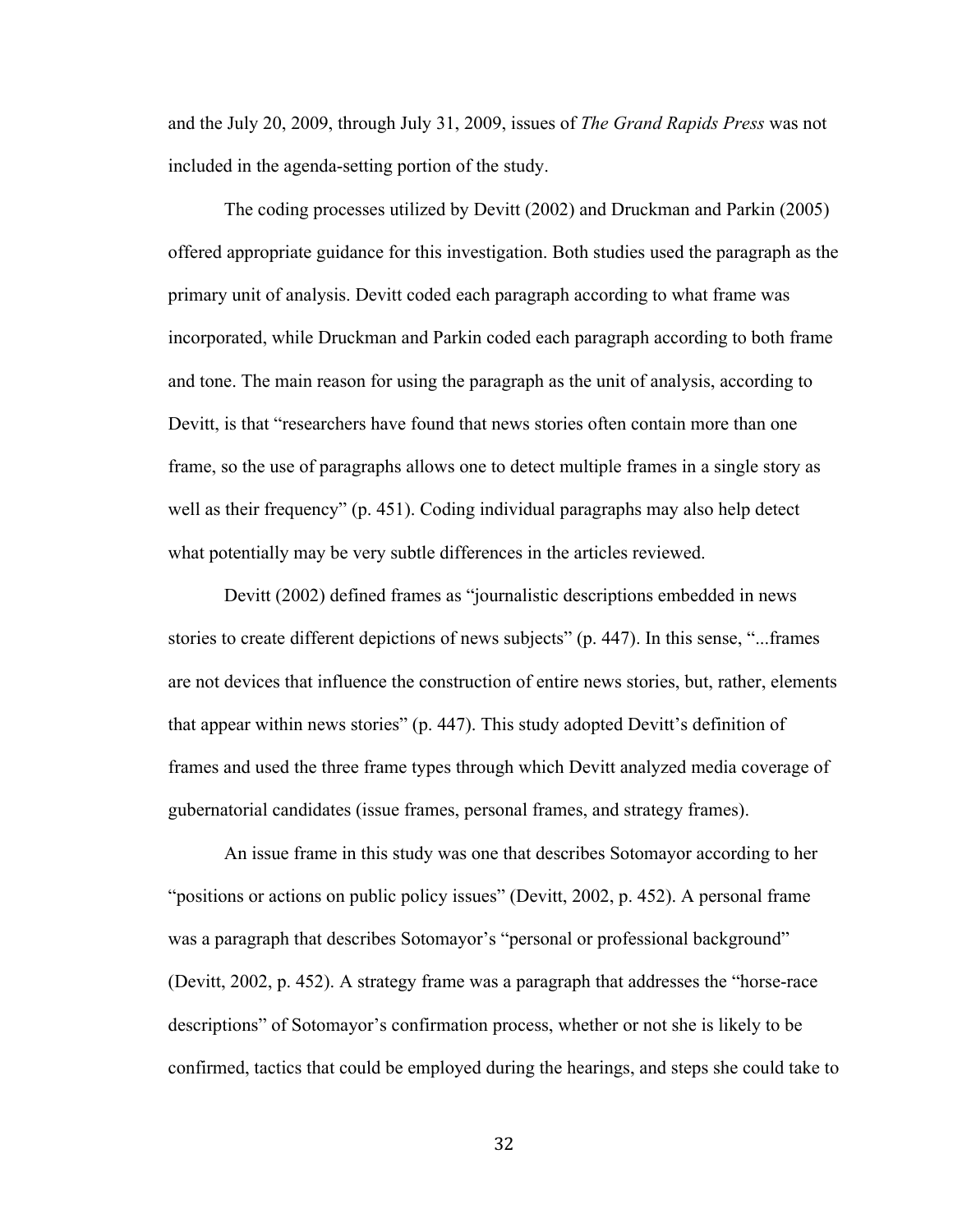and the July 20, 2009, through July 31, 2009, issues of *The Grand Rapids Press* was not included in the agenda-setting portion of the study.

The coding processes utilized by Devitt (2002) and Druckman and Parkin (2005) offered appropriate guidance for this investigation. Both studies used the paragraph as the primary unit of analysis. Devitt coded each paragraph according to what frame was incorporated, while Druckman and Parkin coded each paragraph according to both frame and tone. The main reason for using the paragraph as the unit of analysis, according to Devitt, is that "researchers have found that news stories often contain more than one frame, so the use of paragraphs allows one to detect multiple frames in a single story as well as their frequency" (p. 451). Coding individual paragraphs may also help detect what potentially may be very subtle differences in the articles reviewed.

Devitt (2002) defined frames as "journalistic descriptions embedded in news stories to create different depictions of news subjects" (p. 447). In this sense, "...frames are not devices that influence the construction of entire news stories, but, rather, elements that appear within news stories" (p. 447). This study adopted Devitt's definition of frames and used the three frame types through which Devitt analyzed media coverage of gubernatorial candidates (issue frames, personal frames, and strategy frames).

An issue frame in this study was one that describes Sotomayor according to her "positions or actions on public policy issues" (Devitt, 2002, p. 452). A personal frame was a paragraph that describes Sotomayor's "personal or professional background" (Devitt, 2002, p. 452). A strategy frame was a paragraph that addresses the "horse-race descriptions" of Sotomayor's confirmation process, whether or not she is likely to be confirmed, tactics that could be employed during the hearings, and steps she could take to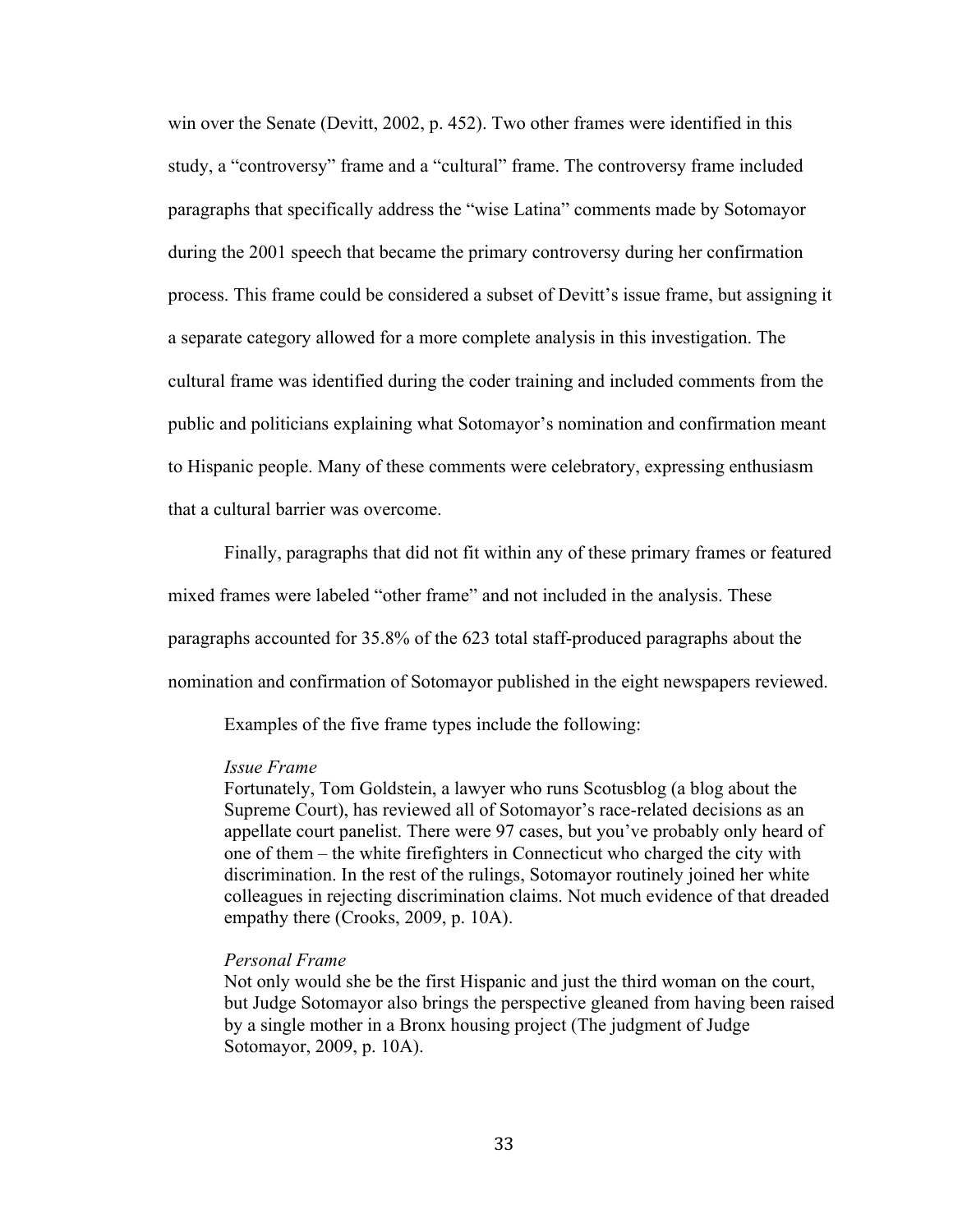win over the Senate (Devitt, 2002, p. 452). Two other frames were identified in this study, a "controversy" frame and a "cultural" frame. The controversy frame included paragraphs that specifically address the "wise Latina" comments made by Sotomayor during the 2001 speech that became the primary controversy during her confirmation process. This frame could be considered a subset of Devitt's issue frame, but assigning it a separate category allowed for a more complete analysis in this investigation. The cultural frame was identified during the coder training and included comments from the public and politicians explaining what Sotomayor's nomination and confirmation meant to Hispanic people. Many of these comments were celebratory, expressing enthusiasm that a cultural barrier was overcome.

Finally, paragraphs that did not fit within any of these primary frames or featured

mixed frames were labeled "other frame" and not included in the analysis. These

paragraphs accounted for 35.8% of the 623 total staff-produced paragraphs about the

nomination and confirmation of Sotomayor published in the eight newspapers reviewed.

Examples of the five frame types include the following:

#### *Issue Frame*

Fortunately, Tom Goldstein, a lawyer who runs Scotusblog (a blog about the Supreme Court), has reviewed all of Sotomayor's race-related decisions as an appellate court panelist. There were 97 cases, but you've probably only heard of one of them – the white firefighters in Connecticut who charged the city with discrimination. In the rest of the rulings, Sotomayor routinely joined her white colleagues in rejecting discrimination claims. Not much evidence of that dreaded empathy there (Crooks, 2009, p. 10A).

## *Personal Frame*

Not only would she be the first Hispanic and just the third woman on the court, but Judge Sotomayor also brings the perspective gleaned from having been raised by a single mother in a Bronx housing project (The judgment of Judge Sotomayor, 2009, p. 10A).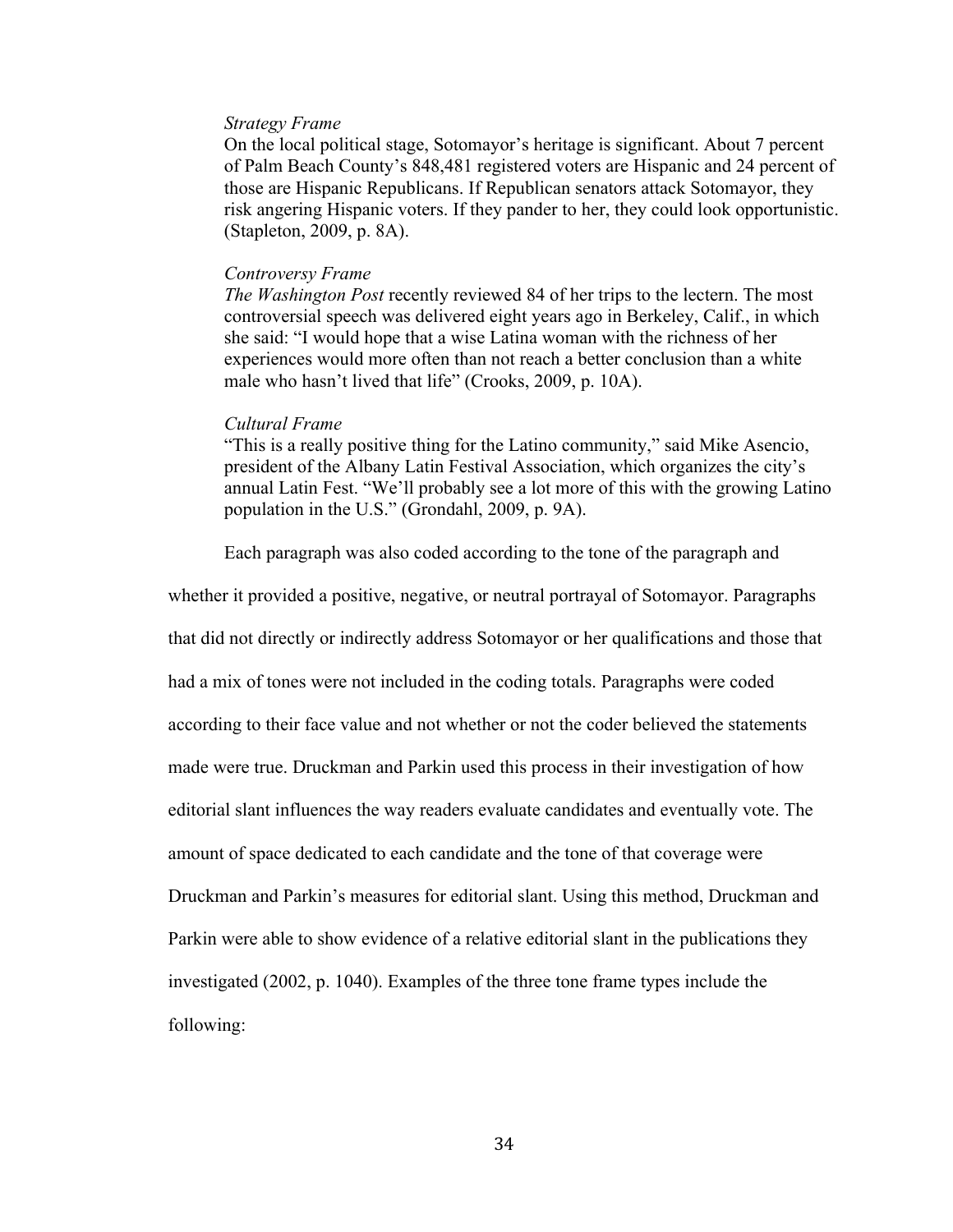#### *Strategy Frame*

On the local political stage, Sotomayor's heritage is significant. About 7 percent of Palm Beach County's 848,481 registered voters are Hispanic and 24 percent of those are Hispanic Republicans. If Republican senators attack Sotomayor, they risk angering Hispanic voters. If they pander to her, they could look opportunistic. (Stapleton, 2009, p. 8A).

## *Controversy Frame*

*The Washington Post* recently reviewed 84 of her trips to the lectern. The most controversial speech was delivered eight years ago in Berkeley, Calif., in which she said: "I would hope that a wise Latina woman with the richness of her experiences would more often than not reach a better conclusion than a white male who hasn't lived that life" (Crooks, 2009, p. 10A).

#### *Cultural Frame*

"This is a really positive thing for the Latino community," said Mike Asencio, president of the Albany Latin Festival Association, which organizes the city's annual Latin Fest. "We'll probably see a lot more of this with the growing Latino population in the U.S." (Grondahl, 2009, p. 9A).

Each paragraph was also coded according to the tone of the paragraph and

whether it provided a positive, negative, or neutral portrayal of Sotomayor. Paragraphs that did not directly or indirectly address Sotomayor or her qualifications and those that had a mix of tones were not included in the coding totals. Paragraphs were coded according to their face value and not whether or not the coder believed the statements made were true. Druckman and Parkin used this process in their investigation of how editorial slant influences the way readers evaluate candidates and eventually vote. The amount of space dedicated to each candidate and the tone of that coverage were Druckman and Parkin's measures for editorial slant. Using this method, Druckman and Parkin were able to show evidence of a relative editorial slant in the publications they investigated (2002, p. 1040). Examples of the three tone frame types include the following: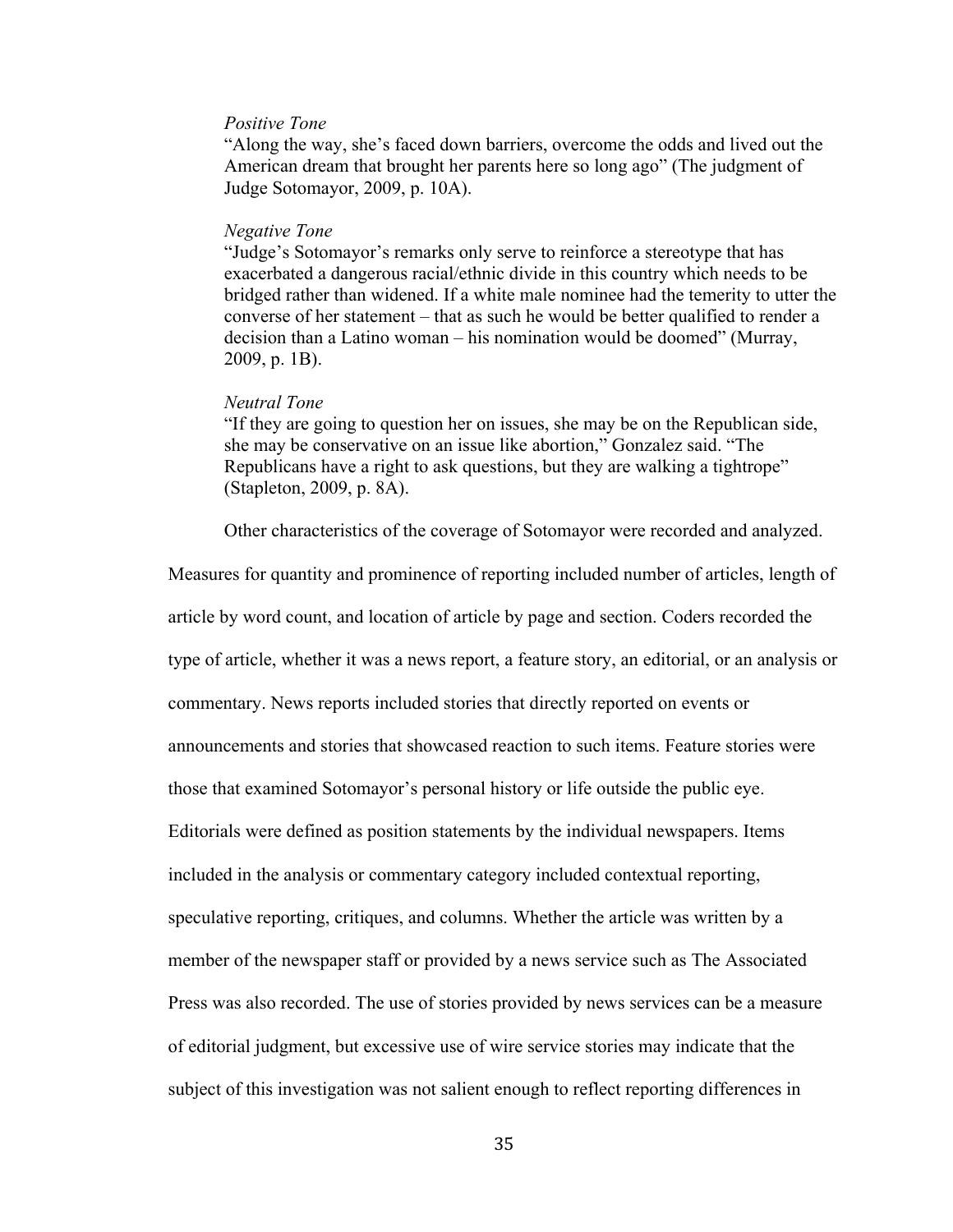## *Positive Tone*

"Along the way, she's faced down barriers, overcome the odds and lived out the American dream that brought her parents here so long ago" (The judgment of Judge Sotomayor, 2009, p. 10A).

#### *Negative Tone*

"Judge's Sotomayor's remarks only serve to reinforce a stereotype that has exacerbated a dangerous racial/ethnic divide in this country which needs to be bridged rather than widened. If a white male nominee had the temerity to utter the converse of her statement – that as such he would be better qualified to render a decision than a Latino woman – his nomination would be doomed" (Murray, 2009, p. 1B).

## *Neutral Tone*

"If they are going to question her on issues, she may be on the Republican side, she may be conservative on an issue like abortion," Gonzalez said. "The Republicans have a right to ask questions, but they are walking a tightrope" (Stapleton, 2009, p. 8A).

Other characteristics of the coverage of Sotomayor were recorded and analyzed.

Measures for quantity and prominence of reporting included number of articles, length of article by word count, and location of article by page and section. Coders recorded the type of article, whether it was a news report, a feature story, an editorial, or an analysis or commentary. News reports included stories that directly reported on events or announcements and stories that showcased reaction to such items. Feature stories were those that examined Sotomayor's personal history or life outside the public eye. Editorials were defined as position statements by the individual newspapers. Items included in the analysis or commentary category included contextual reporting, speculative reporting, critiques, and columns. Whether the article was written by a member of the newspaper staff or provided by a news service such as The Associated Press was also recorded. The use of stories provided by news services can be a measure of editorial judgment, but excessive use of wire service stories may indicate that the subject of this investigation was not salient enough to reflect reporting differences in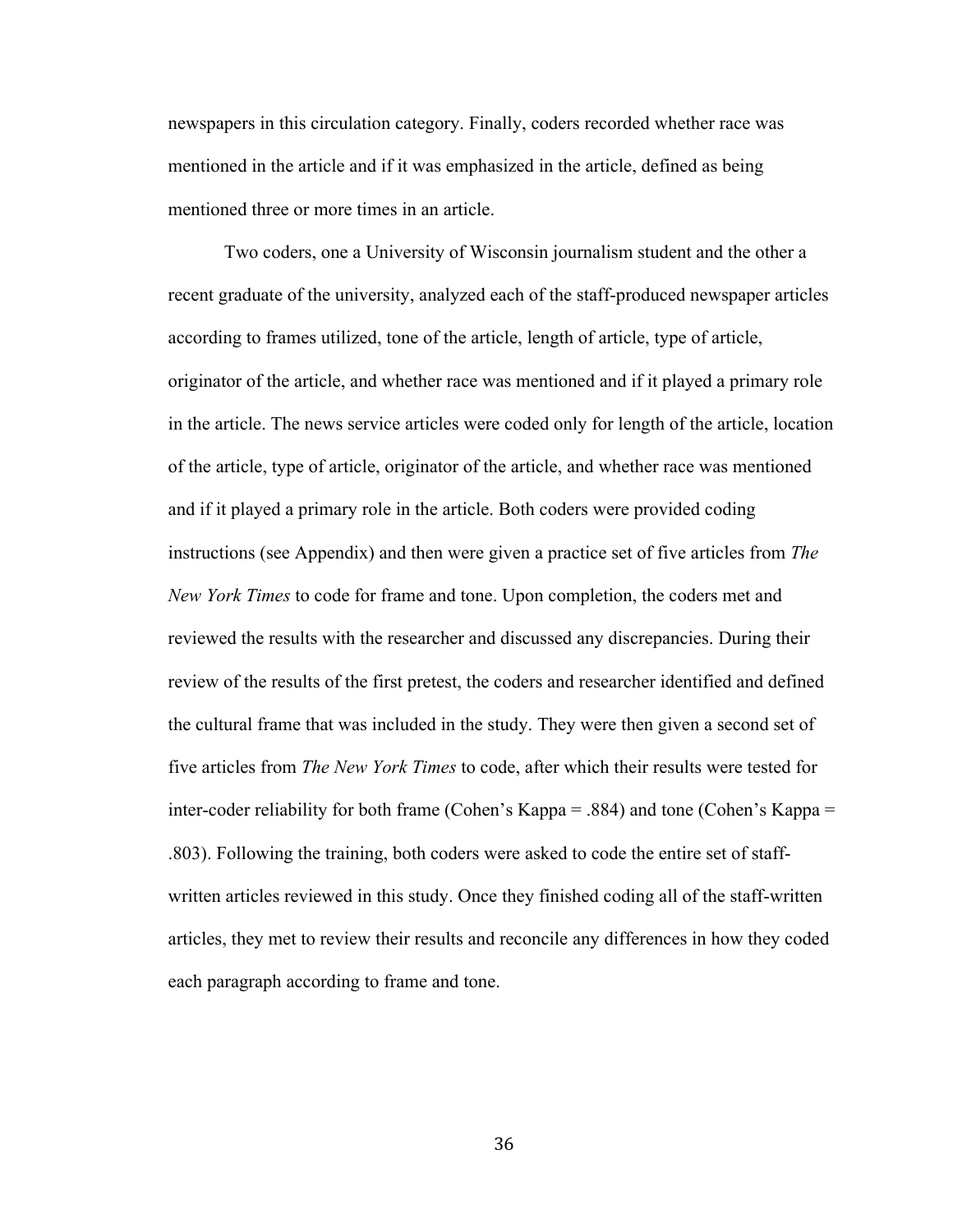newspapers in this circulation category. Finally, coders recorded whether race was mentioned in the article and if it was emphasized in the article, defined as being mentioned three or more times in an article.

Two coders, one a University of Wisconsin journalism student and the other a recent graduate of the university, analyzed each of the staff-produced newspaper articles according to frames utilized, tone of the article, length of article, type of article, originator of the article, and whether race was mentioned and if it played a primary role in the article. The news service articles were coded only for length of the article, location of the article, type of article, originator of the article, and whether race was mentioned and if it played a primary role in the article. Both coders were provided coding instructions (see Appendix) and then were given a practice set of five articles from *The New York Times* to code for frame and tone. Upon completion, the coders met and reviewed the results with the researcher and discussed any discrepancies. During their review of the results of the first pretest, the coders and researcher identified and defined the cultural frame that was included in the study. They were then given a second set of five articles from *The New York Times* to code, after which their results were tested for inter-coder reliability for both frame (Cohen's Kappa = .884) and tone (Cohen's Kappa = .803). Following the training, both coders were asked to code the entire set of staffwritten articles reviewed in this study. Once they finished coding all of the staff-written articles, they met to review their results and reconcile any differences in how they coded each paragraph according to frame and tone.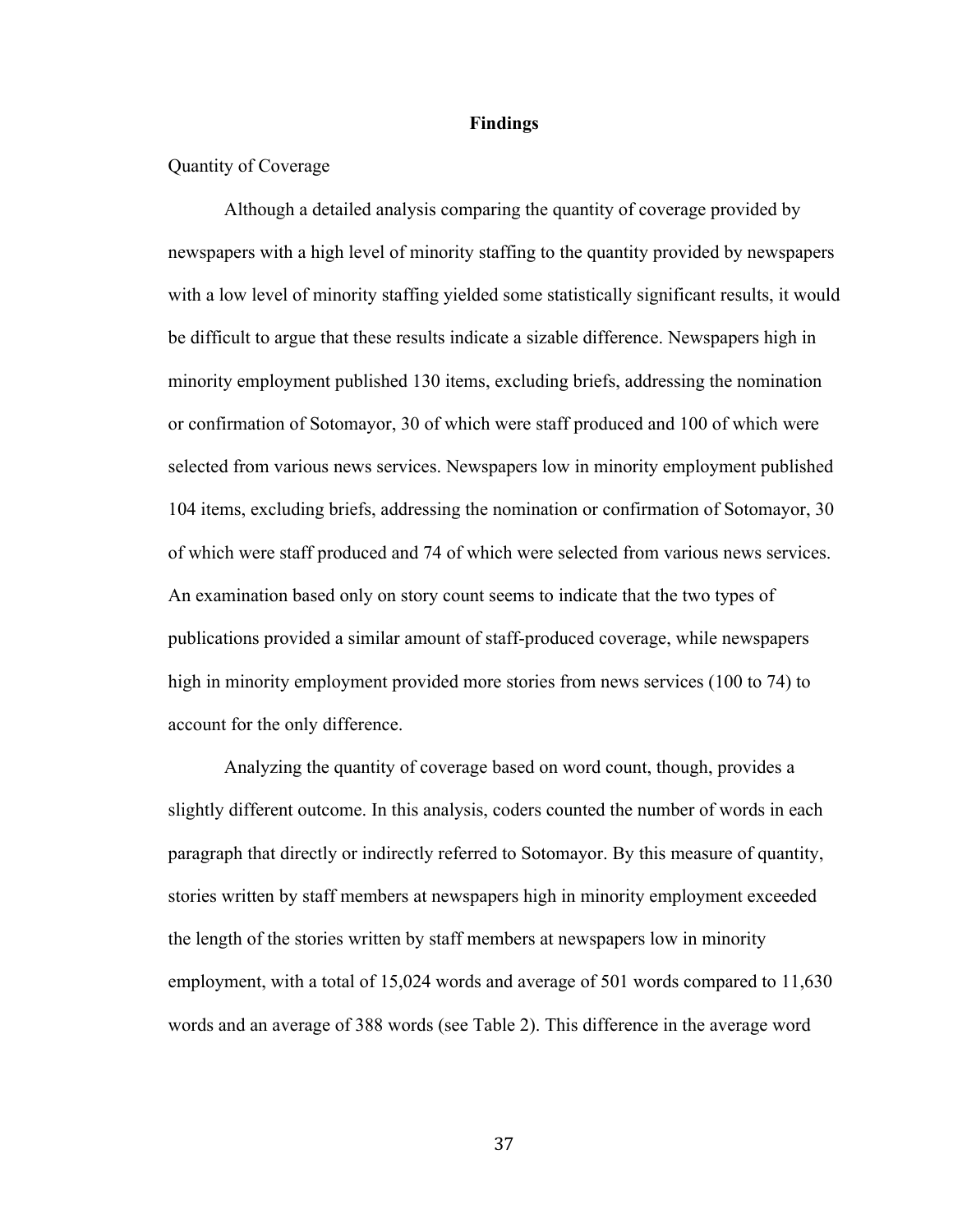#### **Findings**

## Quantity of Coverage

Although a detailed analysis comparing the quantity of coverage provided by newspapers with a high level of minority staffing to the quantity provided by newspapers with a low level of minority staffing yielded some statistically significant results, it would be difficult to argue that these results indicate a sizable difference. Newspapers high in minority employment published 130 items, excluding briefs, addressing the nomination or confirmation of Sotomayor, 30 of which were staff produced and 100 of which were selected from various news services. Newspapers low in minority employment published 104 items, excluding briefs, addressing the nomination or confirmation of Sotomayor, 30 of which were staff produced and 74 of which were selected from various news services. An examination based only on story count seems to indicate that the two types of publications provided a similar amount of staff-produced coverage, while newspapers high in minority employment provided more stories from news services (100 to 74) to account for the only difference.

Analyzing the quantity of coverage based on word count, though, provides a slightly different outcome. In this analysis, coders counted the number of words in each paragraph that directly or indirectly referred to Sotomayor. By this measure of quantity, stories written by staff members at newspapers high in minority employment exceeded the length of the stories written by staff members at newspapers low in minority employment, with a total of 15,024 words and average of 501 words compared to 11,630 words and an average of 388 words (see Table 2). This difference in the average word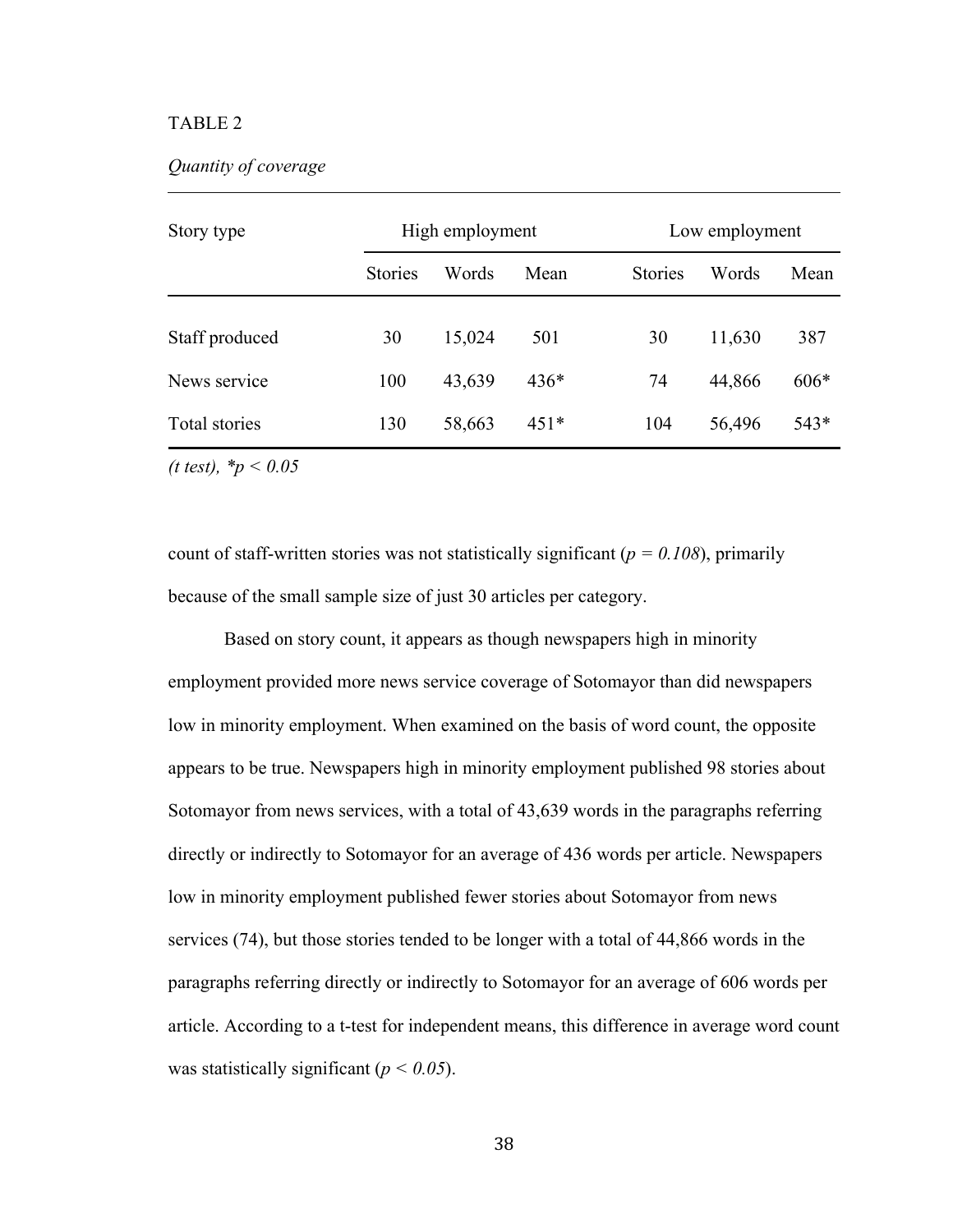## TABLE 2

## *Quantity of coverage*

| Story type     | High employment |        |        |                | Low employment |        |  |
|----------------|-----------------|--------|--------|----------------|----------------|--------|--|
|                | <b>Stories</b>  | Words  | Mean   | <b>Stories</b> | Words          | Mean   |  |
| Staff produced | 30              | 15,024 | 501    | 30             | 11,630         | 387    |  |
| News service   | 100             | 43,639 | $436*$ | 74             | 44,866         | $606*$ |  |
| Total stories  | 130             | 58,663 | $451*$ | 104            | 56,496         | 543*   |  |

*(t test), \*p < 0.05*

count of staff-written stories was not statistically significant ( $p = 0.108$ ), primarily because of the small sample size of just 30 articles per category.

Based on story count, it appears as though newspapers high in minority employment provided more news service coverage of Sotomayor than did newspapers low in minority employment. When examined on the basis of word count, the opposite appears to be true. Newspapers high in minority employment published 98 stories about Sotomayor from news services, with a total of 43,639 words in the paragraphs referring directly or indirectly to Sotomayor for an average of 436 words per article. Newspapers low in minority employment published fewer stories about Sotomayor from news services (74), but those stories tended to be longer with a total of 44,866 words in the paragraphs referring directly or indirectly to Sotomayor for an average of 606 words per article. According to a t-test for independent means, this difference in average word count was statistically significant (*p < 0.05*).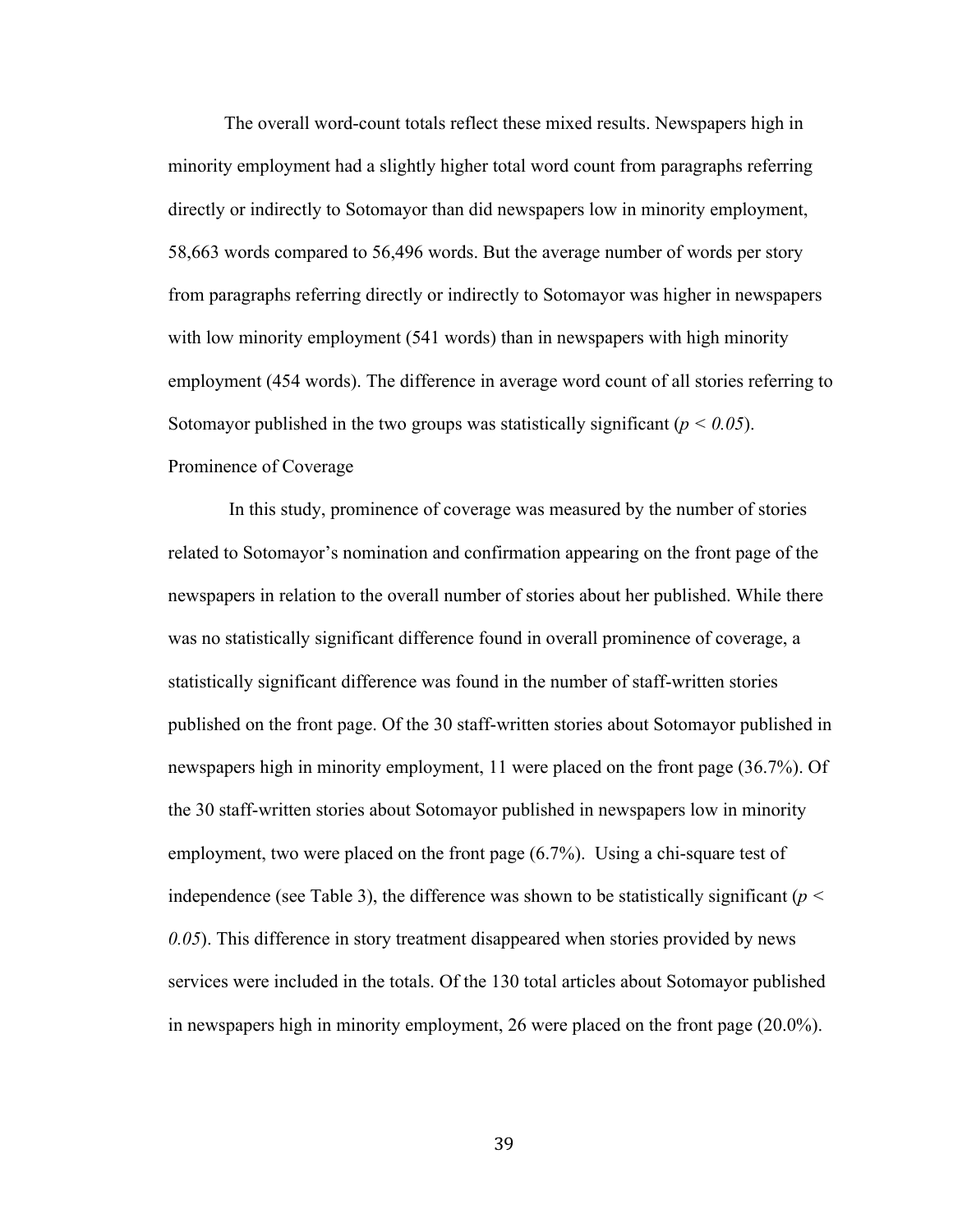The overall word-count totals reflect these mixed results. Newspapers high in minority employment had a slightly higher total word count from paragraphs referring directly or indirectly to Sotomayor than did newspapers low in minority employment, 58,663 words compared to 56,496 words. But the average number of words per story from paragraphs referring directly or indirectly to Sotomayor was higher in newspapers with low minority employment (541 words) than in newspapers with high minority employment (454 words). The difference in average word count of all stories referring to Sotomayor published in the two groups was statistically significant ( $p < 0.05$ ). Prominence of Coverage

In this study, prominence of coverage was measured by the number of stories related to Sotomayor's nomination and confirmation appearing on the front page of the newspapers in relation to the overall number of stories about her published. While there was no statistically significant difference found in overall prominence of coverage, a statistically significant difference was found in the number of staff-written stories published on the front page. Of the 30 staff-written stories about Sotomayor published in newspapers high in minority employment, 11 were placed on the front page (36.7%). Of the 30 staff-written stories about Sotomayor published in newspapers low in minority employment, two were placed on the front page (6.7%). Using a chi-square test of independence (see Table 3), the difference was shown to be statistically significant ( $p <$ *0.05*). This difference in story treatment disappeared when stories provided by news services were included in the totals. Of the 130 total articles about Sotomayor published in newspapers high in minority employment, 26 were placed on the front page (20.0%).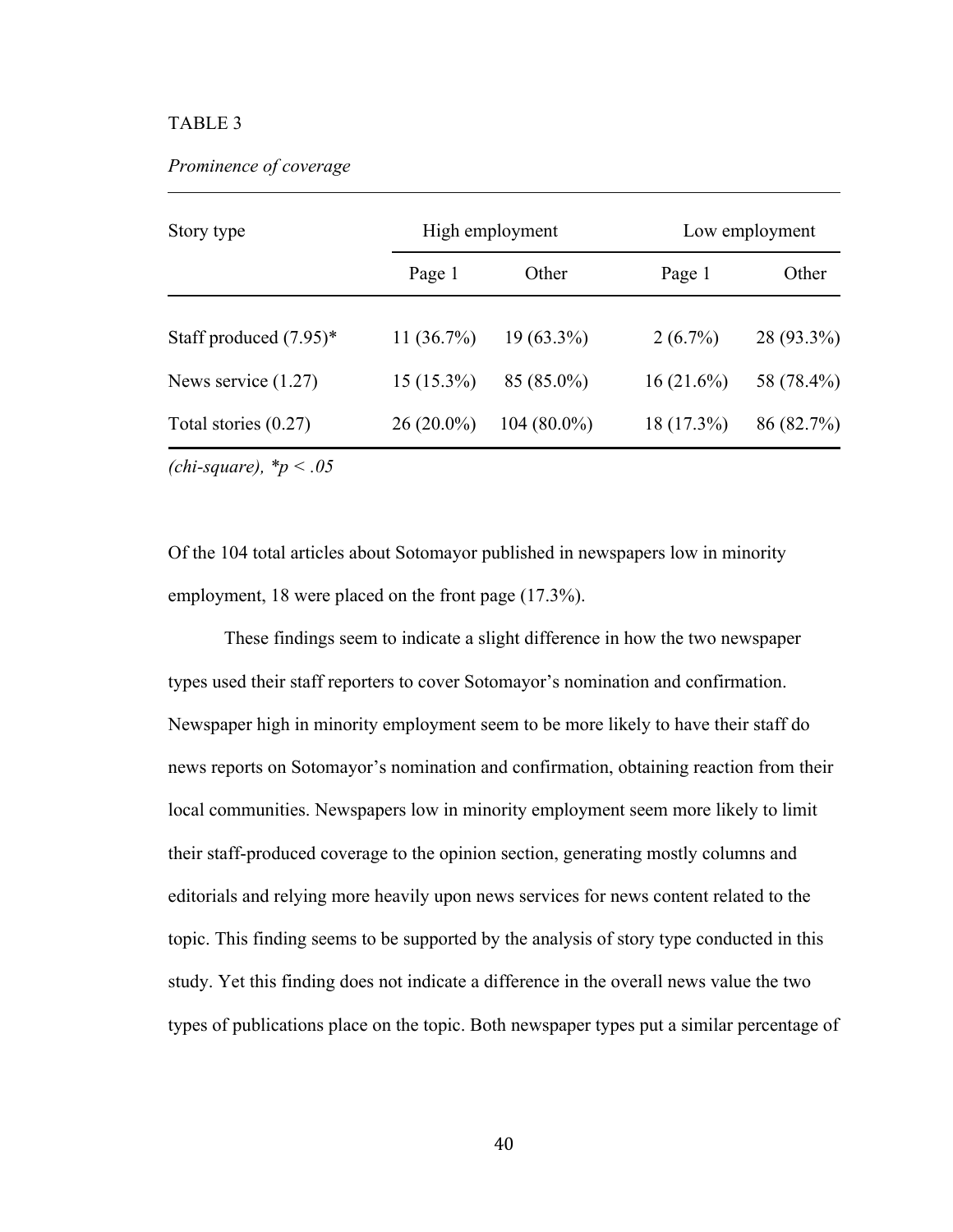## TABLE 3

| Story type                |               | High employment | Low employment |            |  |
|---------------------------|---------------|-----------------|----------------|------------|--|
|                           | Page 1        | Other           | Page 1         | Other      |  |
| Staff produced $(7.95)^*$ | 11 $(36.7\%)$ | $19(63.3\%)$    | $2(6.7\%)$     | 28 (93.3%) |  |
| News service $(1.27)$     | $15(15.3\%)$  | $85(85.0\%)$    | 16(21.6%)      | 58 (78.4%) |  |
| Total stories $(0.27)$    | $26(20.0\%)$  | $104(80.0\%)$   | $18(17.3\%)$   | 86 (82.7%) |  |

*(chi-square), \*p < .05*

Of the 104 total articles about Sotomayor published in newspapers low in minority employment, 18 were placed on the front page (17.3%).

These findings seem to indicate a slight difference in how the two newspaper types used their staff reporters to cover Sotomayor's nomination and confirmation. Newspaper high in minority employment seem to be more likely to have their staff do news reports on Sotomayor's nomination and confirmation, obtaining reaction from their local communities. Newspapers low in minority employment seem more likely to limit their staff-produced coverage to the opinion section, generating mostly columns and editorials and relying more heavily upon news services for news content related to the topic. This finding seems to be supported by the analysis of story type conducted in this study. Yet this finding does not indicate a difference in the overall news value the two types of publications place on the topic. Both newspaper types put a similar percentage of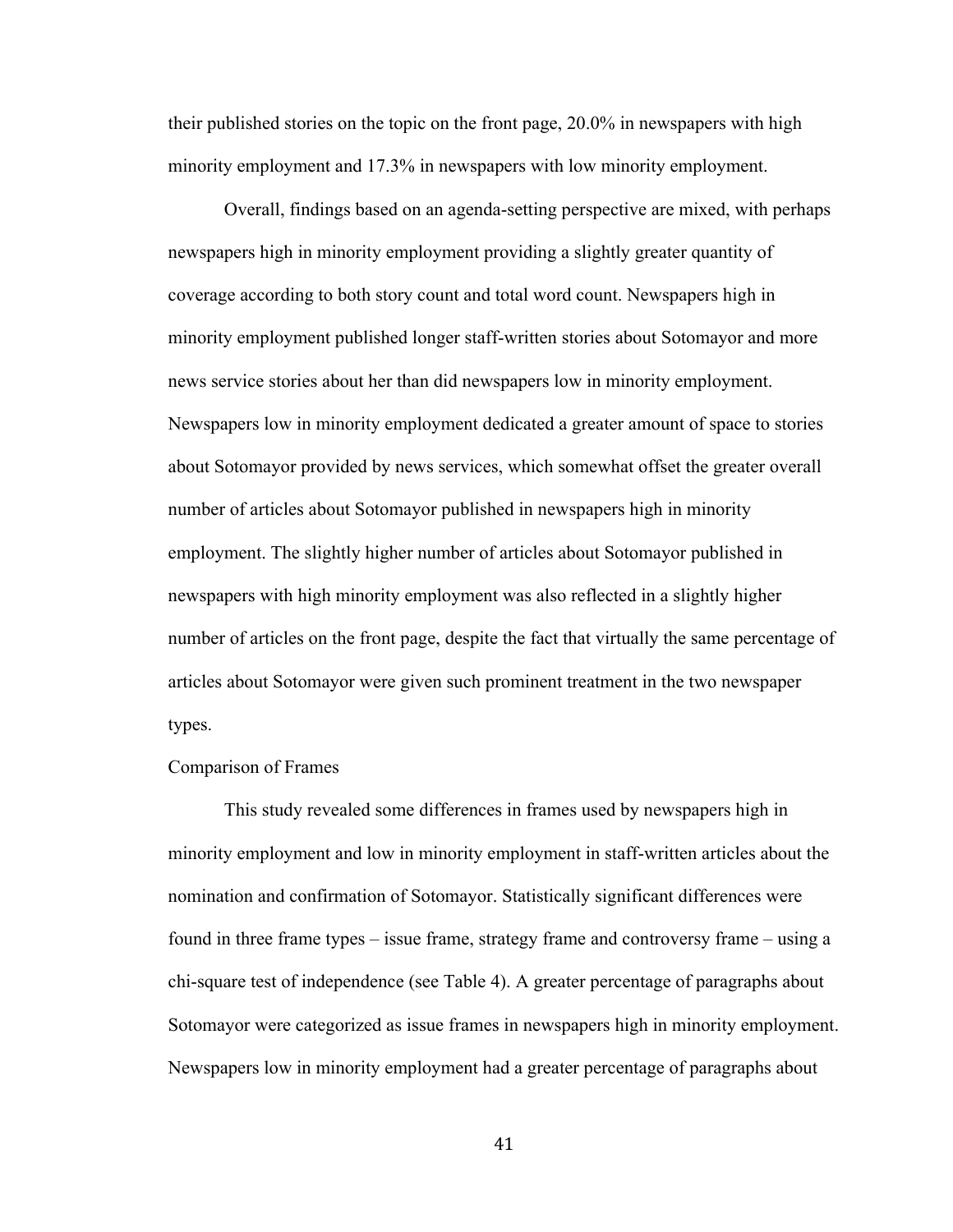their published stories on the topic on the front page, 20.0% in newspapers with high minority employment and 17.3% in newspapers with low minority employment.

Overall, findings based on an agenda-setting perspective are mixed, with perhaps newspapers high in minority employment providing a slightly greater quantity of coverage according to both story count and total word count. Newspapers high in minority employment published longer staff-written stories about Sotomayor and more news service stories about her than did newspapers low in minority employment. Newspapers low in minority employment dedicated a greater amount of space to stories about Sotomayor provided by news services, which somewhat offset the greater overall number of articles about Sotomayor published in newspapers high in minority employment. The slightly higher number of articles about Sotomayor published in newspapers with high minority employment was also reflected in a slightly higher number of articles on the front page, despite the fact that virtually the same percentage of articles about Sotomayor were given such prominent treatment in the two newspaper types.

## Comparison of Frames

This study revealed some differences in frames used by newspapers high in minority employment and low in minority employment in staff-written articles about the nomination and confirmation of Sotomayor. Statistically significant differences were found in three frame types – issue frame, strategy frame and controversy frame – using a chi-square test of independence (see Table 4). A greater percentage of paragraphs about Sotomayor were categorized as issue frames in newspapers high in minority employment. Newspapers low in minority employment had a greater percentage of paragraphs about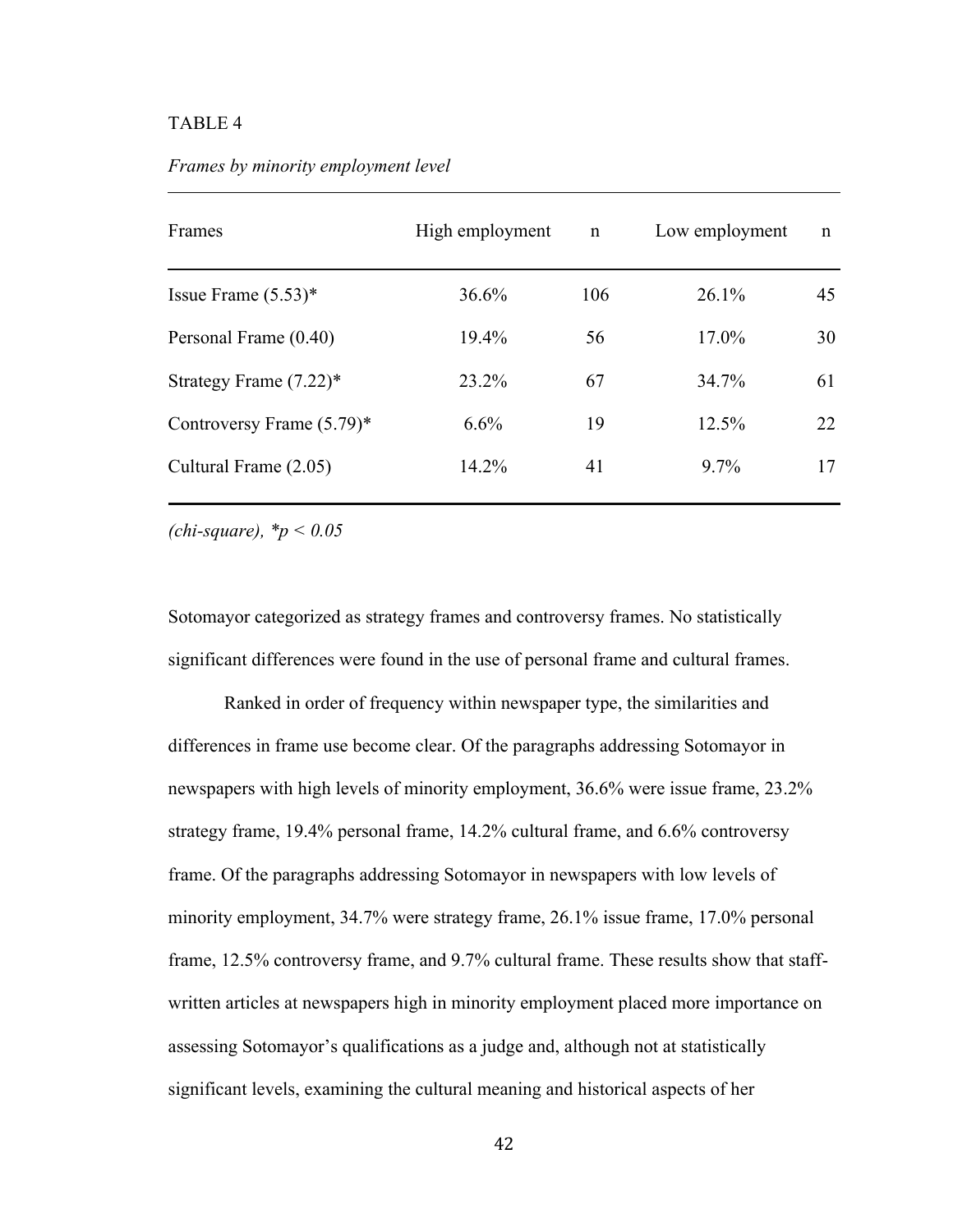## TABLE 4

| Frames                       | High employment | $\mathbf n$ | Low employment | $\mathbf n$ |
|------------------------------|-----------------|-------------|----------------|-------------|
| Issue Frame $(5.53)^*$       | 36.6%           | 106         | 26.1%          | 45          |
| Personal Frame (0.40)        | 19.4%           | 56          | $17.0\%$       | 30          |
| Strategy Frame $(7.22)^*$    | 23.2%           | 67          | 34.7%          | 61          |
| Controversy Frame $(5.79)^*$ | 6.6%            | 19          | 12.5%          | 22          |
| Cultural Frame (2.05)        | 14.2%           | 41          | $9.7\%$        | 17          |
|                              |                 |             |                |             |

*Frames by minority employment level*

*(chi-square), \*p < 0.05*

Sotomayor categorized as strategy frames and controversy frames. No statistically significant differences were found in the use of personal frame and cultural frames.

Ranked in order of frequency within newspaper type, the similarities and differences in frame use become clear. Of the paragraphs addressing Sotomayor in newspapers with high levels of minority employment, 36.6% were issue frame, 23.2% strategy frame, 19.4% personal frame, 14.2% cultural frame, and 6.6% controversy frame. Of the paragraphs addressing Sotomayor in newspapers with low levels of minority employment, 34.7% were strategy frame, 26.1% issue frame, 17.0% personal frame, 12.5% controversy frame, and 9.7% cultural frame. These results show that staffwritten articles at newspapers high in minority employment placed more importance on assessing Sotomayor's qualifications as a judge and, although not at statistically significant levels, examining the cultural meaning and historical aspects of her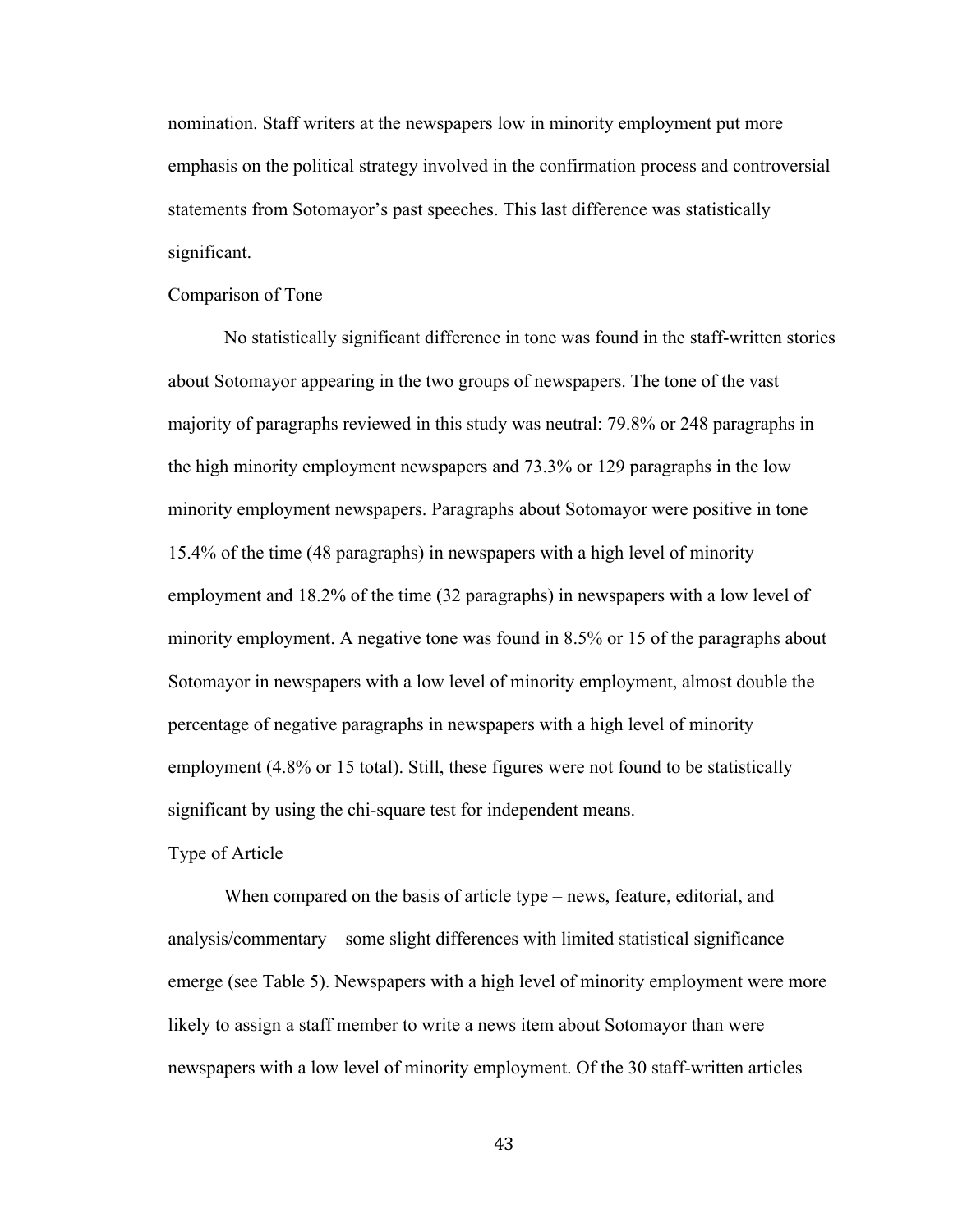nomination. Staff writers at the newspapers low in minority employment put more emphasis on the political strategy involved in the confirmation process and controversial statements from Sotomayor's past speeches. This last difference was statistically significant.

#### Comparison of Tone

No statistically significant difference in tone was found in the staff-written stories about Sotomayor appearing in the two groups of newspapers. The tone of the vast majority of paragraphs reviewed in this study was neutral: 79.8% or 248 paragraphs in the high minority employment newspapers and 73.3% or 129 paragraphs in the low minority employment newspapers. Paragraphs about Sotomayor were positive in tone 15.4% of the time (48 paragraphs) in newspapers with a high level of minority employment and 18.2% of the time (32 paragraphs) in newspapers with a low level of minority employment. A negative tone was found in 8.5% or 15 of the paragraphs about Sotomayor in newspapers with a low level of minority employment, almost double the percentage of negative paragraphs in newspapers with a high level of minority employment (4.8% or 15 total). Still, these figures were not found to be statistically significant by using the chi-square test for independent means.

#### Type of Article

When compared on the basis of article type – news, feature, editorial, and analysis/commentary – some slight differences with limited statistical significance emerge (see Table 5). Newspapers with a high level of minority employment were more likely to assign a staff member to write a news item about Sotomayor than were newspapers with a low level of minority employment. Of the 30 staff-written articles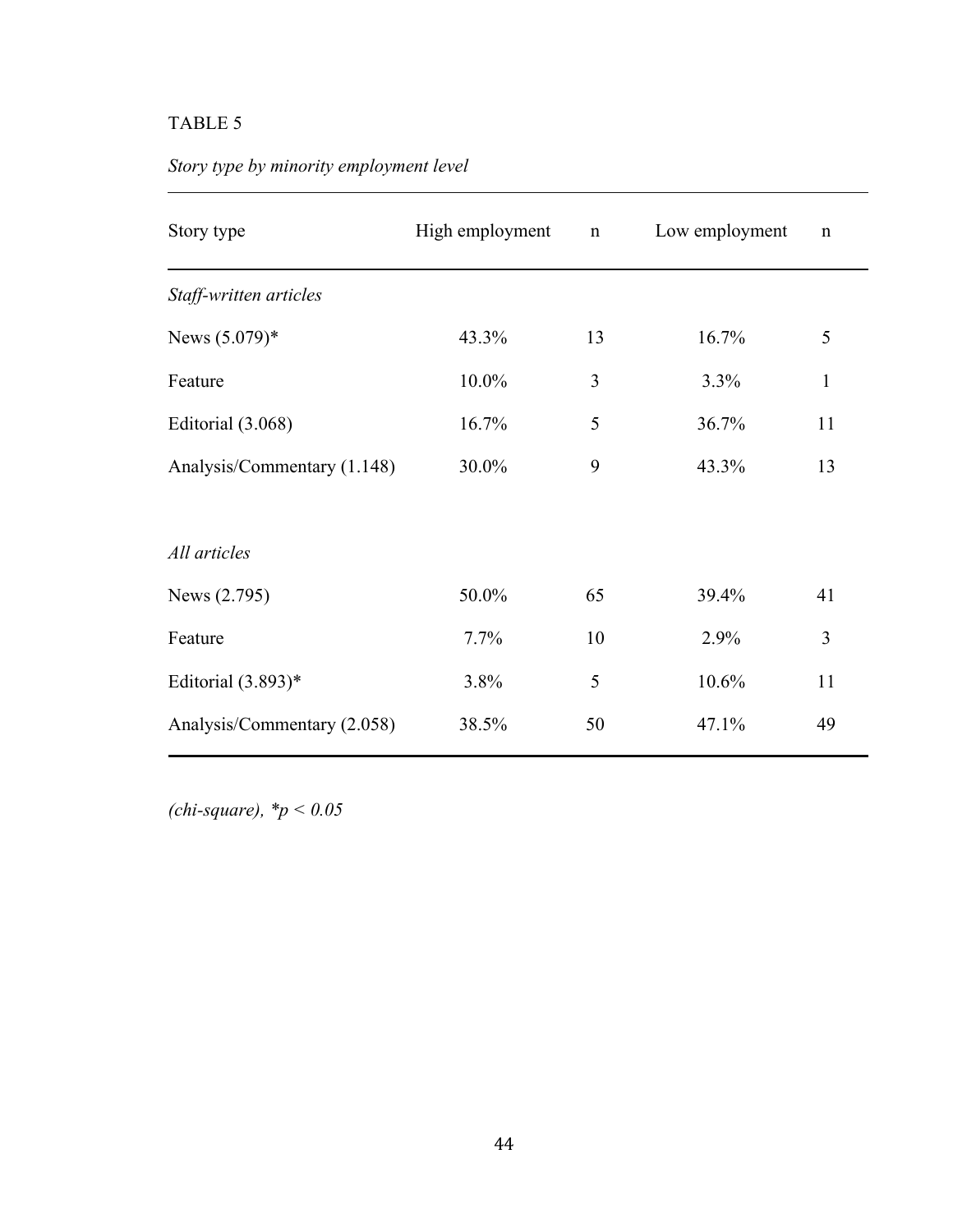# TABLE 5

|  |  |  | Story type by minority employment level |  |  |  |
|--|--|--|-----------------------------------------|--|--|--|
|--|--|--|-----------------------------------------|--|--|--|

| Story type                  | High employment | $\mathbf n$ | Low employment | $\mathbf n$  |  |
|-----------------------------|-----------------|-------------|----------------|--------------|--|
| Staff-written articles      |                 |             |                |              |  |
| News $(5.079)*$             | 43.3%           | 13          | 16.7%          | 5            |  |
| Feature                     | $10.0\%$        | 3           | 3.3%           | $\mathbf{1}$ |  |
| Editorial (3.068)           | 16.7%           | 5           | 36.7%          | 11           |  |
| Analysis/Commentary (1.148) | 30.0%           | 9           | 43.3%          | 13           |  |
|                             |                 |             |                |              |  |
| All articles                |                 |             |                |              |  |
| News (2.795)                | 50.0%           | 65          | 39.4%          | 41           |  |
| Feature                     | 7.7%            | 10          | 2.9%           | 3            |  |
| Editorial $(3.893)*$        | 3.8%            | 5           | 10.6%          | 11           |  |
| Analysis/Commentary (2.058) | 38.5%           | 50          | 47.1%          | 49           |  |

*(chi-square), \*p < 0.05*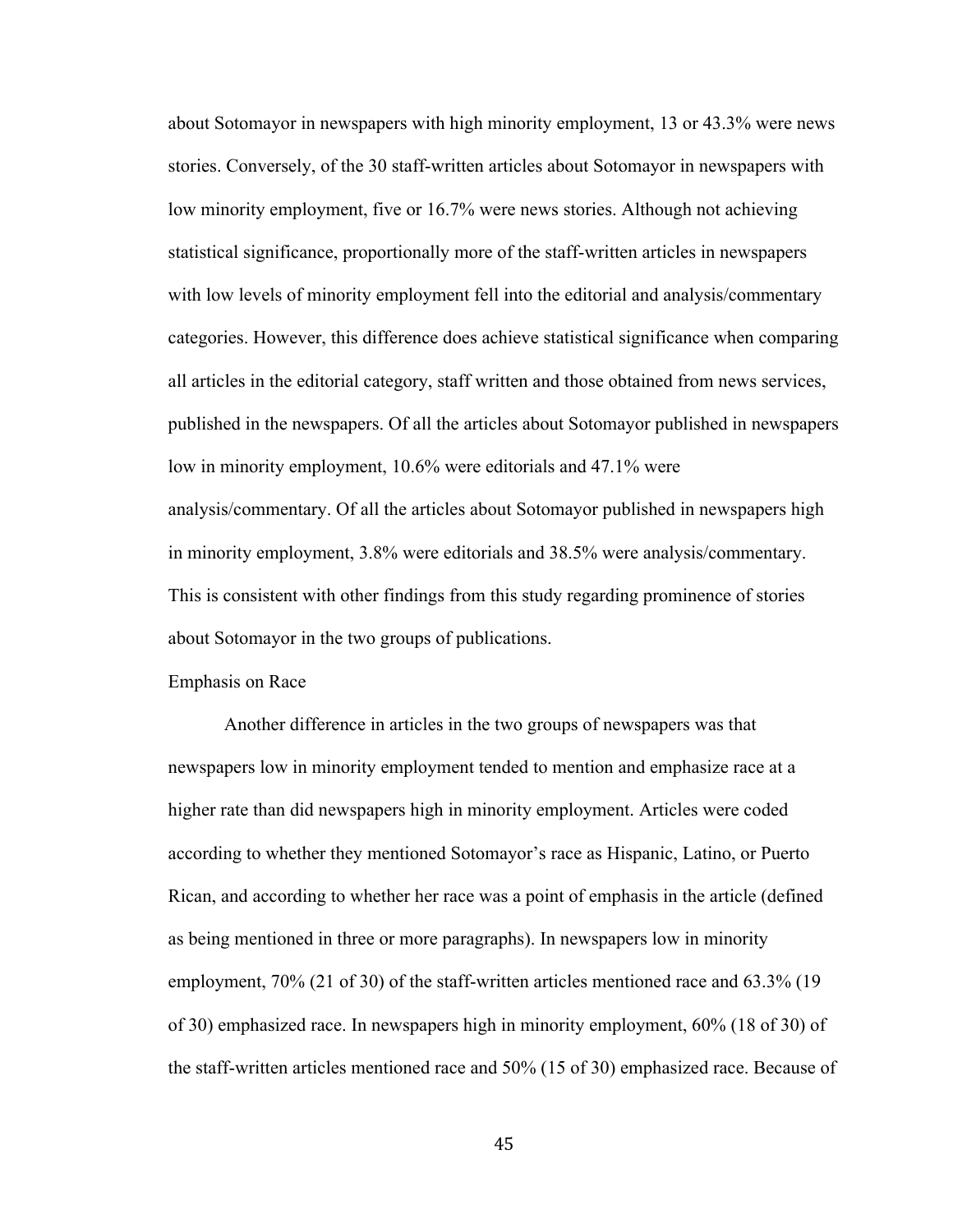about Sotomayor in newspapers with high minority employment, 13 or 43.3% were news stories. Conversely, of the 30 staff-written articles about Sotomayor in newspapers with low minority employment, five or 16.7% were news stories. Although not achieving statistical significance, proportionally more of the staff-written articles in newspapers with low levels of minority employment fell into the editorial and analysis/commentary categories. However, this difference does achieve statistical significance when comparing all articles in the editorial category, staff written and those obtained from news services, published in the newspapers. Of all the articles about Sotomayor published in newspapers low in minority employment, 10.6% were editorials and 47.1% were analysis/commentary. Of all the articles about Sotomayor published in newspapers high in minority employment, 3.8% were editorials and 38.5% were analysis/commentary. This is consistent with other findings from this study regarding prominence of stories about Sotomayor in the two groups of publications.

#### Emphasis on Race

Another difference in articles in the two groups of newspapers was that newspapers low in minority employment tended to mention and emphasize race at a higher rate than did newspapers high in minority employment. Articles were coded according to whether they mentioned Sotomayor's race as Hispanic, Latino, or Puerto Rican, and according to whether her race was a point of emphasis in the article (defined as being mentioned in three or more paragraphs). In newspapers low in minority employment, 70% (21 of 30) of the staff-written articles mentioned race and 63.3% (19 of 30) emphasized race. In newspapers high in minority employment, 60% (18 of 30) of the staff-written articles mentioned race and 50% (15 of 30) emphasized race. Because of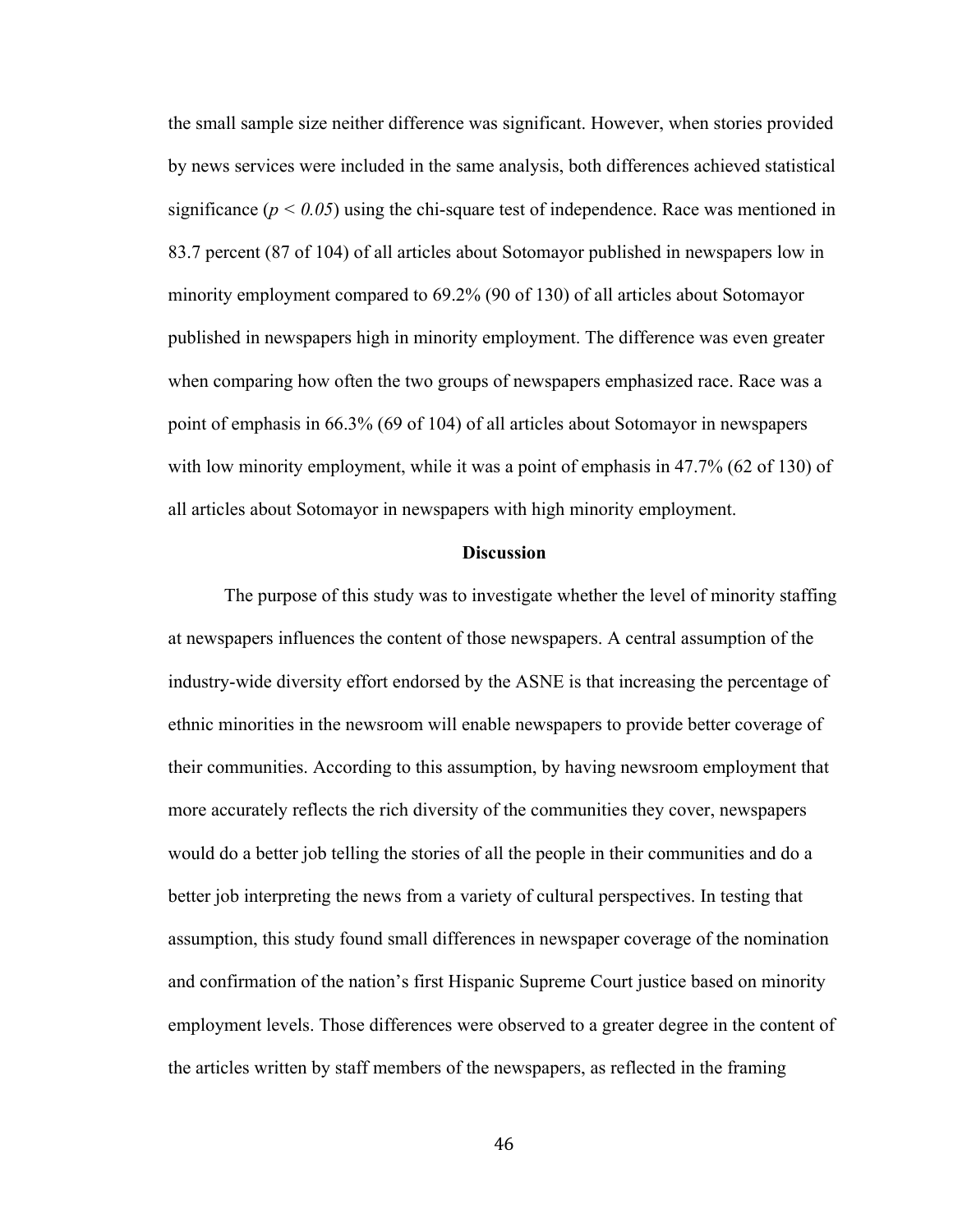the small sample size neither difference was significant. However, when stories provided by news services were included in the same analysis, both differences achieved statistical significance  $(p < 0.05)$  using the chi-square test of independence. Race was mentioned in 83.7 percent (87 of 104) of all articles about Sotomayor published in newspapers low in minority employment compared to 69.2% (90 of 130) of all articles about Sotomayor published in newspapers high in minority employment. The difference was even greater when comparing how often the two groups of newspapers emphasized race. Race was a point of emphasis in 66.3% (69 of 104) of all articles about Sotomayor in newspapers with low minority employment, while it was a point of emphasis in 47.7% (62 of 130) of all articles about Sotomayor in newspapers with high minority employment.

#### **Discussion**

The purpose of this study was to investigate whether the level of minority staffing at newspapers influences the content of those newspapers. A central assumption of the industry-wide diversity effort endorsed by the ASNE is that increasing the percentage of ethnic minorities in the newsroom will enable newspapers to provide better coverage of their communities. According to this assumption, by having newsroom employment that more accurately reflects the rich diversity of the communities they cover, newspapers would do a better job telling the stories of all the people in their communities and do a better job interpreting the news from a variety of cultural perspectives. In testing that assumption, this study found small differences in newspaper coverage of the nomination and confirmation of the nation's first Hispanic Supreme Court justice based on minority employment levels. Those differences were observed to a greater degree in the content of the articles written by staff members of the newspapers, as reflected in the framing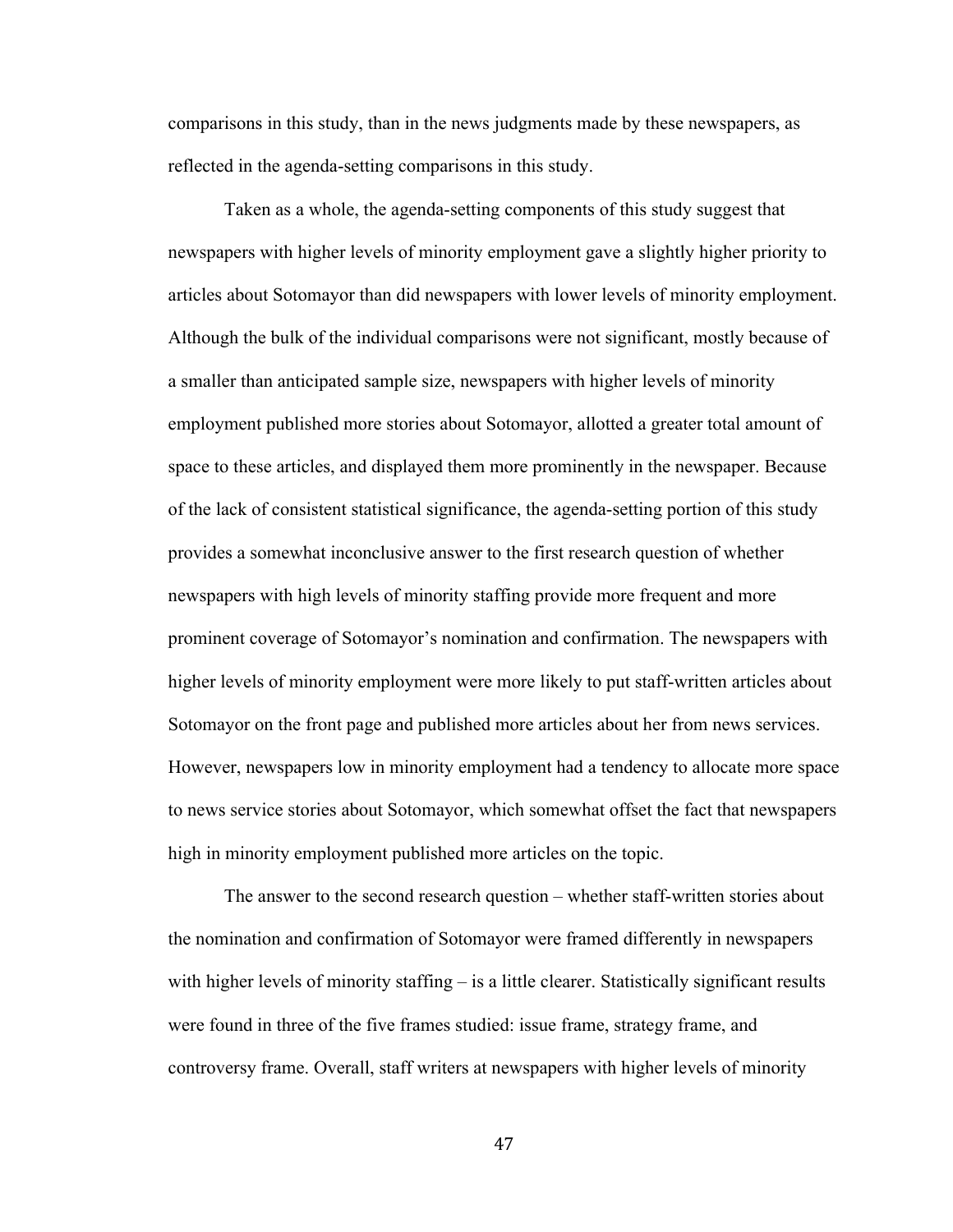comparisons in this study, than in the news judgments made by these newspapers, as reflected in the agenda-setting comparisons in this study.

Taken as a whole, the agenda-setting components of this study suggest that newspapers with higher levels of minority employment gave a slightly higher priority to articles about Sotomayor than did newspapers with lower levels of minority employment. Although the bulk of the individual comparisons were not significant, mostly because of a smaller than anticipated sample size, newspapers with higher levels of minority employment published more stories about Sotomayor, allotted a greater total amount of space to these articles, and displayed them more prominently in the newspaper. Because of the lack of consistent statistical significance, the agenda-setting portion of this study provides a somewhat inconclusive answer to the first research question of whether newspapers with high levels of minority staffing provide more frequent and more prominent coverage of Sotomayor's nomination and confirmation. The newspapers with higher levels of minority employment were more likely to put staff-written articles about Sotomayor on the front page and published more articles about her from news services. However, newspapers low in minority employment had a tendency to allocate more space to news service stories about Sotomayor, which somewhat offset the fact that newspapers high in minority employment published more articles on the topic.

The answer to the second research question – whether staff-written stories about the nomination and confirmation of Sotomayor were framed differently in newspapers with higher levels of minority staffing – is a little clearer. Statistically significant results were found in three of the five frames studied: issue frame, strategy frame, and controversy frame. Overall, staff writers at newspapers with higher levels of minority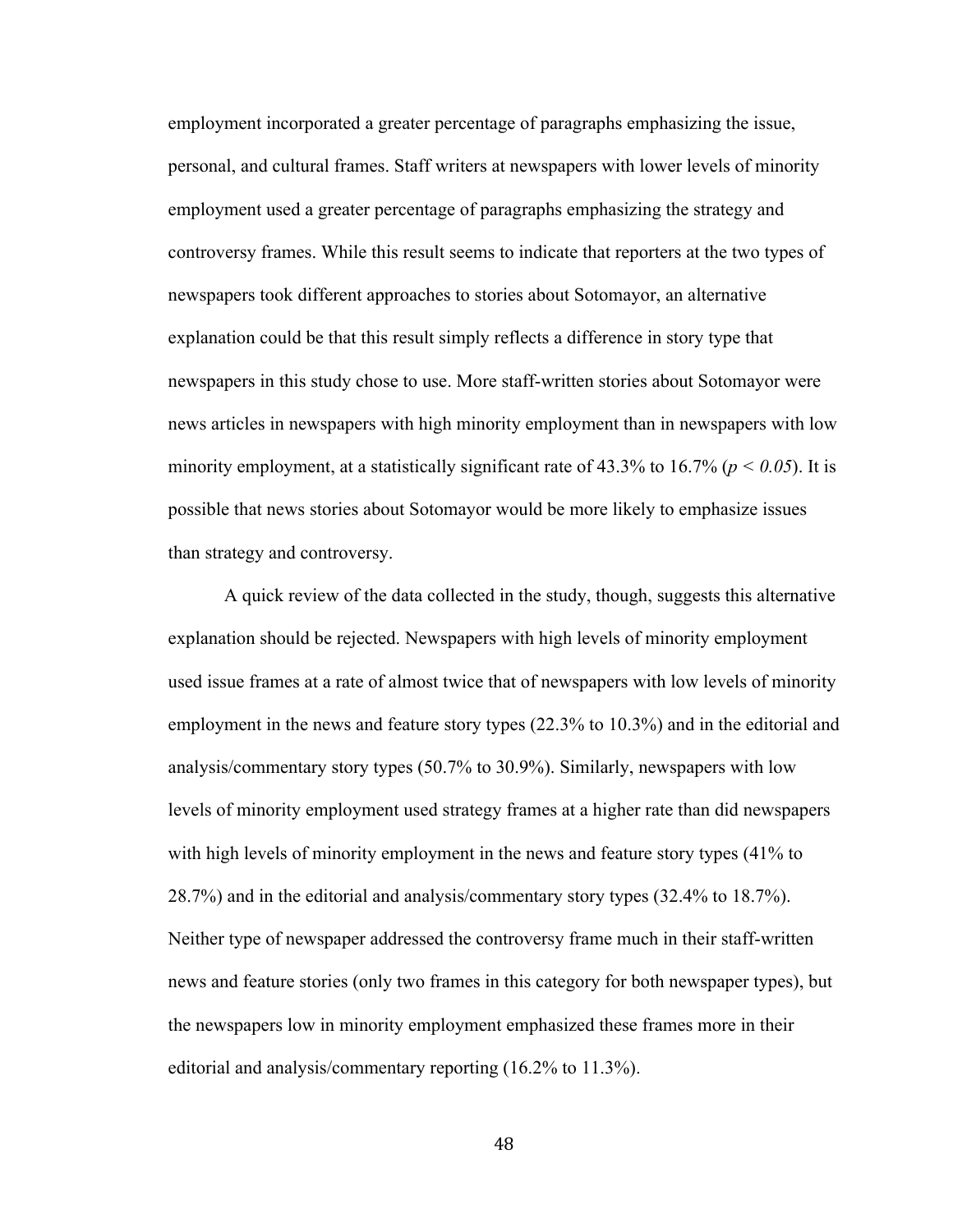employment incorporated a greater percentage of paragraphs emphasizing the issue, personal, and cultural frames. Staff writers at newspapers with lower levels of minority employment used a greater percentage of paragraphs emphasizing the strategy and controversy frames. While this result seems to indicate that reporters at the two types of newspapers took different approaches to stories about Sotomayor, an alternative explanation could be that this result simply reflects a difference in story type that newspapers in this study chose to use. More staff-written stories about Sotomayor were news articles in newspapers with high minority employment than in newspapers with low minority employment, at a statistically significant rate of  $43.3\%$  to  $16.7\%$  ( $p < 0.05$ ). It is possible that news stories about Sotomayor would be more likely to emphasize issues than strategy and controversy.

A quick review of the data collected in the study, though, suggests this alternative explanation should be rejected. Newspapers with high levels of minority employment used issue frames at a rate of almost twice that of newspapers with low levels of minority employment in the news and feature story types (22.3% to 10.3%) and in the editorial and analysis/commentary story types (50.7% to 30.9%). Similarly, newspapers with low levels of minority employment used strategy frames at a higher rate than did newspapers with high levels of minority employment in the news and feature story types (41% to 28.7%) and in the editorial and analysis/commentary story types (32.4% to 18.7%). Neither type of newspaper addressed the controversy frame much in their staff-written news and feature stories (only two frames in this category for both newspaper types), but the newspapers low in minority employment emphasized these frames more in their editorial and analysis/commentary reporting (16.2% to 11.3%).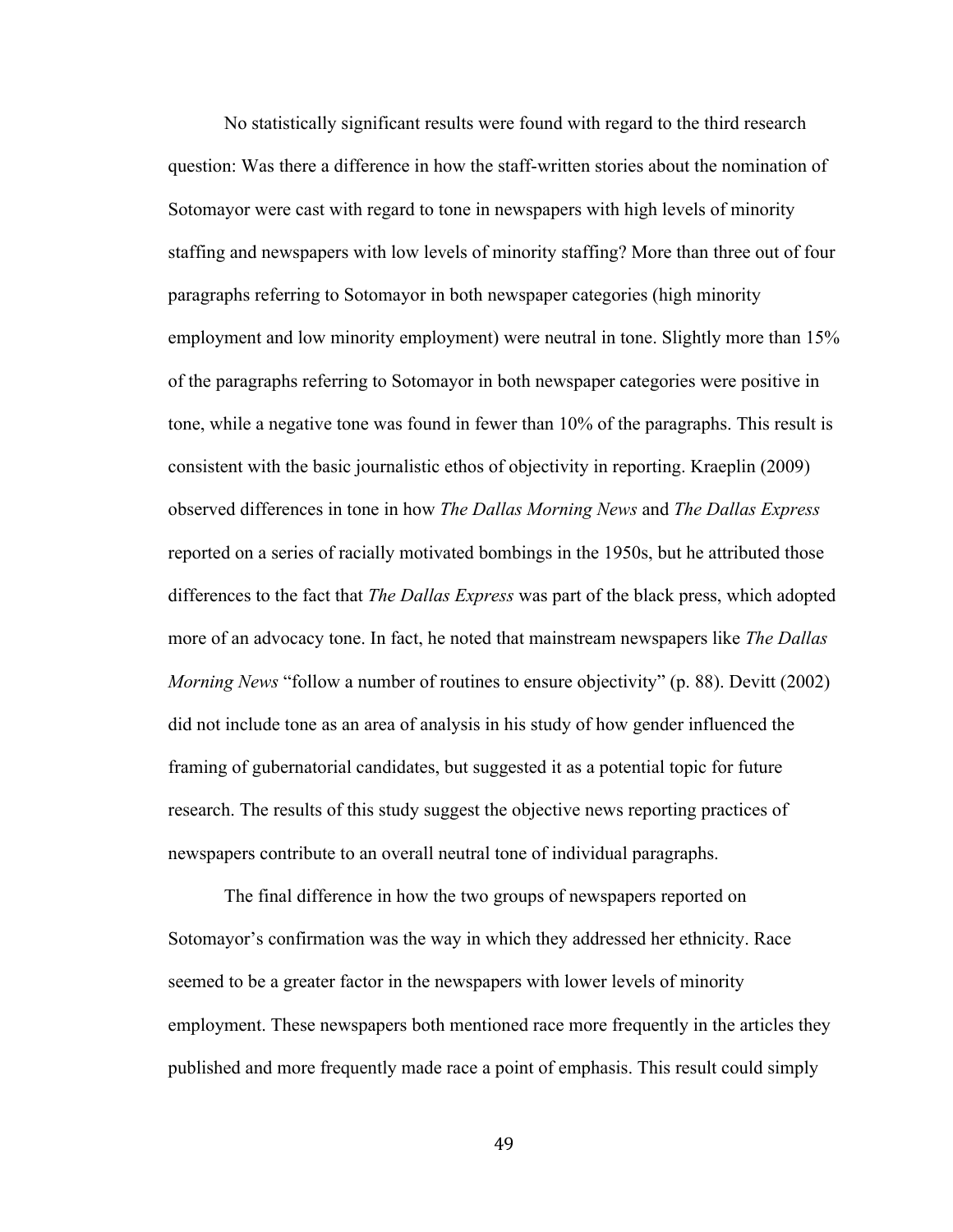No statistically significant results were found with regard to the third research question: Was there a difference in how the staff-written stories about the nomination of Sotomayor were cast with regard to tone in newspapers with high levels of minority staffing and newspapers with low levels of minority staffing? More than three out of four paragraphs referring to Sotomayor in both newspaper categories (high minority employment and low minority employment) were neutral in tone. Slightly more than 15% of the paragraphs referring to Sotomayor in both newspaper categories were positive in tone, while a negative tone was found in fewer than 10% of the paragraphs. This result is consistent with the basic journalistic ethos of objectivity in reporting. Kraeplin (2009) observed differences in tone in how *The Dallas Morning News* and *The Dallas Express* reported on a series of racially motivated bombings in the 1950s, but he attributed those differences to the fact that *The Dallas Express* was part of the black press, which adopted more of an advocacy tone. In fact, he noted that mainstream newspapers like *The Dallas Morning News* "follow a number of routines to ensure objectivity" (p. 88). Devitt (2002) did not include tone as an area of analysis in his study of how gender influenced the framing of gubernatorial candidates, but suggested it as a potential topic for future research. The results of this study suggest the objective news reporting practices of newspapers contribute to an overall neutral tone of individual paragraphs.

The final difference in how the two groups of newspapers reported on Sotomayor's confirmation was the way in which they addressed her ethnicity. Race seemed to be a greater factor in the newspapers with lower levels of minority employment. These newspapers both mentioned race more frequently in the articles they published and more frequently made race a point of emphasis. This result could simply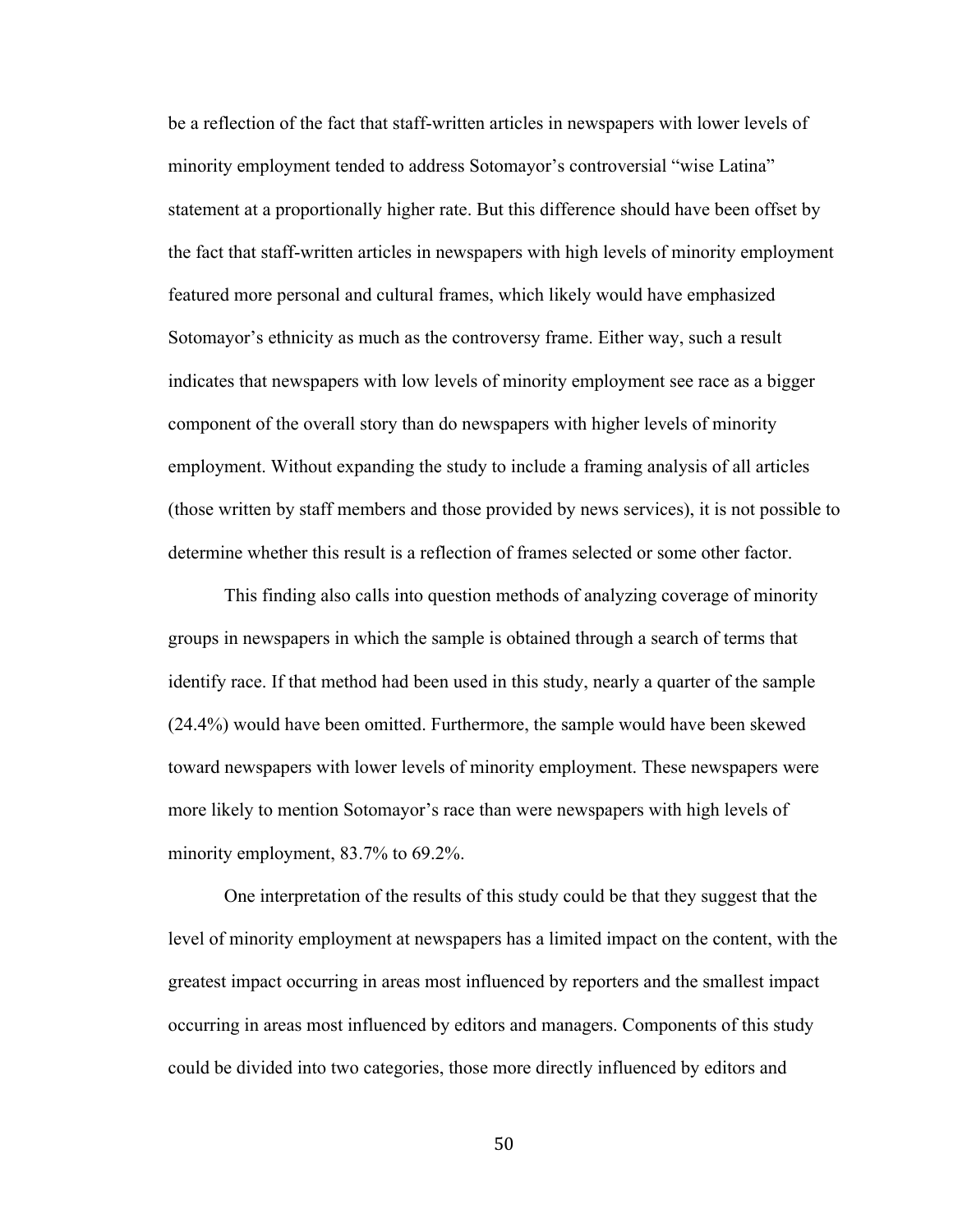be a reflection of the fact that staff-written articles in newspapers with lower levels of minority employment tended to address Sotomayor's controversial "wise Latina" statement at a proportionally higher rate. But this difference should have been offset by the fact that staff-written articles in newspapers with high levels of minority employment featured more personal and cultural frames, which likely would have emphasized Sotomayor's ethnicity as much as the controversy frame. Either way, such a result indicates that newspapers with low levels of minority employment see race as a bigger component of the overall story than do newspapers with higher levels of minority employment. Without expanding the study to include a framing analysis of all articles (those written by staff members and those provided by news services), it is not possible to determine whether this result is a reflection of frames selected or some other factor.

This finding also calls into question methods of analyzing coverage of minority groups in newspapers in which the sample is obtained through a search of terms that identify race. If that method had been used in this study, nearly a quarter of the sample (24.4%) would have been omitted. Furthermore, the sample would have been skewed toward newspapers with lower levels of minority employment. These newspapers were more likely to mention Sotomayor's race than were newspapers with high levels of minority employment, 83.7% to 69.2%.

One interpretation of the results of this study could be that they suggest that the level of minority employment at newspapers has a limited impact on the content, with the greatest impact occurring in areas most influenced by reporters and the smallest impact occurring in areas most influenced by editors and managers. Components of this study could be divided into two categories, those more directly influenced by editors and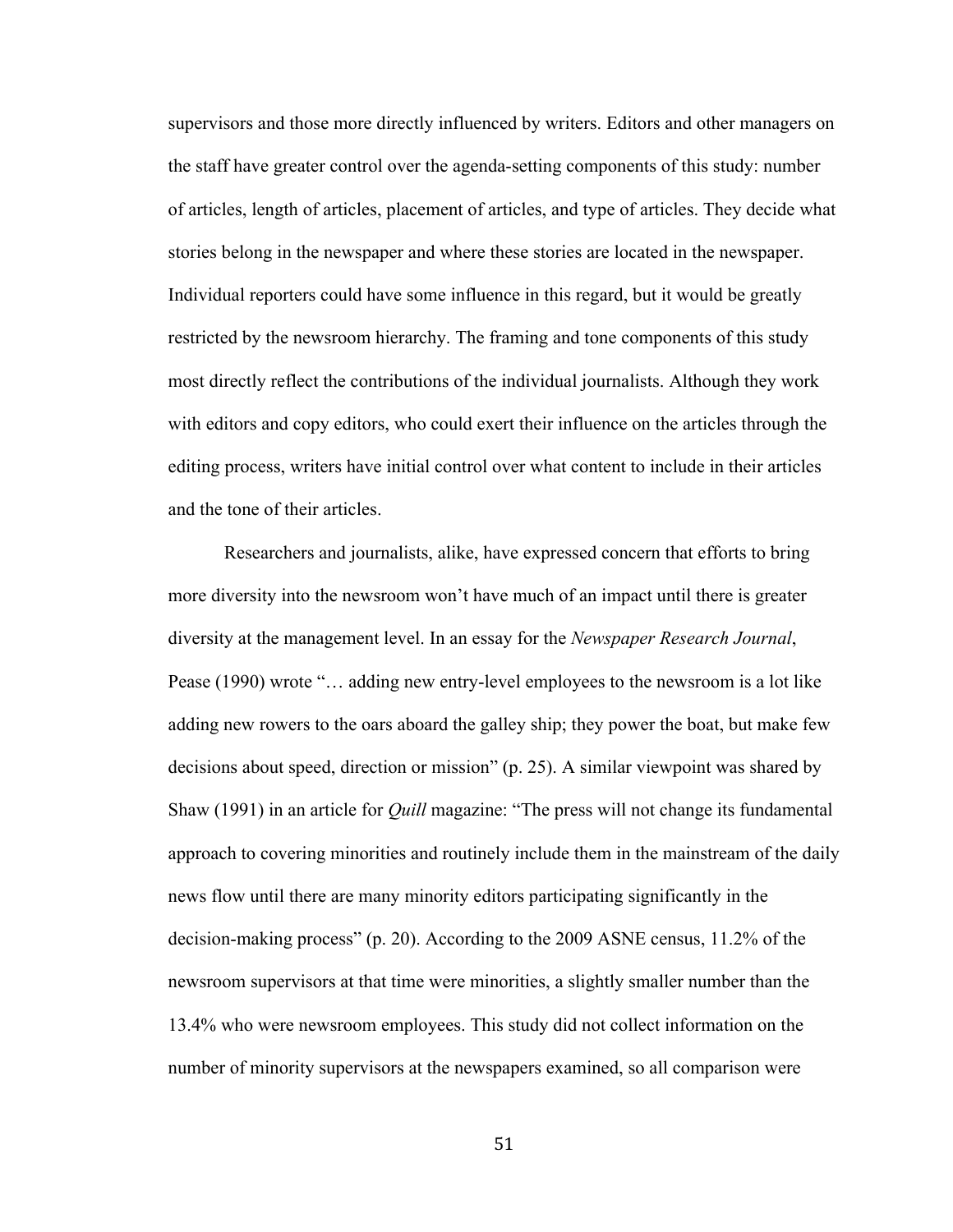supervisors and those more directly influenced by writers. Editors and other managers on the staff have greater control over the agenda-setting components of this study: number of articles, length of articles, placement of articles, and type of articles. They decide what stories belong in the newspaper and where these stories are located in the newspaper. Individual reporters could have some influence in this regard, but it would be greatly restricted by the newsroom hierarchy. The framing and tone components of this study most directly reflect the contributions of the individual journalists. Although they work with editors and copy editors, who could exert their influence on the articles through the editing process, writers have initial control over what content to include in their articles and the tone of their articles.

Researchers and journalists, alike, have expressed concern that efforts to bring more diversity into the newsroom won't have much of an impact until there is greater diversity at the management level. In an essay for the *Newspaper Research Journal*, Pease (1990) wrote "… adding new entry-level employees to the newsroom is a lot like adding new rowers to the oars aboard the galley ship; they power the boat, but make few decisions about speed, direction or mission" (p. 25). A similar viewpoint was shared by Shaw (1991) in an article for *Quill* magazine: "The press will not change its fundamental approach to covering minorities and routinely include them in the mainstream of the daily news flow until there are many minority editors participating significantly in the decision-making process" (p. 20). According to the 2009 ASNE census, 11.2% of the newsroom supervisors at that time were minorities, a slightly smaller number than the 13.4% who were newsroom employees. This study did not collect information on the number of minority supervisors at the newspapers examined, so all comparison were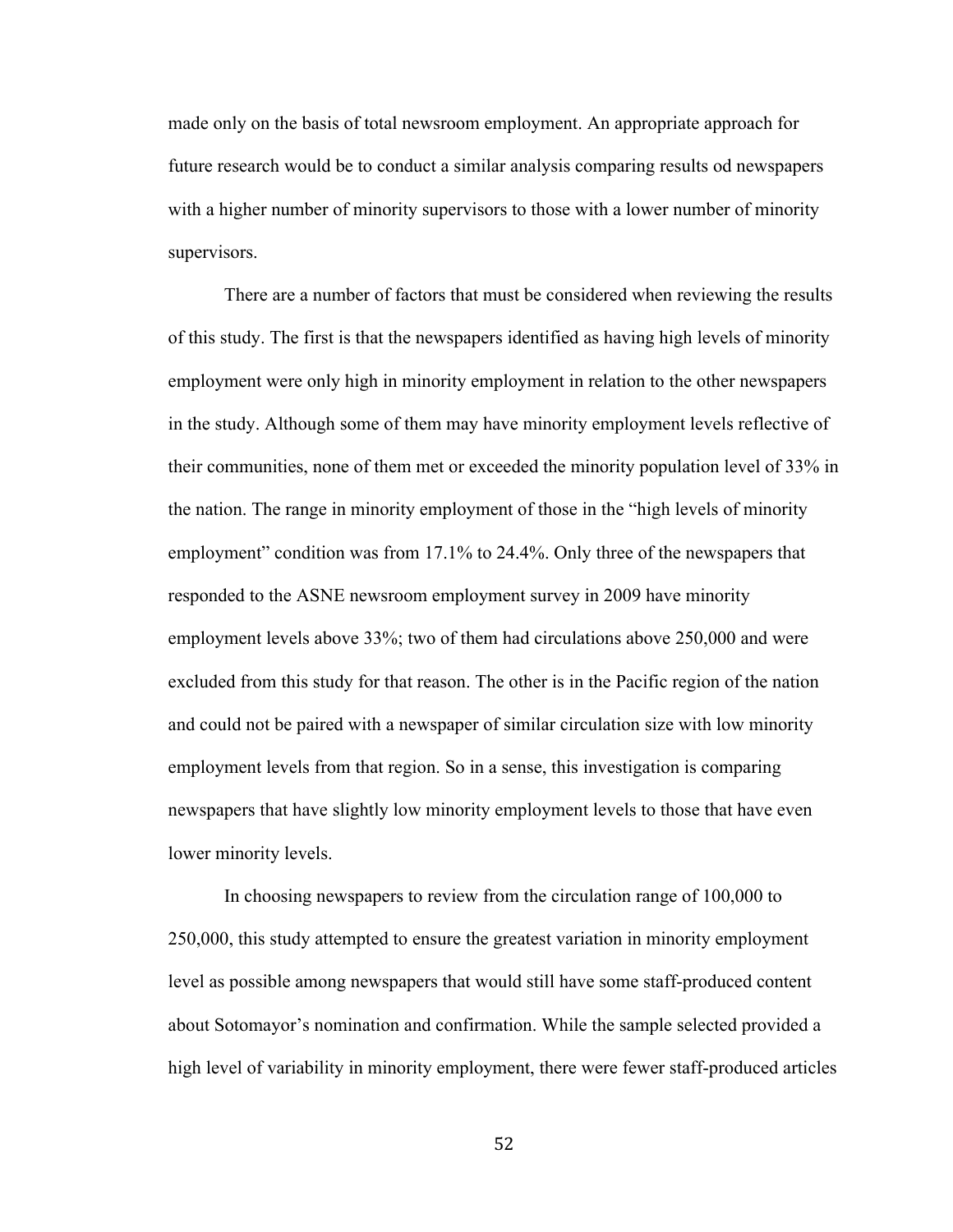made only on the basis of total newsroom employment. An appropriate approach for future research would be to conduct a similar analysis comparing results od newspapers with a higher number of minority supervisors to those with a lower number of minority supervisors.

There are a number of factors that must be considered when reviewing the results of this study. The first is that the newspapers identified as having high levels of minority employment were only high in minority employment in relation to the other newspapers in the study. Although some of them may have minority employment levels reflective of their communities, none of them met or exceeded the minority population level of 33% in the nation. The range in minority employment of those in the "high levels of minority employment" condition was from 17.1% to 24.4%. Only three of the newspapers that responded to the ASNE newsroom employment survey in 2009 have minority employment levels above 33%; two of them had circulations above 250,000 and were excluded from this study for that reason. The other is in the Pacific region of the nation and could not be paired with a newspaper of similar circulation size with low minority employment levels from that region. So in a sense, this investigation is comparing newspapers that have slightly low minority employment levels to those that have even lower minority levels.

In choosing newspapers to review from the circulation range of 100,000 to 250,000, this study attempted to ensure the greatest variation in minority employment level as possible among newspapers that would still have some staff-produced content about Sotomayor's nomination and confirmation. While the sample selected provided a high level of variability in minority employment, there were fewer staff-produced articles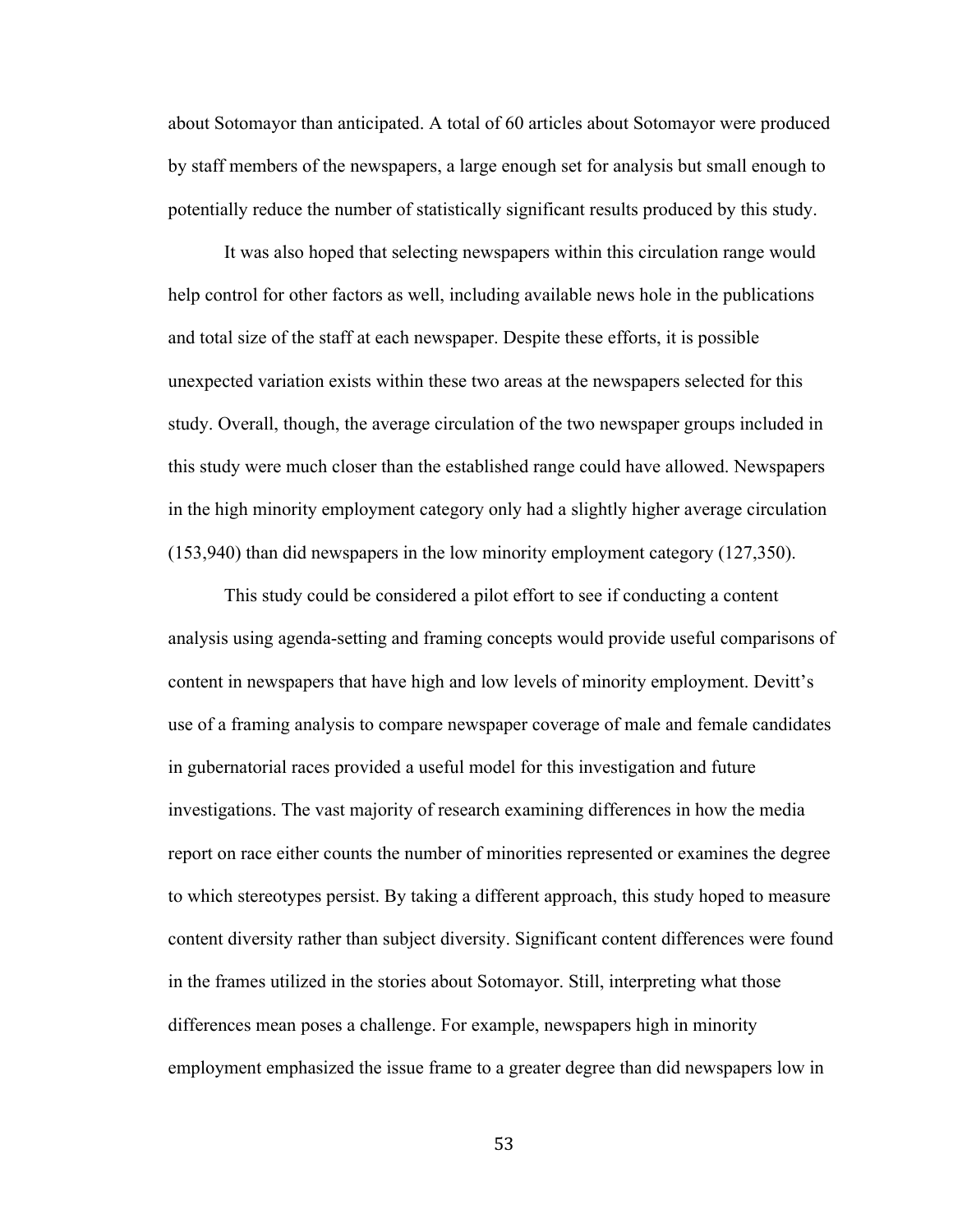about Sotomayor than anticipated. A total of 60 articles about Sotomayor were produced by staff members of the newspapers, a large enough set for analysis but small enough to potentially reduce the number of statistically significant results produced by this study.

It was also hoped that selecting newspapers within this circulation range would help control for other factors as well, including available news hole in the publications and total size of the staff at each newspaper. Despite these efforts, it is possible unexpected variation exists within these two areas at the newspapers selected for this study. Overall, though, the average circulation of the two newspaper groups included in this study were much closer than the established range could have allowed. Newspapers in the high minority employment category only had a slightly higher average circulation (153,940) than did newspapers in the low minority employment category (127,350).

This study could be considered a pilot effort to see if conducting a content analysis using agenda-setting and framing concepts would provide useful comparisons of content in newspapers that have high and low levels of minority employment. Devitt's use of a framing analysis to compare newspaper coverage of male and female candidates in gubernatorial races provided a useful model for this investigation and future investigations. The vast majority of research examining differences in how the media report on race either counts the number of minorities represented or examines the degree to which stereotypes persist. By taking a different approach, this study hoped to measure content diversity rather than subject diversity. Significant content differences were found in the frames utilized in the stories about Sotomayor. Still, interpreting what those differences mean poses a challenge. For example, newspapers high in minority employment emphasized the issue frame to a greater degree than did newspapers low in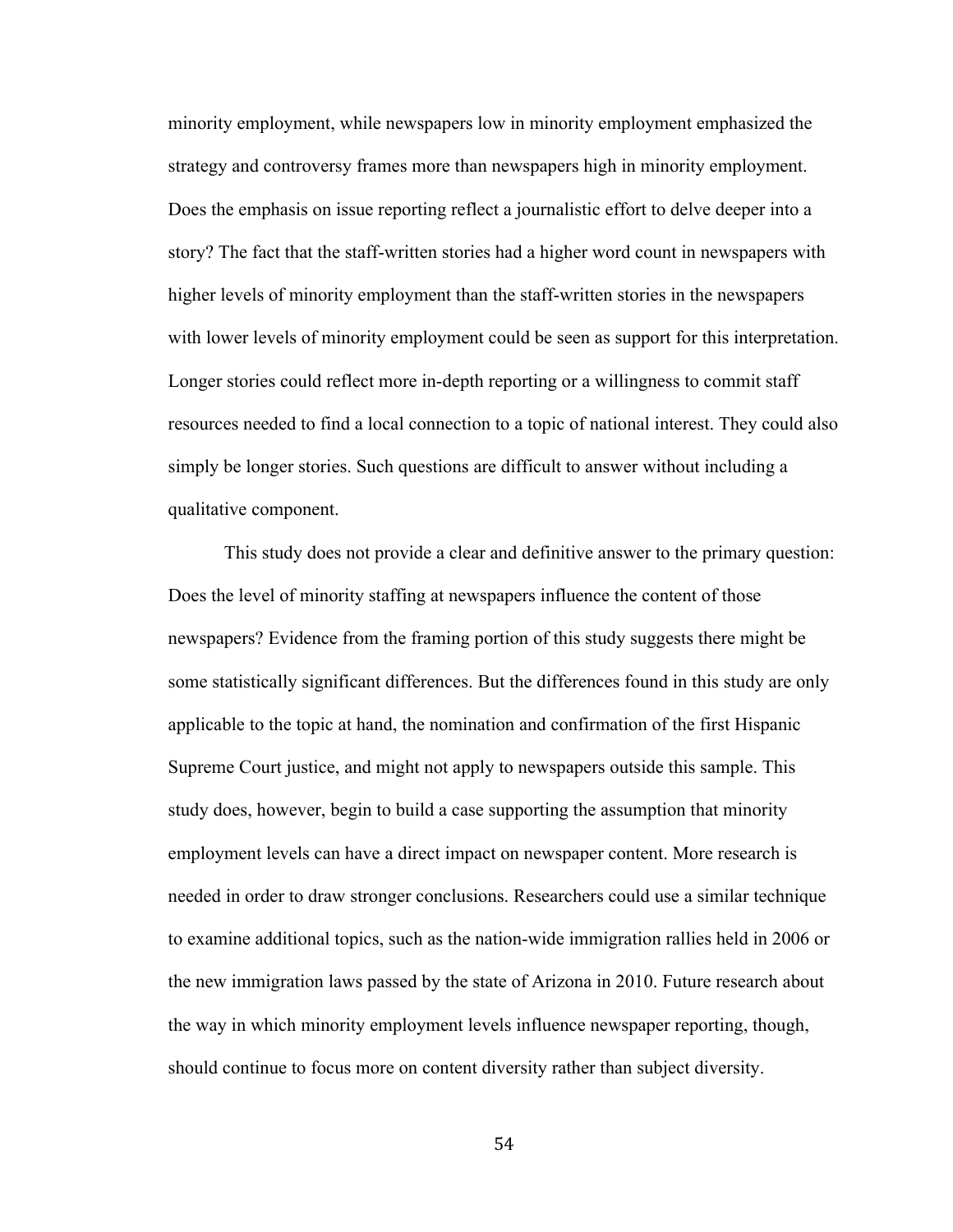minority employment, while newspapers low in minority employment emphasized the strategy and controversy frames more than newspapers high in minority employment. Does the emphasis on issue reporting reflect a journalistic effort to delve deeper into a story? The fact that the staff-written stories had a higher word count in newspapers with higher levels of minority employment than the staff-written stories in the newspapers with lower levels of minority employment could be seen as support for this interpretation. Longer stories could reflect more in-depth reporting or a willingness to commit staff resources needed to find a local connection to a topic of national interest. They could also simply be longer stories. Such questions are difficult to answer without including a qualitative component.

This study does not provide a clear and definitive answer to the primary question: Does the level of minority staffing at newspapers influence the content of those newspapers? Evidence from the framing portion of this study suggests there might be some statistically significant differences. But the differences found in this study are only applicable to the topic at hand, the nomination and confirmation of the first Hispanic Supreme Court justice, and might not apply to newspapers outside this sample. This study does, however, begin to build a case supporting the assumption that minority employment levels can have a direct impact on newspaper content. More research is needed in order to draw stronger conclusions. Researchers could use a similar technique to examine additional topics, such as the nation-wide immigration rallies held in 2006 or the new immigration laws passed by the state of Arizona in 2010. Future research about the way in which minority employment levels influence newspaper reporting, though, should continue to focus more on content diversity rather than subject diversity.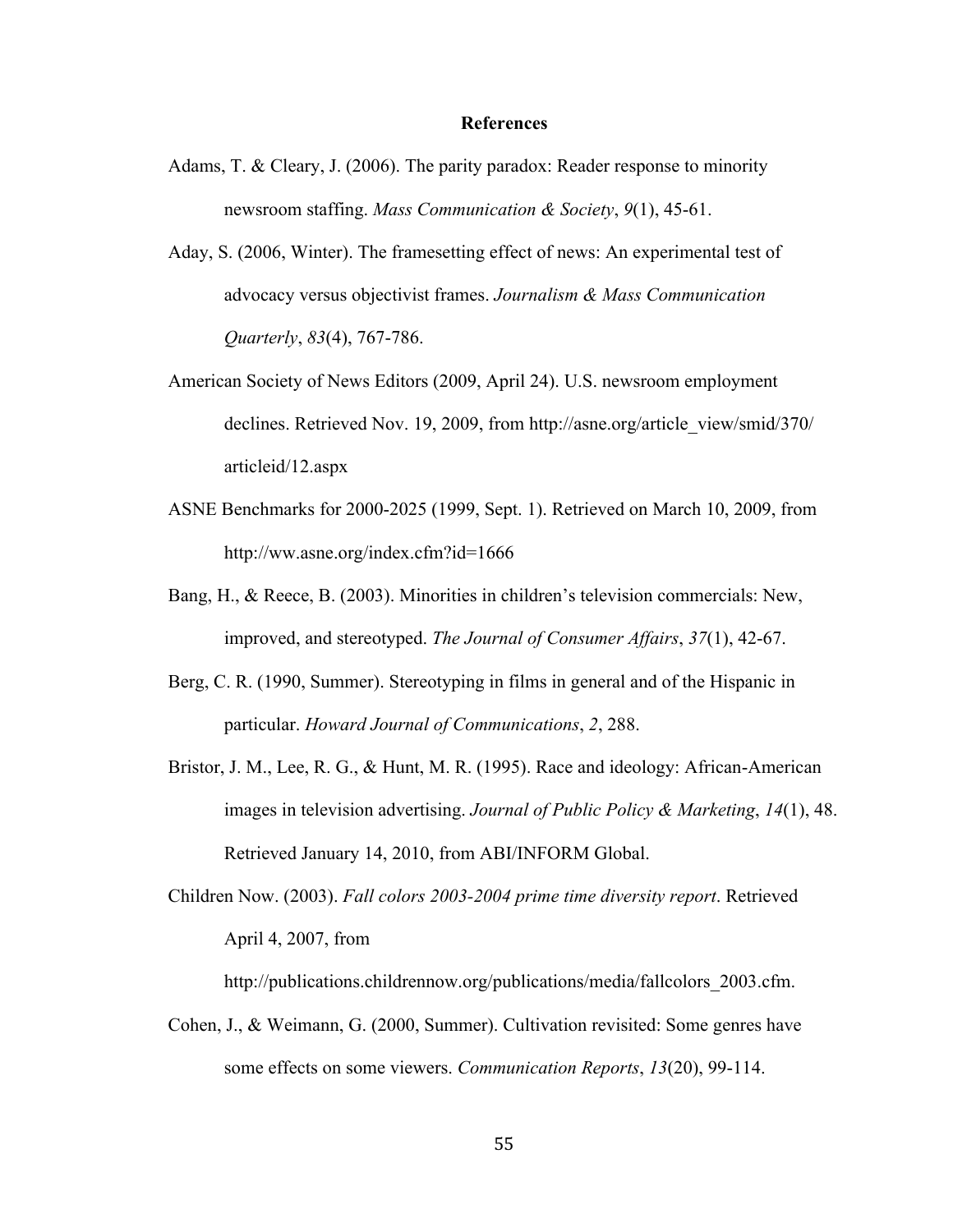#### **References**

- Adams, T. & Cleary, J. (2006). The parity paradox: Reader response to minority newsroom staffing. *Mass Communication & Society*, *9*(1), 45-61.
- Aday, S. (2006, Winter). The framesetting effect of news: An experimental test of advocacy versus objectivist frames. *Journalism & Mass Communication Quarterly*, *83*(4), 767-786.
- American Society of News Editors (2009, April 24). U.S. newsroom employment declines. Retrieved Nov. 19, 2009, from http://asne.org/article\_view/smid/370/ articleid/12.aspx
- ASNE Benchmarks for 2000-2025 (1999, Sept. 1). Retrieved on March 10, 2009, from http://ww.asne.org/index.cfm?id=1666
- Bang, H., & Reece, B. (2003). Minorities in children's television commercials: New, improved, and stereotyped. *The Journal of Consumer Affairs*, *37*(1), 42-67.
- Berg, C. R. (1990, Summer). Stereotyping in films in general and of the Hispanic in particular. *Howard Journal of Communications*, *2*, 288.
- Bristor, J. M., Lee, R. G., & Hunt, M. R. (1995). Race and ideology: African-American images in television advertising. *Journal of Public Policy & Marketing*, *14*(1), 48. Retrieved January 14, 2010, from ABI/INFORM Global.
- Children Now. (2003). *Fall colors 2003-2004 prime time diversity report*. Retrieved April 4, 2007, from

http://publications.childrennow.org/publications/media/fallcolors 2003.cfm.

Cohen, J., & Weimann, G. (2000, Summer). Cultivation revisited: Some genres have some effects on some viewers. *Communication Reports*, *13*(20), 99-114.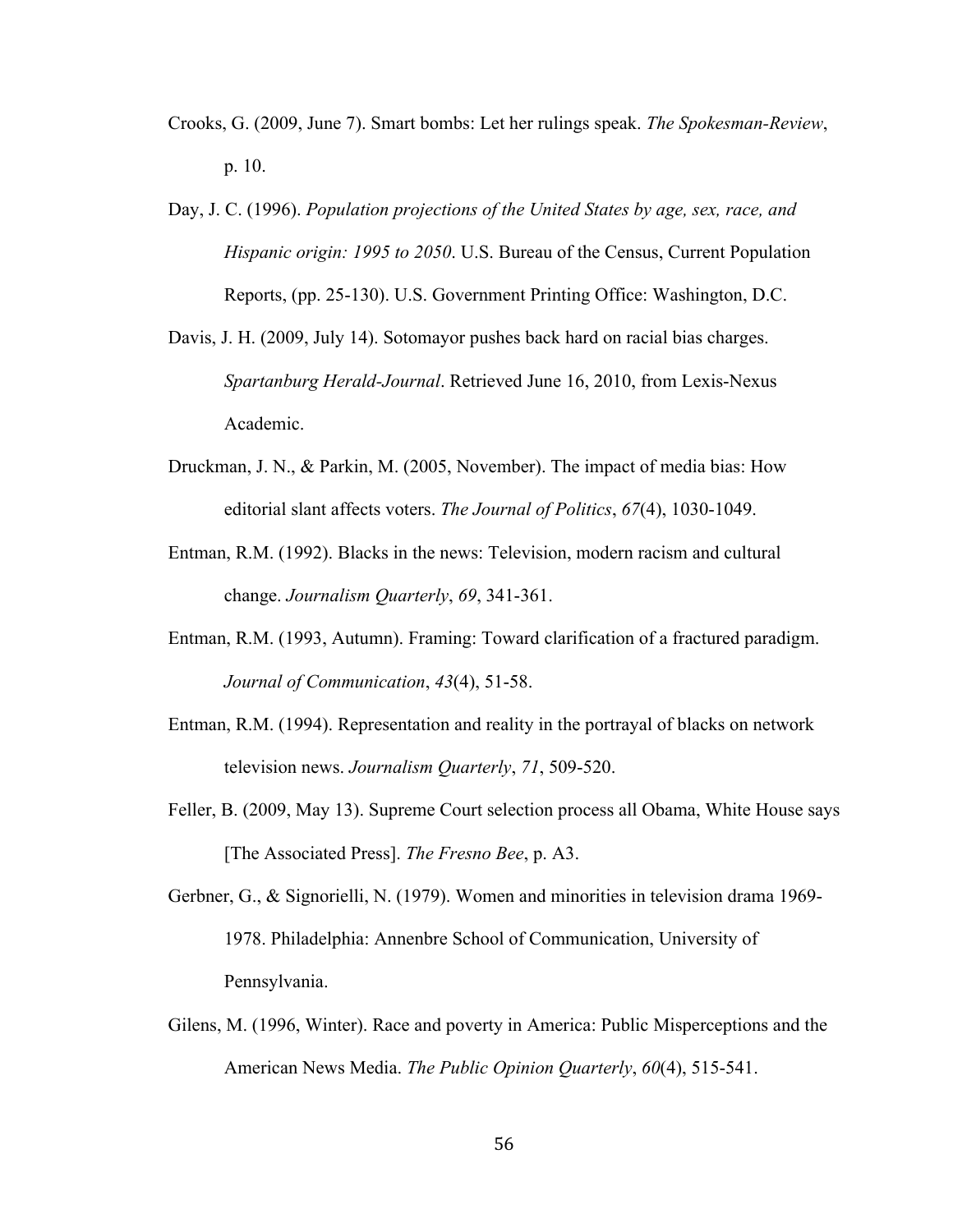- Crooks, G. (2009, June 7). Smart bombs: Let her rulings speak. *The Spokesman-Review*, p. 10.
- Day, J. C. (1996). *Population projections of the United States by age, sex, race, and Hispanic origin: 1995 to 2050*. U.S. Bureau of the Census, Current Population Reports, (pp. 25-130). U.S. Government Printing Office: Washington, D.C.
- Davis, J. H. (2009, July 14). Sotomayor pushes back hard on racial bias charges. *Spartanburg Herald-Journal*. Retrieved June 16, 2010, from Lexis-Nexus Academic.
- Druckman, J. N., & Parkin, M. (2005, November). The impact of media bias: How editorial slant affects voters. *The Journal of Politics*, *67*(4), 1030-1049.
- Entman, R.M. (1992). Blacks in the news: Television, modern racism and cultural change. *Journalism Quarterly*, *69*, 341-361.
- Entman, R.M. (1993, Autumn). Framing: Toward clarification of a fractured paradigm. *Journal of Communication*, *43*(4), 51-58.
- Entman, R.M. (1994). Representation and reality in the portrayal of blacks on network television news. *Journalism Quarterly*, *71*, 509-520.
- Feller, B. (2009, May 13). Supreme Court selection process all Obama, White House says [The Associated Press]. *The Fresno Bee*, p. A3.
- Gerbner, G., & Signorielli, N. (1979). Women and minorities in television drama 1969- 1978. Philadelphia: Annenbre School of Communication, University of Pennsylvania.
- Gilens, M. (1996, Winter). Race and poverty in America: Public Misperceptions and the American News Media. *The Public Opinion Quarterly*, *60*(4), 515-541.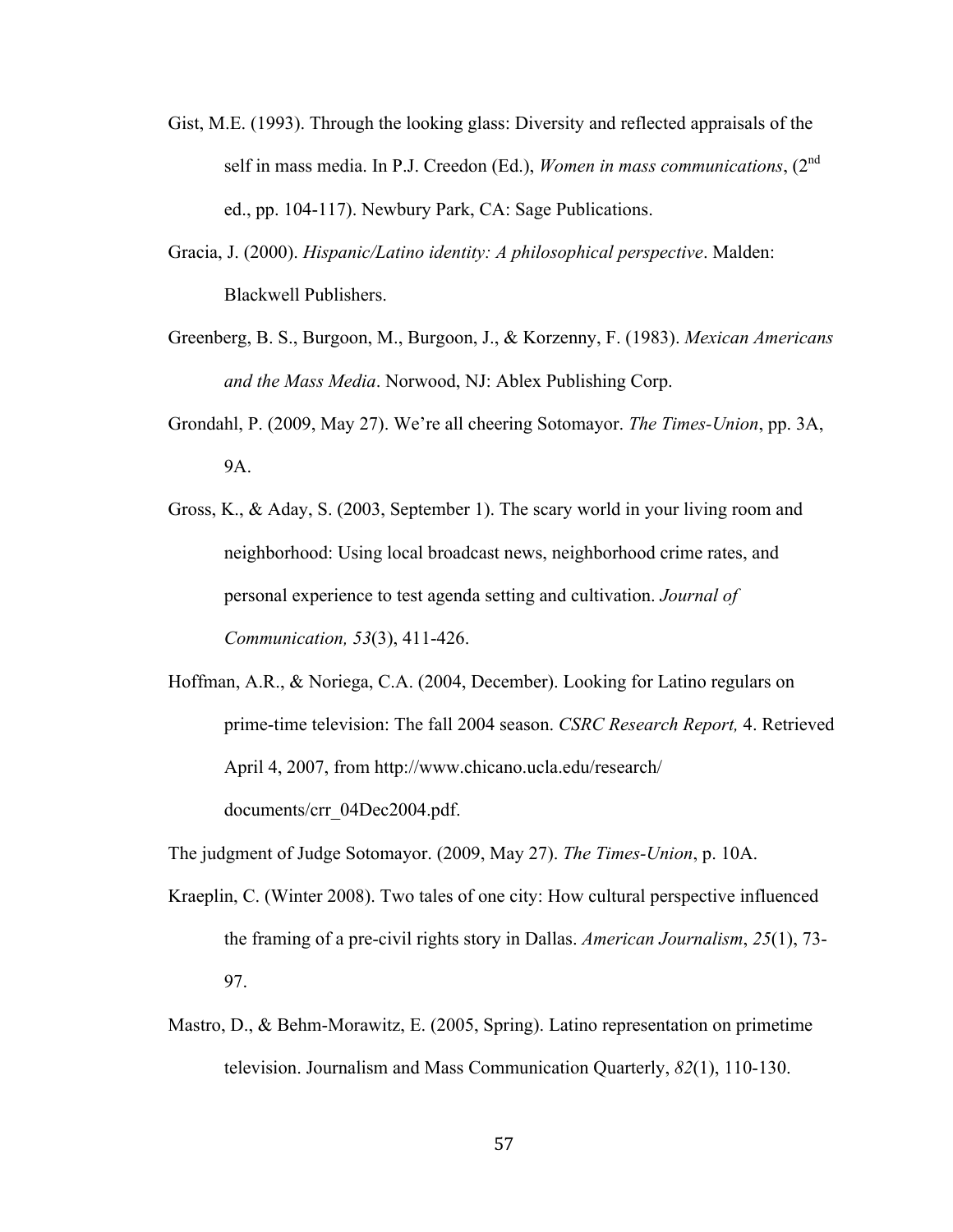- Gist, M.E. (1993). Through the looking glass: Diversity and reflected appraisals of the self in mass media. In P.J. Creedon (Ed.), *Women in mass communications*, (2nd ed., pp. 104-117). Newbury Park, CA: Sage Publications.
- Gracia, J. (2000). *Hispanic/Latino identity: A philosophical perspective*. Malden: Blackwell Publishers.
- Greenberg, B. S., Burgoon, M., Burgoon, J., & Korzenny, F. (1983). *Mexican Americans and the Mass Media*. Norwood, NJ: Ablex Publishing Corp.
- Grondahl, P. (2009, May 27). We're all cheering Sotomayor. *The Times-Union*, pp. 3A, 9A.
- Gross, K., & Aday, S. (2003, September 1). The scary world in your living room and neighborhood: Using local broadcast news, neighborhood crime rates, and personal experience to test agenda setting and cultivation. *Journal of Communication, 53*(3), 411-426.

Hoffman, A.R., & Noriega, C.A. (2004, December). Looking for Latino regulars on prime-time television: The fall 2004 season. *CSRC Research Report,* 4. Retrieved April 4, 2007, from http://www.chicano.ucla.edu/research/ documents/crr\_04Dec2004.pdf.

The judgment of Judge Sotomayor. (2009, May 27). *The Times-Union*, p. 10A.

- Kraeplin, C. (Winter 2008). Two tales of one city: How cultural perspective influenced the framing of a pre-civil rights story in Dallas. *American Journalism*, *25*(1), 73- 97.
- Mastro, D., & Behm-Morawitz, E. (2005, Spring). Latino representation on primetime television. Journalism and Mass Communication Quarterly, *82*(1), 110-130.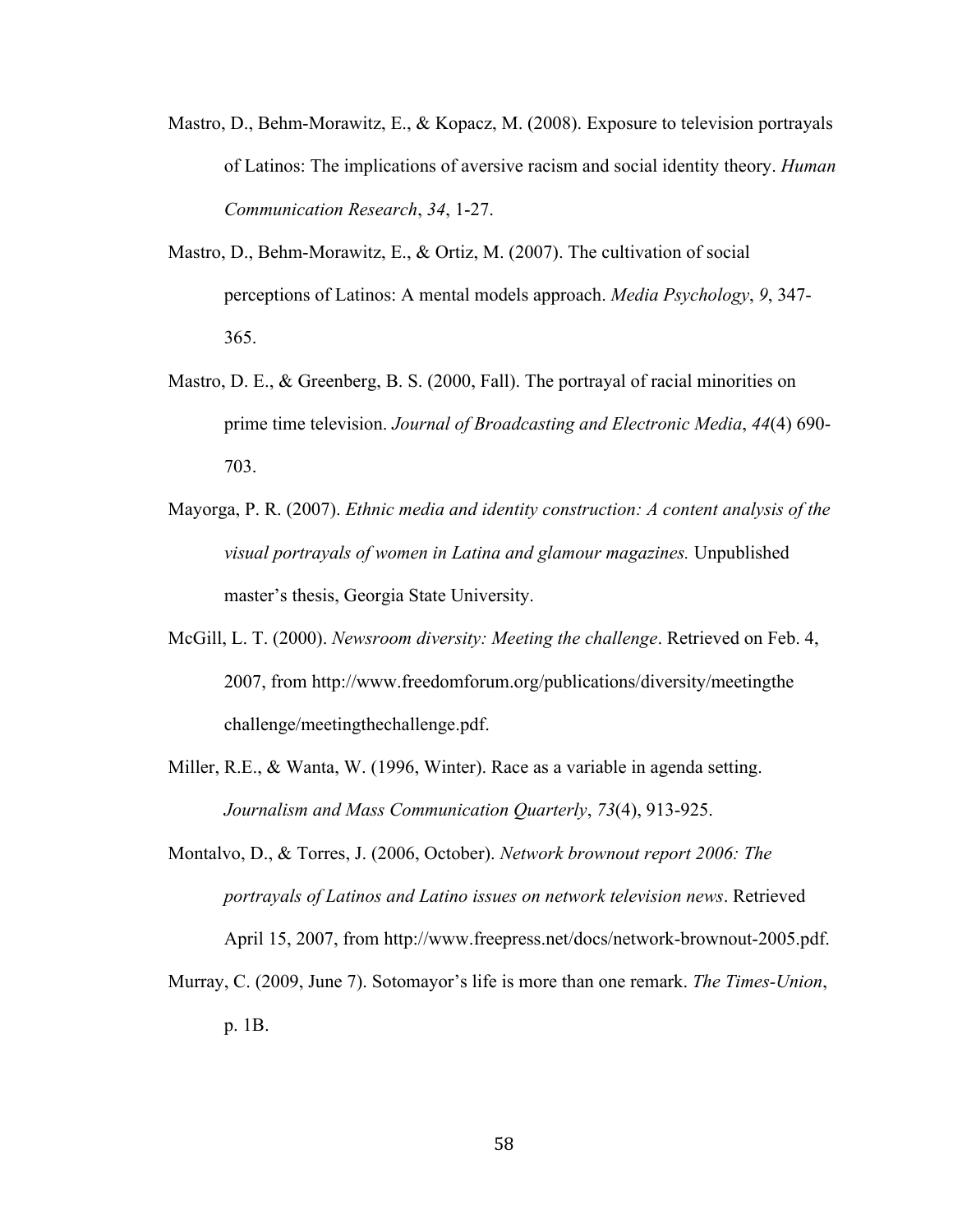- Mastro, D., Behm-Morawitz, E., & Kopacz, M. (2008). Exposure to television portrayals of Latinos: The implications of aversive racism and social identity theory. *Human Communication Research*, *34*, 1-27.
- Mastro, D., Behm-Morawitz, E., & Ortiz, M. (2007). The cultivation of social perceptions of Latinos: A mental models approach. *Media Psychology*, *9*, 347- 365.
- Mastro, D. E., & Greenberg, B. S. (2000, Fall). The portrayal of racial minorities on prime time television. *Journal of Broadcasting and Electronic Media*, *44*(4) 690- 703.
- Mayorga, P. R. (2007). *Ethnic media and identity construction: A content analysis of the visual portrayals of women in Latina and glamour magazines.* Unpublished master's thesis, Georgia State University.
- McGill, L. T. (2000). *Newsroom diversity: Meeting the challenge*. Retrieved on Feb. 4, 2007, from http://www.freedomforum.org/publications/diversity/meetingthe challenge/meetingthechallenge.pdf.
- Miller, R.E., & Wanta, W. (1996, Winter). Race as a variable in agenda setting. *Journalism and Mass Communication Quarterly*, *73*(4), 913-925.
- Montalvo, D., & Torres, J. (2006, October). *Network brownout report 2006: The portrayals of Latinos and Latino issues on network television news*. Retrieved April 15, 2007, from http://www.freepress.net/docs/network-brownout-2005.pdf.
- Murray, C. (2009, June 7). Sotomayor's life is more than one remark. *The Times-Union*, p. 1B.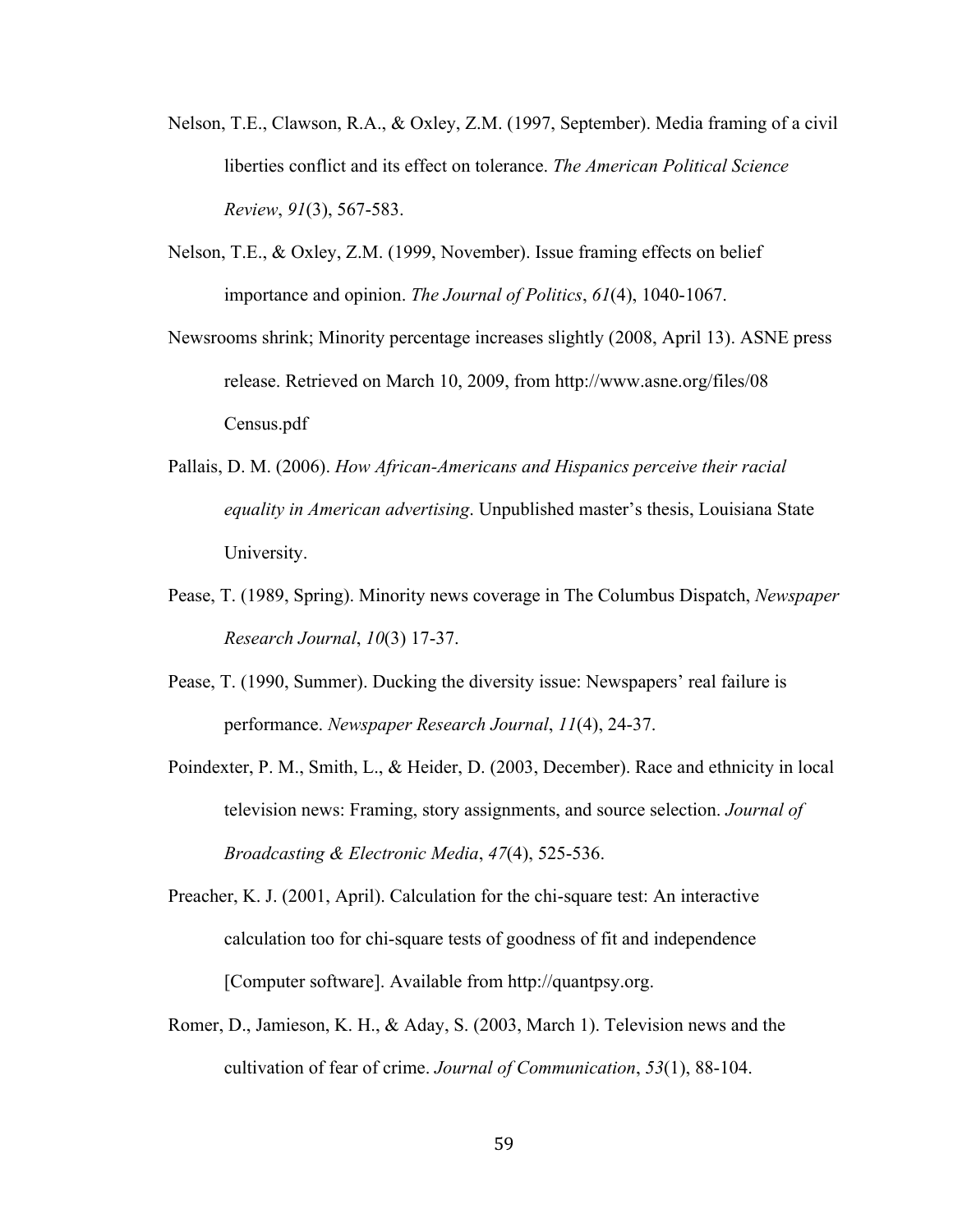- Nelson, T.E., Clawson, R.A., & Oxley, Z.M. (1997, September). Media framing of a civil liberties conflict and its effect on tolerance. *The American Political Science Review*, *91*(3), 567-583.
- Nelson, T.E., & Oxley, Z.M. (1999, November). Issue framing effects on belief importance and opinion. *The Journal of Politics*, *61*(4), 1040-1067.
- Newsrooms shrink; Minority percentage increases slightly (2008, April 13). ASNE press release. Retrieved on March 10, 2009, from http://www.asne.org/files/08 Census.pdf
- Pallais, D. M. (2006). *How African-Americans and Hispanics perceive their racial equality in American advertising*. Unpublished master's thesis, Louisiana State University.
- Pease, T. (1989, Spring). Minority news coverage in The Columbus Dispatch, *Newspaper Research Journal*, *10*(3) 17-37.
- Pease, T. (1990, Summer). Ducking the diversity issue: Newspapers' real failure is performance. *Newspaper Research Journal*, *11*(4), 24-37.
- Poindexter, P. M., Smith, L., & Heider, D. (2003, December). Race and ethnicity in local television news: Framing, story assignments, and source selection. *Journal of Broadcasting & Electronic Media*, *47*(4), 525-536.
- Preacher, K. J. (2001, April). Calculation for the chi-square test: An interactive calculation too for chi-square tests of goodness of fit and independence [Computer software]. Available from http://quantpsy.org.
- Romer, D., Jamieson, K. H., & Aday, S. (2003, March 1). Television news and the cultivation of fear of crime. *Journal of Communication*, *53*(1), 88-104.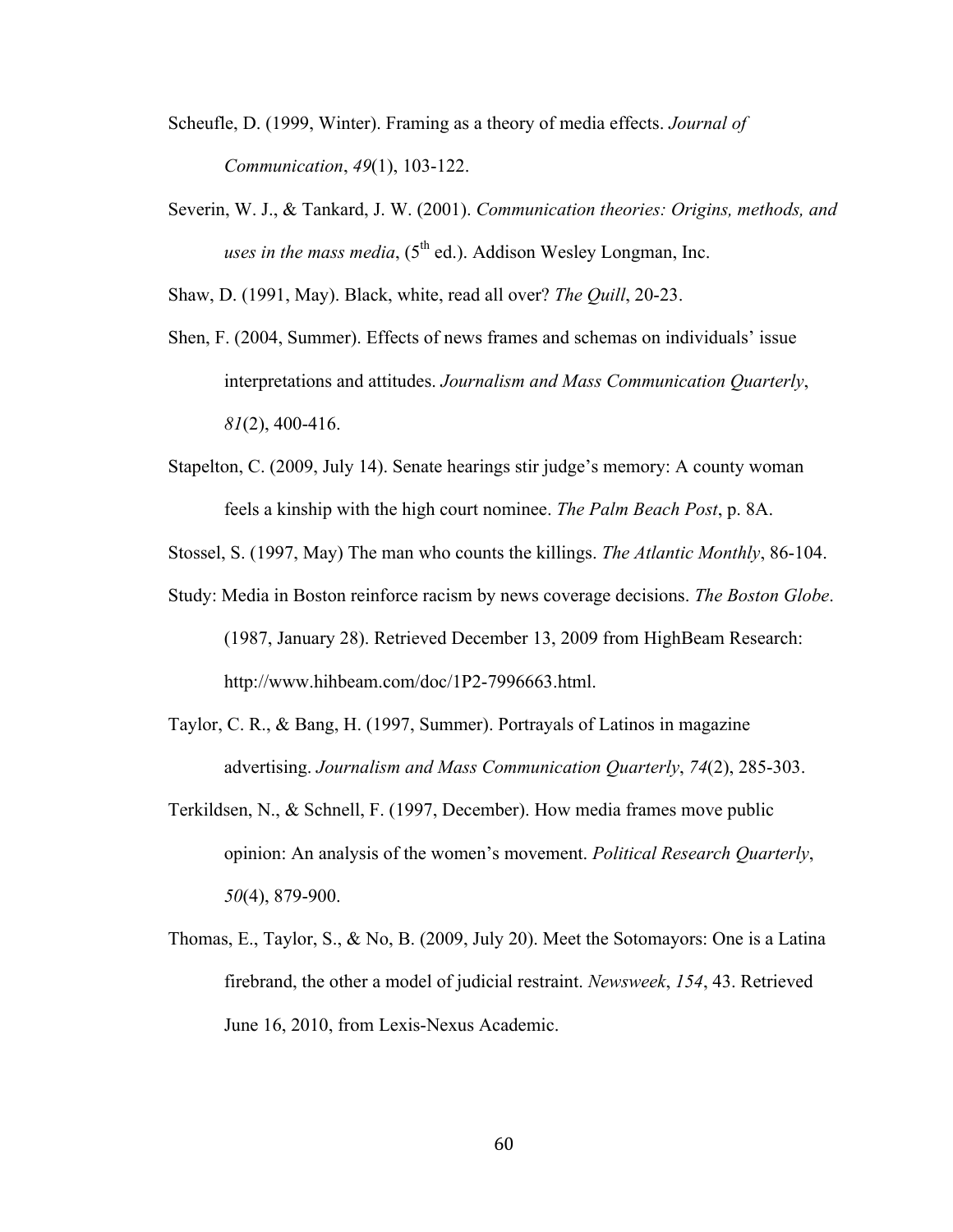- Scheufle, D. (1999, Winter). Framing as a theory of media effects. *Journal of Communication*, *49*(1), 103-122.
- Severin, W. J., & Tankard, J. W. (2001). *Communication theories: Origins, methods, and uses in the mass media*,  $(5^{th}$  ed.). Addison Wesley Longman, Inc.

Shaw, D. (1991, May). Black, white, read all over? *The Quill*, 20-23.

- Shen, F. (2004, Summer). Effects of news frames and schemas on individuals' issue interpretations and attitudes. *Journalism and Mass Communication Quarterly*, *81*(2), 400-416.
- Stapelton, C. (2009, July 14). Senate hearings stir judge's memory: A county woman feels a kinship with the high court nominee. *The Palm Beach Post*, p. 8A.
- Stossel, S. (1997, May) The man who counts the killings. *The Atlantic Monthly*, 86-104.
- Study: Media in Boston reinforce racism by news coverage decisions. *The Boston Globe*. (1987, January 28). Retrieved December 13, 2009 from HighBeam Research: http://www.hihbeam.com/doc/1P2-7996663.html.
- Taylor, C. R., & Bang, H. (1997, Summer). Portrayals of Latinos in magazine advertising. *Journalism and Mass Communication Quarterly*, *74*(2), 285-303.
- Terkildsen, N., & Schnell, F. (1997, December). How media frames move public opinion: An analysis of the women's movement. *Political Research Quarterly*, *50*(4), 879-900.
- Thomas, E., Taylor, S., & No, B. (2009, July 20). Meet the Sotomayors: One is a Latina firebrand, the other a model of judicial restraint. *Newsweek*, *154*, 43. Retrieved June 16, 2010, from Lexis-Nexus Academic.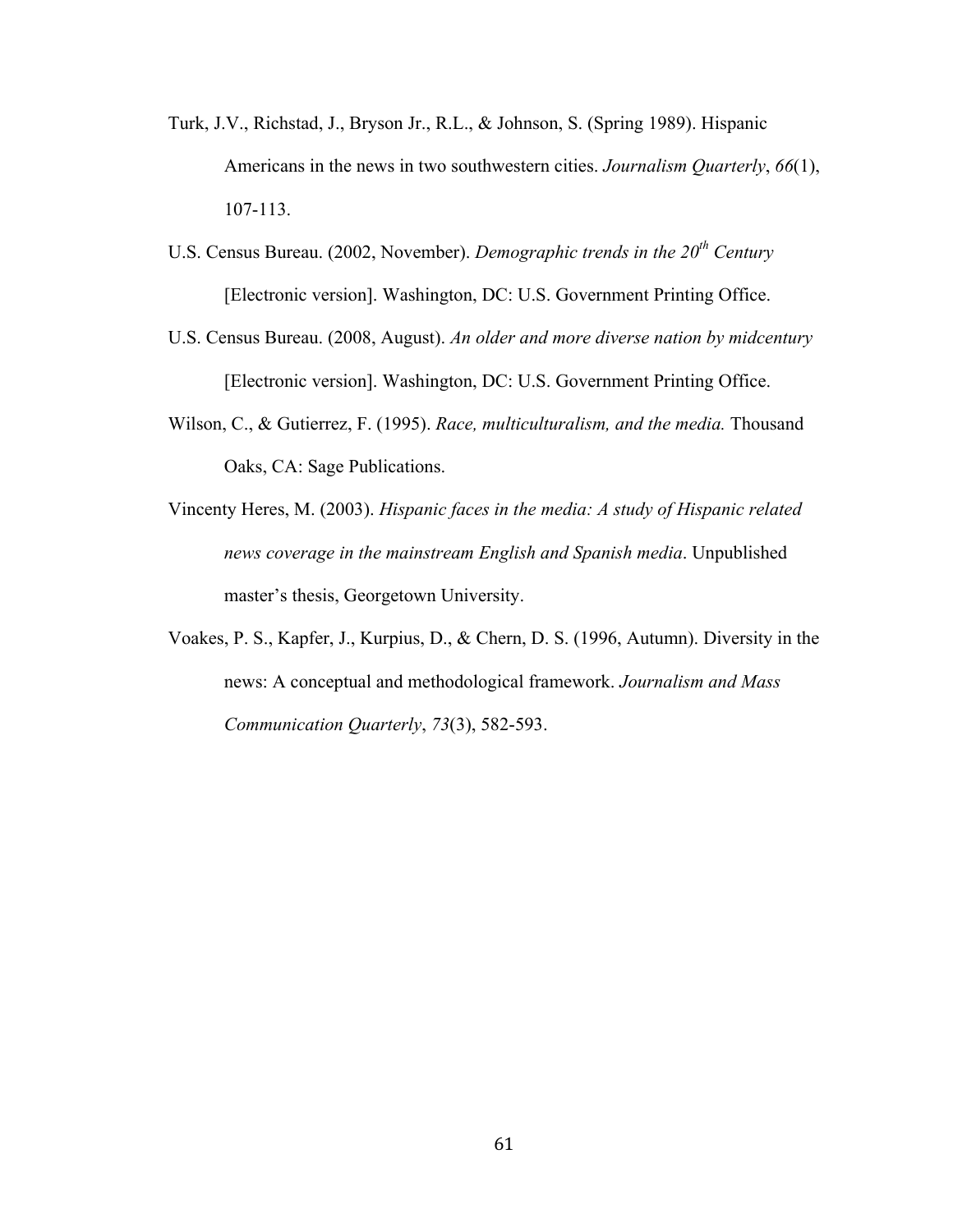- Turk, J.V., Richstad, J., Bryson Jr., R.L., & Johnson, S. (Spring 1989). Hispanic Americans in the news in two southwestern cities. *Journalism Quarterly*, *66*(1), 107-113.
- U.S. Census Bureau. (2002, November). *Demographic trends in the 20th Century* [Electronic version]. Washington, DC: U.S. Government Printing Office.
- U.S. Census Bureau. (2008, August). *An older and more diverse nation by midcentury* [Electronic version]. Washington, DC: U.S. Government Printing Office.
- Wilson, C., & Gutierrez, F. (1995). *Race, multiculturalism, and the media.* Thousand Oaks, CA: Sage Publications.
- Vincenty Heres, M. (2003). *Hispanic faces in the media: A study of Hispanic related news coverage in the mainstream English and Spanish media*. Unpublished master's thesis, Georgetown University.
- Voakes, P. S., Kapfer, J., Kurpius, D., & Chern, D. S. (1996, Autumn). Diversity in the news: A conceptual and methodological framework. *Journalism and Mass Communication Quarterly*, *73*(3), 582-593.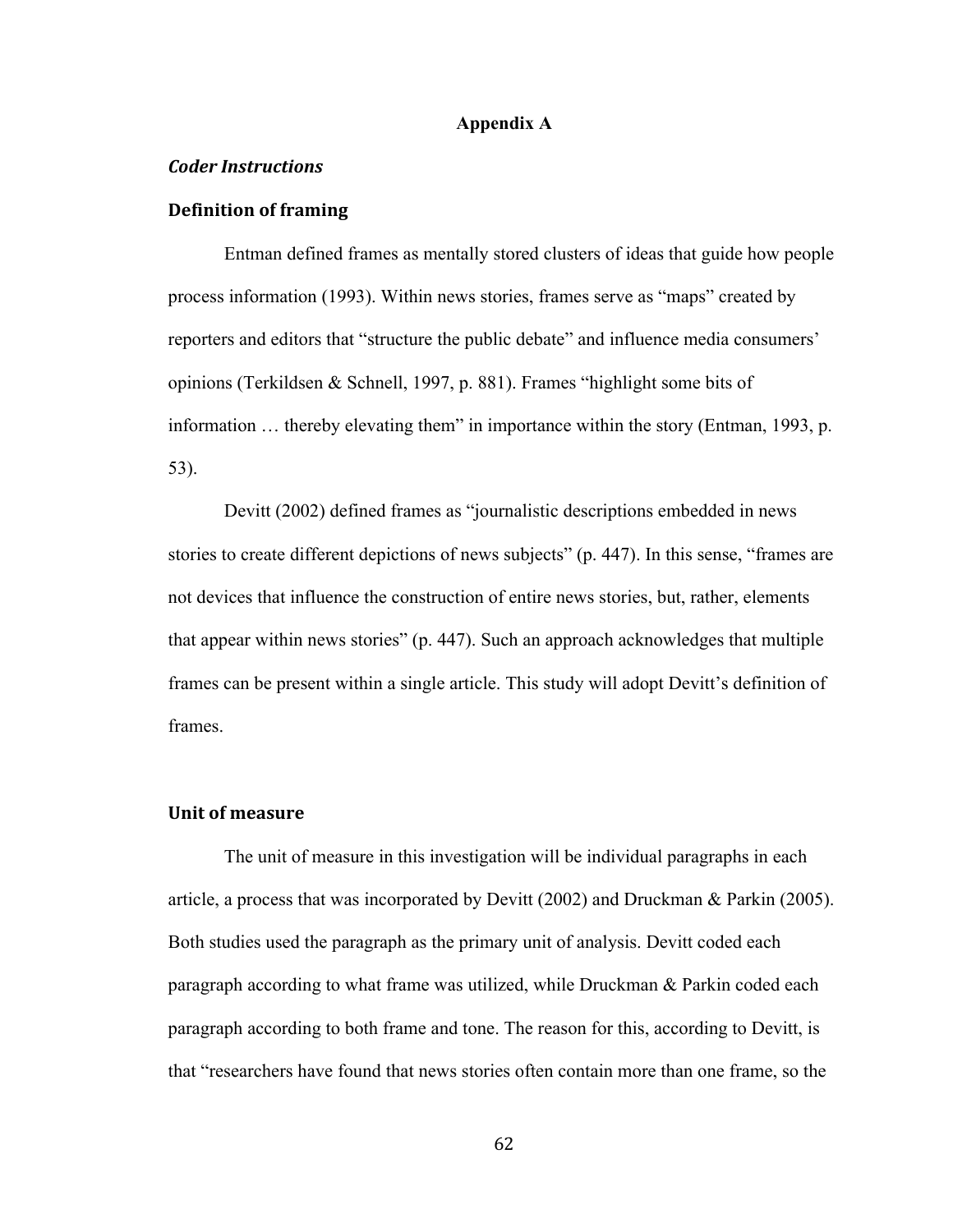## **Appendix A**

#### *Coder&Instructions*

## **Definition of framing**

Entman defined frames as mentally stored clusters of ideas that guide how people process information (1993). Within news stories, frames serve as "maps" created by reporters and editors that "structure the public debate" and influence media consumers' opinions (Terkildsen & Schnell, 1997, p. 881). Frames "highlight some bits of information … thereby elevating them" in importance within the story (Entman, 1993, p. 53).

Devitt (2002) defined frames as "journalistic descriptions embedded in news stories to create different depictions of news subjects" (p. 447). In this sense, "frames are not devices that influence the construction of entire news stories, but, rather, elements that appear within news stories" (p. 447). Such an approach acknowledges that multiple frames can be present within a single article. This study will adopt Devitt's definition of frames.

#### **Unit of measure**

The unit of measure in this investigation will be individual paragraphs in each article, a process that was incorporated by Devitt (2002) and Druckman & Parkin (2005). Both studies used the paragraph as the primary unit of analysis. Devitt coded each paragraph according to what frame was utilized, while Druckman & Parkin coded each paragraph according to both frame and tone. The reason for this, according to Devitt, is that "researchers have found that news stories often contain more than one frame, so the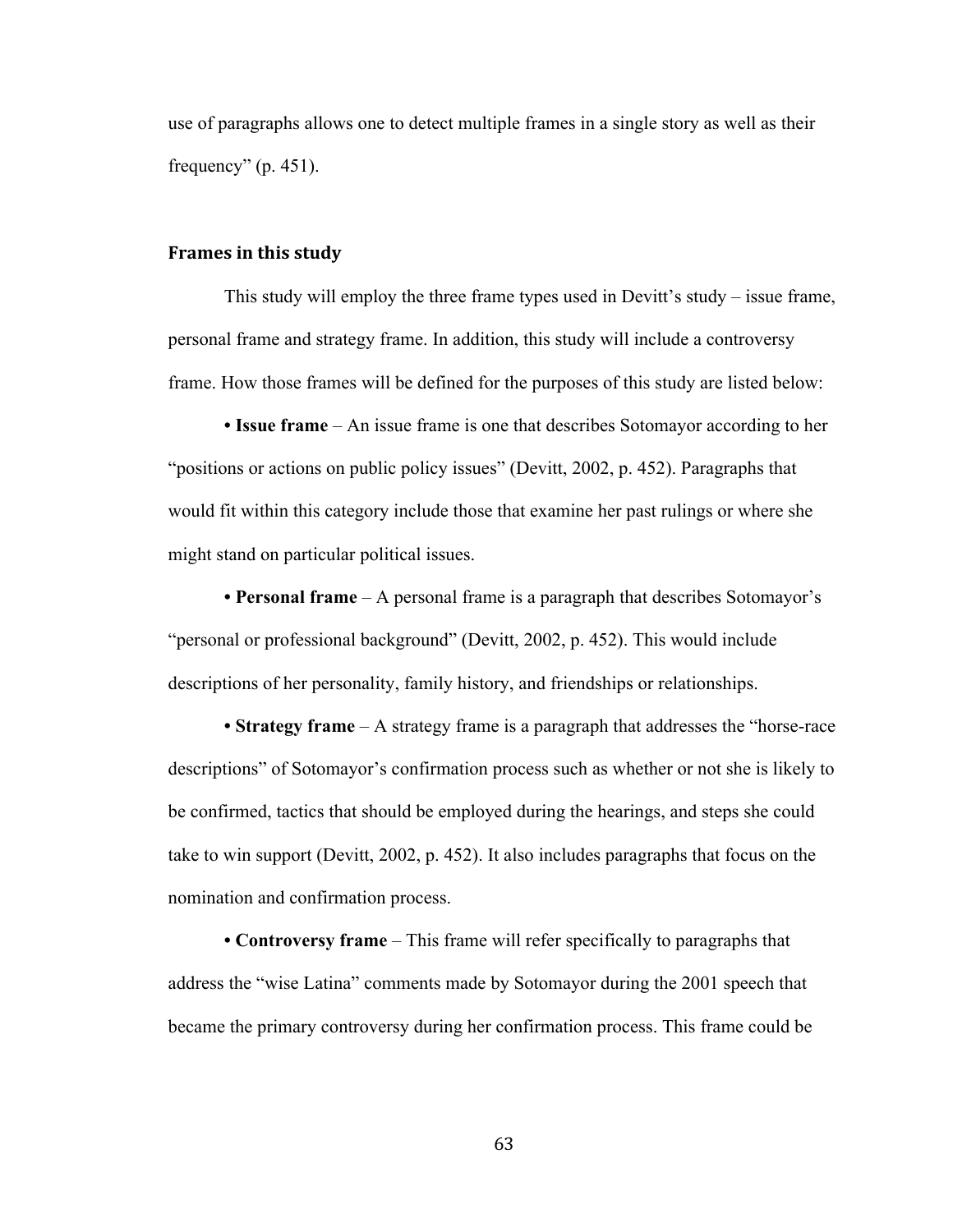use of paragraphs allows one to detect multiple frames in a single story as well as their frequency"  $(p. 451)$ .

#### **Frames in this study**

This study will employ the three frame types used in Devitt's study – issue frame, personal frame and strategy frame. In addition, this study will include a controversy frame. How those frames will be defined for the purposes of this study are listed below:

**• Issue frame** – An issue frame is one that describes Sotomayor according to her "positions or actions on public policy issues" (Devitt, 2002, p. 452). Paragraphs that would fit within this category include those that examine her past rulings or where she might stand on particular political issues.

**• Personal frame** – A personal frame is a paragraph that describes Sotomayor's "personal or professional background" (Devitt, 2002, p. 452). This would include descriptions of her personality, family history, and friendships or relationships.

**• Strategy frame** – A strategy frame is a paragraph that addresses the "horse-race descriptions" of Sotomayor's confirmation process such as whether or not she is likely to be confirmed, tactics that should be employed during the hearings, and steps she could take to win support (Devitt, 2002, p. 452). It also includes paragraphs that focus on the nomination and confirmation process.

**• Controversy frame** – This frame will refer specifically to paragraphs that address the "wise Latina" comments made by Sotomayor during the 2001 speech that became the primary controversy during her confirmation process. This frame could be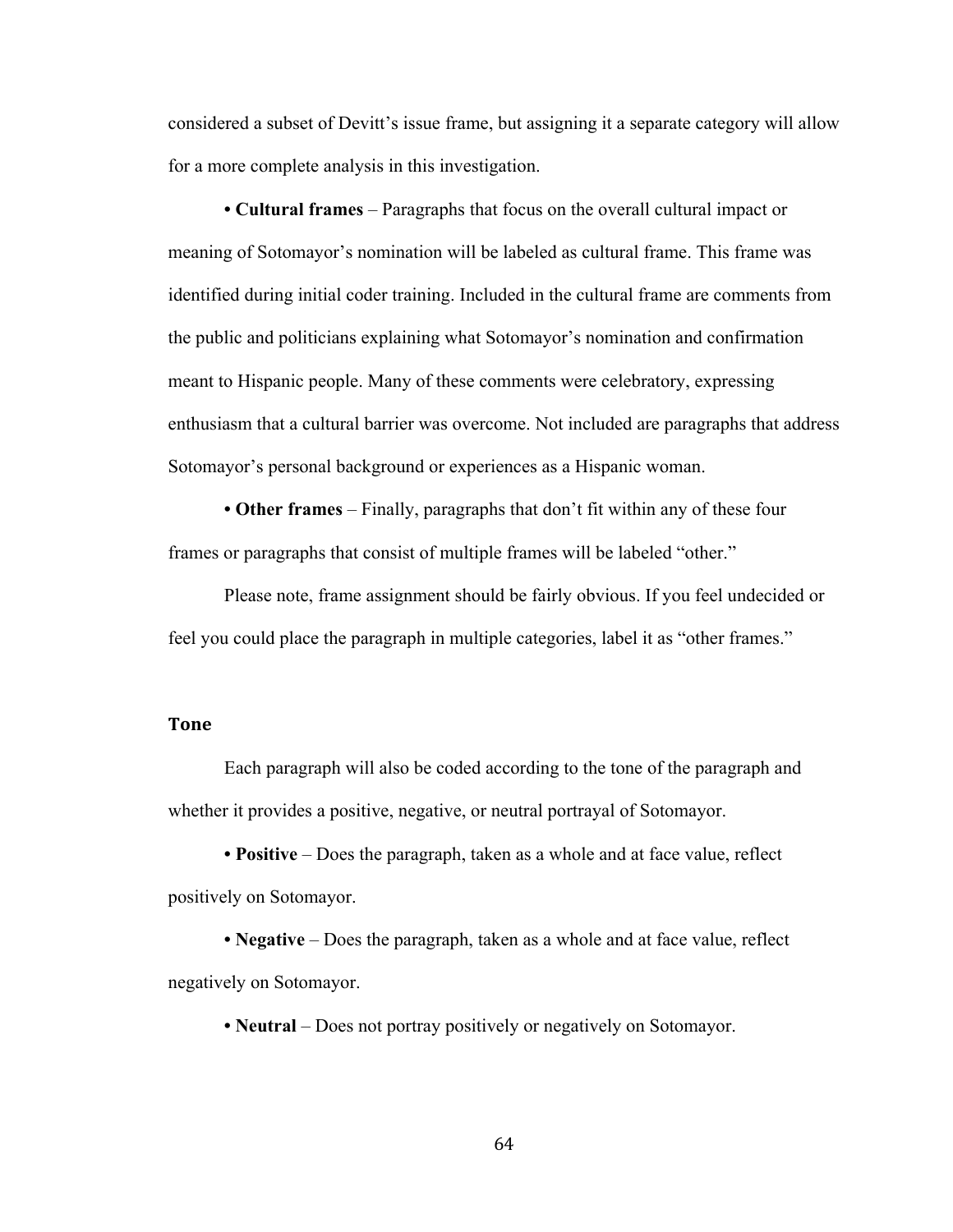considered a subset of Devitt's issue frame, but assigning it a separate category will allow for a more complete analysis in this investigation.

**• Cultural frames** – Paragraphs that focus on the overall cultural impact or meaning of Sotomayor's nomination will be labeled as cultural frame. This frame was identified during initial coder training. Included in the cultural frame are comments from the public and politicians explaining what Sotomayor's nomination and confirmation meant to Hispanic people. Many of these comments were celebratory, expressing enthusiasm that a cultural barrier was overcome. Not included are paragraphs that address Sotomayor's personal background or experiences as a Hispanic woman.

**• Other frames** – Finally, paragraphs that don't fit within any of these four frames or paragraphs that consist of multiple frames will be labeled "other."

Please note, frame assignment should be fairly obvious. If you feel undecided or feel you could place the paragraph in multiple categories, label it as "other frames."

## **Tone**

Each paragraph will also be coded according to the tone of the paragraph and whether it provides a positive, negative, or neutral portrayal of Sotomayor.

**• Positive** – Does the paragraph, taken as a whole and at face value, reflect positively on Sotomayor.

**• Negative** – Does the paragraph, taken as a whole and at face value, reflect negatively on Sotomayor.

• **Neutral** – Does not portray positively or negatively on Sotomayor.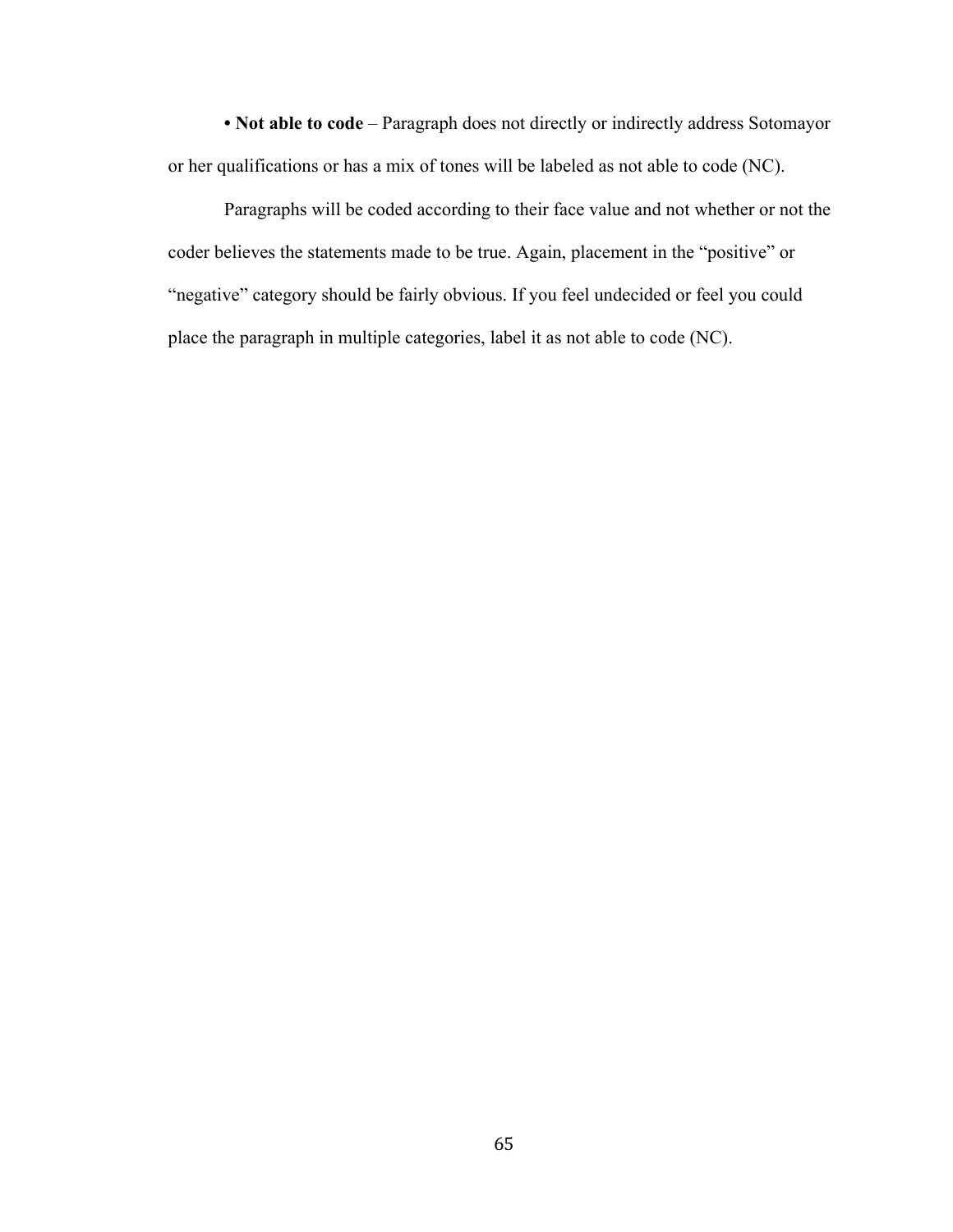**• Not able to code** – Paragraph does not directly or indirectly address Sotomayor or her qualifications or has a mix of tones will be labeled as not able to code (NC).

Paragraphs will be coded according to their face value and not whether or not the coder believes the statements made to be true. Again, placement in the "positive" or "negative" category should be fairly obvious. If you feel undecided or feel you could place the paragraph in multiple categories, label it as not able to code (NC).